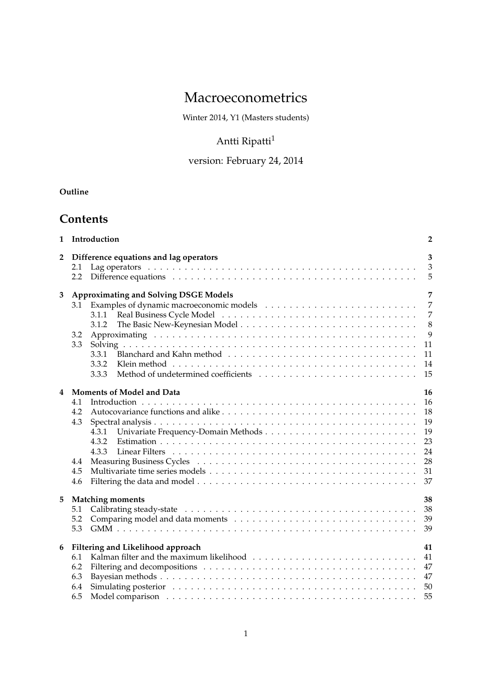# Macroeconometrics

Winter 2014, Y1 (Masters students)

# Antti Ripatti<sup>1</sup>

# version: February 24, 2014

## **Outline**

# **Contents**

| Introduction<br>$\mathbf{1}$ |                                                                                                                                                                                                                                                                                                                                 |                                                                         |  |  |  |  |
|------------------------------|---------------------------------------------------------------------------------------------------------------------------------------------------------------------------------------------------------------------------------------------------------------------------------------------------------------------------------|-------------------------------------------------------------------------|--|--|--|--|
| $\overline{2}$               | Difference equations and lag operators<br>2.1<br>2.2                                                                                                                                                                                                                                                                            | 3<br>$\overline{3}$<br>5                                                |  |  |  |  |
| 3                            | <b>Approximating and Solving DSGE Models</b><br>3.1<br>3.1.1<br>3.1.2<br>3.2<br>3.3<br>3.3.1<br>3.3.2<br>3.3.3                                                                                                                                                                                                                  | 7<br>$\overline{7}$<br>$\overline{7}$<br>8<br>9<br>11<br>11<br>14<br>15 |  |  |  |  |
| 4                            | Moments of Model and Data<br>4.1<br>4.2<br>4.3<br>4.3.1<br>4.3.2<br>4.3.3<br>Measuring Business Cycles (assembly) and the contract of the set of the set of the set of the set of the set of the set of the set of the set of the set of the set of the set of the set of the set of the set of the set of<br>4.4<br>4.5<br>4.6 | 16<br>16<br>18<br>19<br>19<br>23<br>24<br>28<br>31<br>37                |  |  |  |  |
| 5                            | <b>Matching moments</b><br>5.1<br>5.2<br>5.3                                                                                                                                                                                                                                                                                    | 38<br>38<br>39<br>39                                                    |  |  |  |  |
| 6                            | Filtering and Likelihood approach<br>6.1<br>6.2<br>6.3<br>6.4<br>6.5                                                                                                                                                                                                                                                            | 41<br>41<br>47<br>47<br>50<br>55                                        |  |  |  |  |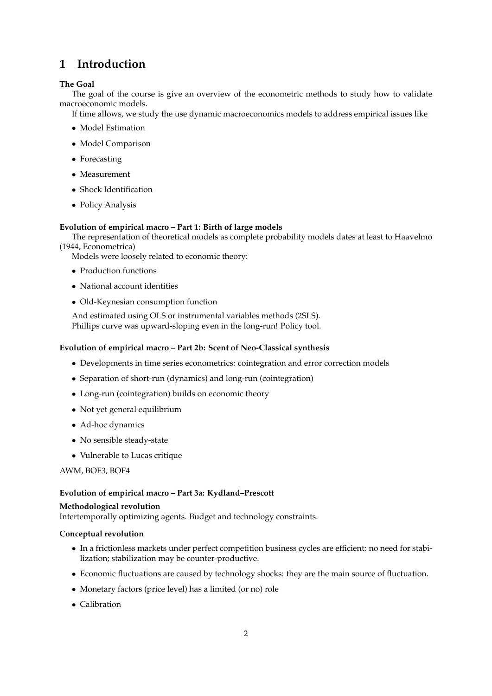# **1 Introduction**

### **The Goal**

The goal of the course is give an overview of the econometric methods to study how to validate macroeconomic models.

If time allows, we study the use dynamic macroeconomics models to address empirical issues like

- Model Estimation
- Model Comparison
- Forecasting
- Measurement
- Shock Identification
- Policy Analysis

### **Evolution of empirical macro – Part 1: Birth of large models**

The representation of theoretical models as complete probability models dates at least to Haavelmo (1944, Econometrica)

Models were loosely related to economic theory:

- Production functions
- National account identities
- Old-Keynesian consumption function

And estimated using OLS or instrumental variables methods (2SLS). Phillips curve was upward-sloping even in the long-run! Policy tool.

### **Evolution of empirical macro – Part 2b: Scent of Neo-Classical synthesis**

- Developments in time series econometrics: cointegration and error correction models
- Separation of short-run (dynamics) and long-run (cointegration)
- Long-run (cointegration) builds on economic theory
- Not yet general equilibrium
- Ad-hoc dynamics
- No sensible steady-state
- Vulnerable to Lucas critique

AWM, BOF3, BOF4

### **Evolution of empirical macro – Part 3a: Kydland–Prescott**

### **Methodological revolution**

Intertemporally optimizing agents. Budget and technology constraints.

### **Conceptual revolution**

- In a frictionless markets under perfect competition business cycles are efficient: no need for stabilization; stabilization may be counter-productive.
- Economic fluctuations are caused by technology shocks: they are the main source of fluctuation.
- Monetary factors (price level) has a limited (or no) role
- Calibration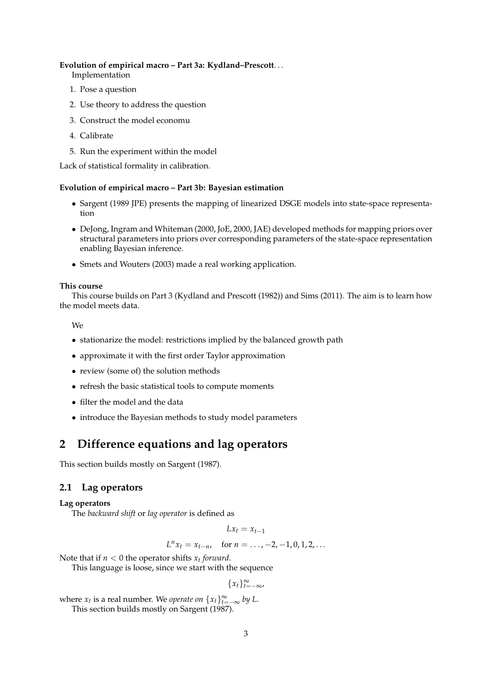#### **Evolution of empirical macro – Part 3a: Kydland–Prescott**. . .

Implementation

- 1. Pose a question
- 2. Use theory to address the question
- 3. Construct the model economu
- 4. Calibrate
- 5. Run the experiment within the model

Lack of statistical formality in calibration.

### **Evolution of empirical macro – Part 3b: Bayesian estimation**

- Sargent (1989 JPE) presents the mapping of linearized DSGE models into state-space representation
- DeJong, Ingram and Whiteman (2000, JoE, 2000, JAE) developed methods for mapping priors over structural parameters into priors over corresponding parameters of the state-space representation enabling Bayesian inference.
- Smets and Wouters (2003) made a real working application.

### **This course**

This course builds on Part 3 (Kydland and Prescott (1982)) and Sims (2011). The aim is to learn how the model meets data.

We

- stationarize the model: restrictions implied by the balanced growth path
- approximate it with the first order Taylor approximation
- review (some of) the solution methods
- refresh the basic statistical tools to compute moments
- filter the model and the data
- introduce the Bayesian methods to study model parameters

## **2 Difference equations and lag operators**

This section builds mostly on Sargent (1987).

### **2.1 Lag operators**

### **Lag operators**

The *backward shift* or *lag operator* is defined as

$$
Lx_t = x_{t-1}
$$

$$
L^n x_t = x_{t-n}, \quad \text{for } n = \ldots, -2, -1, 0, 1, 2, \ldots
$$

Note that if *n* < 0 the operator shifts *x<sup>t</sup> forward*.

This language is loose, since we start with the sequence

 ${x_t}$ <sup>∞</sup><sub> $t=-∞$ </sub>,

where  $x_t$  is a real number. We *operate on*  $\{x_t\}_{t=-\infty}^{\infty}$  by L.

This section builds mostly on Sargent (1987).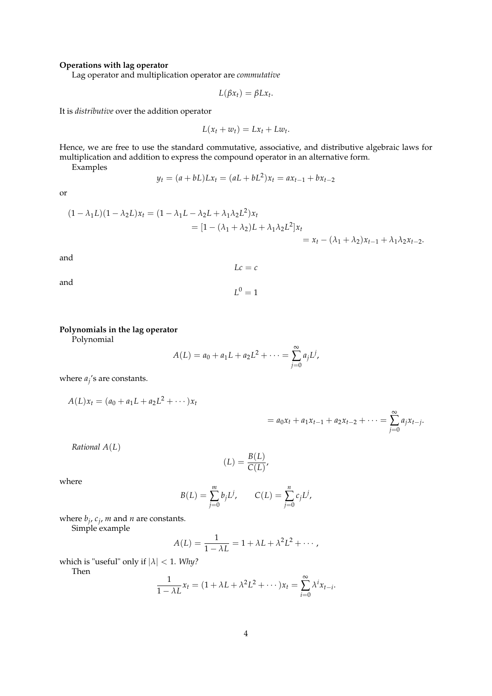### **Operations with lag operator**

Lag operator and multiplication operator are *commutative*

$$
L(\beta x_t) = \beta L x_t.
$$

It is *distributive* over the addition operator

$$
L(x_t + w_t) = Lx_t + Lw_t.
$$

Hence, we are free to use the standard commutative, associative, and distributive algebraic laws for multiplication and addition to express the compound operator in an alternative form.

Examples

$$
y_t = (a + bL)Lx_t = (aL + bL^2)x_t = ax_{t-1} + bx_{t-2}
$$

or

$$
(1 - \lambda_1 L)(1 - \lambda_2 L)x_t = (1 - \lambda_1 L - \lambda_2 L + \lambda_1 \lambda_2 L^2)x_t
$$
  
= 
$$
[1 - (\lambda_1 + \lambda_2)L + \lambda_1 \lambda_2 L^2]x_t
$$
  
= 
$$
x_t - (\lambda_1 + \lambda_2)x_{t-1} + \lambda_1 \lambda_2 x_{t-2}.
$$

 $Lc = c$ 

 $L^0 = 1$ 

and

$$
\quad \text{and} \quad
$$

### **Polynomials in the lag operator**

Polynomial

$$
A(L) = a_0 + a_1 L + a_2 L^2 + \cdots = \sum_{j=0}^{\infty} a_j L^j,
$$

where  $a_j$ 's are constants.

$$
A(L)x_t = (a_0 + a_1L + a_2L^2 + \cdots)x_t
$$

$$
= a_0x_t + a_1x_{t-1} + a_2x_{t-2} + \cdots = \sum_{j=0}^{\infty} a_jx_{t-j}.
$$

*Rational A*(*L*)

$$
(L) = \frac{B(L)}{C(L)},
$$

where

$$
B(L) = \sum_{j=0}^{m} b_j L^j, \qquad C(L) = \sum_{j=0}^{n} c_j L^j,
$$

where *b<sup>j</sup>* , *c<sup>j</sup>* , *m* and *n* are constants.

Simple example

$$
A(L) = \frac{1}{1 - \lambda L} = 1 + \lambda L + \lambda^2 L^2 + \cdots,
$$

which is "useful" only if |*λ*| < 1. *Why?*

Then

$$
\frac{1}{1-\lambda L}x_t = (1+\lambda L + \lambda^2 L^2 + \cdots)x_t = \sum_{i=0}^{\infty} \lambda^i x_{t-i}.
$$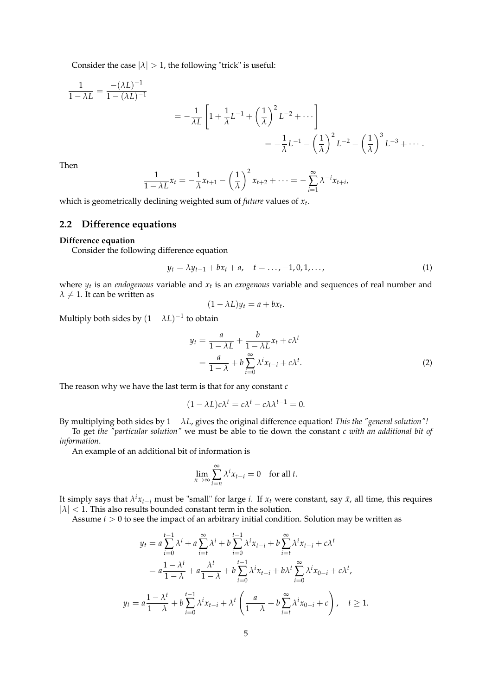Consider the case  $|\lambda| > 1$ , the following "trick" is useful:

$$
\frac{1}{1 - \lambda L} = \frac{-(\lambda L)^{-1}}{1 - (\lambda L)^{-1}}
$$
  
=  $-\frac{1}{\lambda L} \left[ 1 + \frac{1}{\lambda} L^{-1} + \left(\frac{1}{\lambda}\right)^2 L^{-2} + \cdots \right]$   
=  $-\frac{1}{\lambda} L^{-1} - \left(\frac{1}{\lambda}\right)^2 L^{-2} - \left(\frac{1}{\lambda}\right)^3 L^{-3} + \cdots$ 

Then

$$
\frac{1}{1-\lambda L}x_t=-\frac{1}{\lambda}x_{t+1}-\left(\frac{1}{\lambda}\right)^2x_{t+2}+\cdots=-\sum_{i=1}^{\infty}\lambda^{-i}x_{t+i}
$$

which is geometrically declining weighted sum of *future* values of *x<sup>t</sup>* .

### **2.2 Difference equations**

#### **Difference equation**

Consider the following difference equation

$$
y_t = \lambda y_{t-1} + b x_t + a, \quad t = \dots, -1, 0, 1, \dots,
$$
 (1)

,

where  $y_t$  is an *endogenous* variable and  $x_t$  is an *exogenous* variable and sequences of real number and  $\lambda \neq 1$ . It can be written as

$$
(1 - \lambda L)y_t = a + bx_t.
$$

Multiply both sides by  $(1 - \lambda L)^{-1}$  to obtain

$$
y_t = \frac{a}{1 - \lambda L} + \frac{b}{1 - \lambda L} x_t + c\lambda^t
$$
  
= 
$$
\frac{a}{1 - \lambda} + b \sum_{i=0}^{\infty} \lambda^i x_{t-i} + c\lambda^t.
$$
 (2)

The reason why we have the last term is that for any constant *c*

$$
(1 - \lambda L)c\lambda^t = c\lambda^t - c\lambda\lambda^{t-1} = 0.
$$

By multiplying both sides by  $1 - \lambda L$ , gives the original difference equation! *This the "general solution"!* 

To get *the "particular solution"* we must be able to tie down the constant *c with an additional bit of information*.

An example of an additional bit of information is

$$
\lim_{n \to \infty} \sum_{i=n}^{\infty} \lambda^i x_{t-i} = 0 \quad \text{for all } t.
$$

It simply says that  $\lambda^i x_{t-i}$  must be "small" for large *i*. If  $x_t$  were constant, say  $\bar{x}$ , all time, this requires  $|\lambda|$  < 1. This also results bounded constant term in the solution.

Assume *t* > 0 to see the impact of an arbitrary initial condition. Solution may be written as

$$
y_{t} = a \sum_{i=0}^{t-1} \lambda^{i} + a \sum_{i=t}^{\infty} \lambda^{i} + b \sum_{i=0}^{t-1} \lambda^{i} x_{t-i} + b \sum_{i=t}^{\infty} \lambda^{i} x_{t-i} + c \lambda^{t}
$$
  
=  $a \frac{1 - \lambda^{t}}{1 - \lambda} + a \frac{\lambda^{t}}{1 - \lambda} + b \sum_{i=0}^{t-1} \lambda^{i} x_{t-i} + b \lambda^{t} \sum_{i=0}^{\infty} \lambda^{i} x_{0-i} + c \lambda^{t},$   

$$
y_{t} = a \frac{1 - \lambda^{t}}{1 - \lambda} + b \sum_{i=0}^{t-1} \lambda^{i} x_{t-i} + \lambda^{t} \left( \frac{a}{1 - \lambda} + b \sum_{i=t}^{\infty} \lambda^{i} x_{0-i} + c \right), \quad t \ge 1.
$$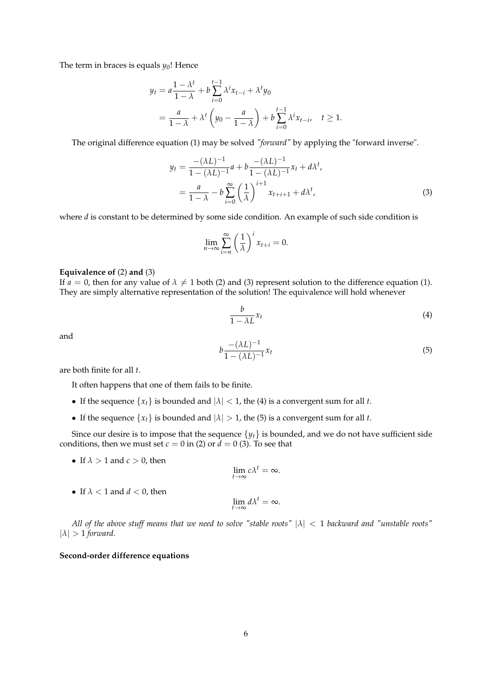The term in braces is equals  $y_0$ ! Hence

$$
y_t = a \frac{1 - \lambda^t}{1 - \lambda} + b \sum_{i=0}^{t-1} \lambda^i x_{t-i} + \lambda^t y_0
$$
  
=  $\frac{a}{1 - \lambda} + \lambda^t \left( y_0 - \frac{a}{1 - \lambda} \right) + b \sum_{i=0}^{t-1} \lambda^i x_{t-i}, \quad t \ge 1.$ 

The original difference equation (1) may be solved *"forward"* by applying the "forward inverse".

$$
y_{t} = \frac{-(\lambda L)^{-1}}{1 - (\lambda L)^{-1}} a + b \frac{-(\lambda L)^{-1}}{1 - (\lambda L)^{-1}} x_{t} + d\lambda^{t},
$$
  
= 
$$
\frac{a}{1 - \lambda} - b \sum_{i=0}^{\infty} \left(\frac{1}{\lambda}\right)^{i+1} x_{t+i+1} + d\lambda^{t},
$$
 (3)

where *d* is constant to be determined by some side condition. An example of such side condition is

$$
\lim_{n \to \infty} \sum_{i=n}^{\infty} \left(\frac{1}{\lambda}\right)^i x_{t+i} = 0.
$$

### **Equivalence of** (2) **and** (3)

If  $a = 0$ , then for any value of  $\lambda \neq 1$  both (2) and (3) represent solution to the difference equation (1). They are simply alternative representation of the solution! The equivalence will hold whenever

$$
\frac{b}{1 - \lambda L} x_t \tag{4}
$$

and

$$
b \frac{-(\lambda L)^{-1}}{1 - (\lambda L)^{-1}} x_t \tag{5}
$$

are both finite for all *t*.

It often happens that one of them fails to be finite.

- If the sequence  $\{x_t\}$  is bounded and  $|\lambda| < 1$ , the (4) is a convergent sum for all *t*.
- If the sequence  $\{x_t\}$  is bounded and  $|\lambda| > 1$ , the (5) is a convergent sum for all *t*.

Since our desire is to impose that the sequence  $\{y_t\}$  is bounded, and we do not have sufficient side conditions, then we must set  $c = 0$  in (2) or  $d = 0$  (3). To see that

• If  $\lambda > 1$  and  $c > 0$ , then

$$
\lim_{t\to\infty}c\lambda^t=\infty.
$$

• If  $\lambda < 1$  and  $d < 0$ , then

$$
\lim_{t\to\infty}d\lambda^t=\infty.
$$

*All of the above stuff means that we need to solve "stable roots"* |*λ*| < 1 *backward and "unstable roots"*  $|\lambda| > 1$  *forward.* 

### **Second-order difference equations**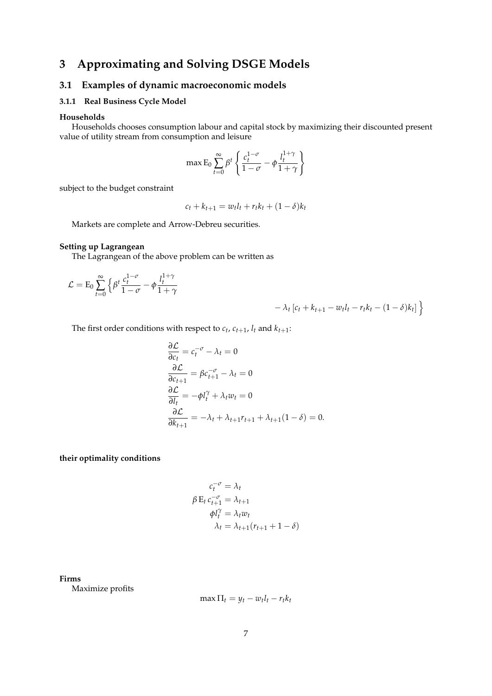# **3 Approximating and Solving DSGE Models**

### **3.1 Examples of dynamic macroeconomic models**

### **3.1.1 Real Business Cycle Model**

### **Households**

Households chooses consumption labour and capital stock by maximizing their discounted present value of utility stream from consumption and leisure

$$
\max \mathsf{E}_0 \sum_{t=0}^{\infty} \beta^t \left\{ \frac{c_t^{1-\sigma}}{1-\sigma} - \phi \frac{l_t^{1+\gamma}}{1+\gamma} \right\}
$$

subject to the budget constraint

$$
c_t + k_{t+1} = w_t l_t + r_t k_t + (1 - \delta) k_t
$$

Markets are complete and Arrow-Debreu securities.

### **Setting up Lagrangean**

The Lagrangean of the above problem can be written as

$$
\mathcal{L} = \mathrm{E}_0 \sum_{t=0}^{\infty} \left\{ \beta^t \frac{c_t^{1-\sigma}}{1-\sigma} - \phi \frac{l_t^{1+\gamma}}{1+\gamma} \right\}
$$

$$
- \lambda_t [c_t + k_{t+1} - w_t l_t - r_t k_t - (1 - \delta) k_t]
$$

The first order conditions with respect to  $c_t$ ,  $c_{t+1}$ ,  $l_t$  and  $k_{t+1}$ :

$$
\frac{\partial \mathcal{L}}{\partial c_t} = c_t^{-\sigma} - \lambda_t = 0
$$
  
\n
$$
\frac{\partial \mathcal{L}}{\partial c_{t+1}} = \beta c_{t+1}^{-\sigma} - \lambda_t = 0
$$
  
\n
$$
\frac{\partial \mathcal{L}}{\partial l_t} = -\phi l_t^{\gamma} + \lambda_t w_t = 0
$$
  
\n
$$
\frac{\partial \mathcal{L}}{\partial k_{t+1}} = -\lambda_t + \lambda_{t+1} r_{t+1} + \lambda_{t+1} (1 - \delta) = 0.
$$

**their optimality conditions**

$$
c_t^{-\sigma} = \lambda_t
$$
  
\n
$$
\beta \mathbf{E}_t c_{t+1}^{-\sigma} = \lambda_{t+1}
$$
  
\n
$$
\phi l_t^{\gamma} = \lambda_t w_t
$$
  
\n
$$
\lambda_t = \lambda_{t+1} (r_{t+1} + 1 - \delta)
$$

**Firms**

Maximize profits

$$
\max \Pi_t = y_t - w_t l_t - r_t k_t
$$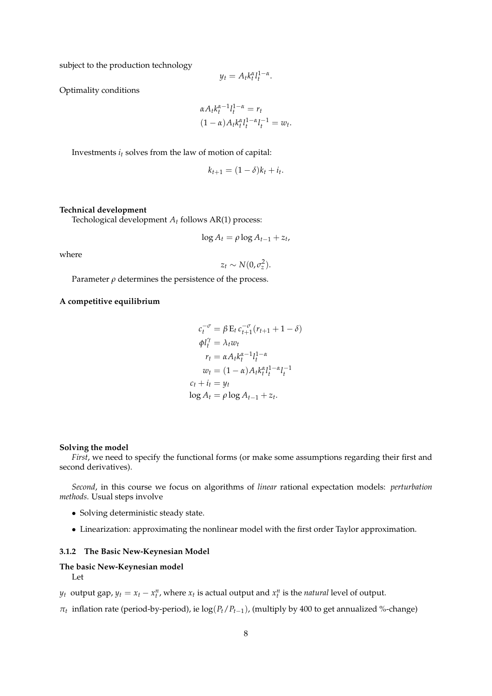subject to the production technology

$$
y_t = A_t k_t^{\alpha} l_t^{1-\alpha}.
$$

Optimality conditions

$$
\alpha A_t k_t^{\alpha-1} l_t^{1-\alpha} = r_t
$$
  

$$
(1-\alpha) A_t k_t^{\alpha} l_t^{1-\alpha} l_t^{-1} = w_t.
$$

Investments *i<sup>t</sup>* solves from the law of motion of capital:

$$
k_{t+1} = (1 - \delta)k_t + i_t.
$$

### **Technical development**

Techological development *A<sup>t</sup>* follows AR(1) process:

$$
\log A_t = \rho \log A_{t-1} + z_t,
$$

where

 $z_t \sim N(0, \sigma_z^2)$ .

Parameter  $\rho$  determines the persistence of the process.

### **A competitive equilibrium**

$$
c_t^{-\sigma} = \beta \mathbf{E}_t \, c_{t+1}^{-\sigma} (r_{t+1} + 1 - \delta)
$$
  
\n
$$
\phi l_t^{\gamma} = \lambda_t w_t
$$
  
\n
$$
r_t = \alpha A_t k_t^{\alpha - 1} l_t^{1 - \alpha}
$$
  
\n
$$
w_t = (1 - \alpha) A_t k_t^{\alpha} l_t^{1 - \alpha} l_t^{-1}
$$
  
\n
$$
c_t + i_t = y_t
$$
  
\n
$$
\log A_t = \rho \log A_{t-1} + z_t.
$$

#### **Solving the model**

*First*, we need to specify the functional forms (or make some assumptions regarding their first and second derivatives).

*Second*, in this course we focus on algorithms of *linear* rational expectation models: *perturbation methods*. Usual steps involve

- Solving deterministic steady state.
- Linearization: approximating the nonlinear model with the first order Taylor approximation.

#### **3.1.2 The Basic New-Keynesian Model**

### **The basic New-Keynesian model** Let

- *y*<sub>t</sub> output gap,  $y_t = x_t x_t^n$ , where  $x_t$  is actual output and  $x_t^n$  is the *natural* level of output.
- *πt* inflation rate (period-by-period), ie log(*Pt*/*Pt*−1), (multiply by 400 to get annualized %-change)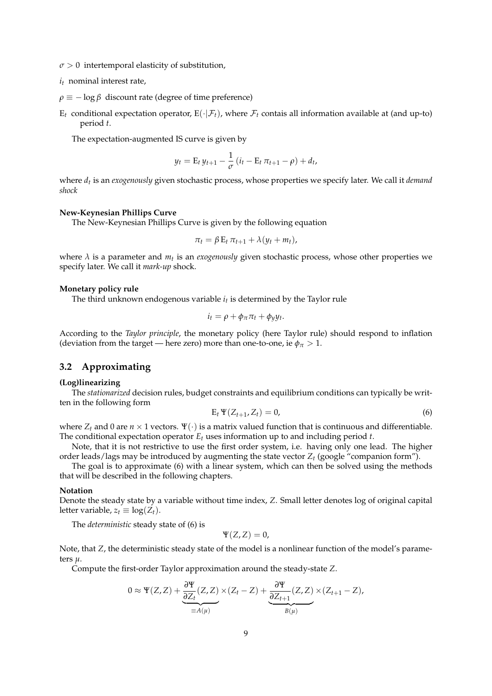- $\sigma > 0$  intertemporal elasticity of substitution,
- *i<sup>t</sup>* nominal interest rate,
- $\rho \equiv -\log \beta$  discount rate (degree of time preference)
- $E_t$  conditional expectation operator,  $E(\cdot|\mathcal{F}_t)$ , where  $\mathcal{F}_t$  contais all information available at (and up-to) period *t*.

The expectation-augmented IS curve is given by

$$
y_t = \mathbf{E}_t \, y_{t+1} - \frac{1}{\sigma} \left( i_t - \mathbf{E}_t \, \pi_{t+1} - \rho \right) + d_t,
$$

where *d<sup>t</sup>* is an *exogenously* given stochastic process, whose properties we specify later. We call it *demand shock*

#### **New-Keynesian Phillips Curve**

The New-Keynesian Phillips Curve is given by the following equation

$$
\pi_t = \beta \, \mathbf{E}_t \, \pi_{t+1} + \lambda \, (y_t + m_t),
$$

where  $\lambda$  is a parameter and  $m_t$  is an *exogenously* given stochastic process, whose other properties we specify later. We call it *mark-up* shock.

### **Monetary policy rule**

The third unknown endogenous variable *i<sup>t</sup>* is determined by the Taylor rule

$$
i_t = \rho + \phi_\pi \pi_t + \phi_y y_t.
$$

According to the *Taylor principle*, the monetary policy (here Taylor rule) should respond to inflation (deviation from the target — here zero) more than one-to-one, ie  $\phi_{\pi} > 1$ .

### **3.2 Approximating**

### **(Log)linearizing**

The *stationarized* decision rules, budget constraints and equilibrium conditions can typically be written in the following form

$$
\mathbf{E}_t \, \mathbf{Y}(Z_{t+1}, Z_t) = 0,\tag{6}
$$

where  $Z_t$  and 0 are  $n \times 1$  vectors.  $\Psi(\cdot)$  is a matrix valued function that is continuous and differentiable. The conditional expectation operator *E<sup>t</sup>* uses information up to and including period *t*.

Note, that it is not restrictive to use the first order system, i.e. having only one lead. The higher order leads/lags may be introduced by augmenting the state vector *Z<sup>t</sup>* (google "companion form").

The goal is to approximate (6) with a linear system, which can then be solved using the methods that will be described in the following chapters.

### **Notation**

Denote the steady state by a variable without time index, *Z*. Small letter denotes log of original capital letter variable,  $z_t \equiv \log(Z_t)$ .

The *deterministic* steady state of (6) is

$$
\Psi(Z,Z)=0,
$$

Note, that *Z*, the deterministic steady state of the model is a nonlinear function of the model's parameters *µ*.

Compute the first-order Taylor approximation around the steady-state *Z*.

$$
0 \approx \Psi(Z, Z) + \underbrace{\frac{\partial \Psi}{\partial Z_t}(Z, Z)}_{\equiv A(\mu)} \times (Z_t - Z) + \underbrace{\frac{\partial \Psi}{\partial Z_{t+1}}(Z, Z)}_{B(\mu)} \times (Z_{t+1} - Z),
$$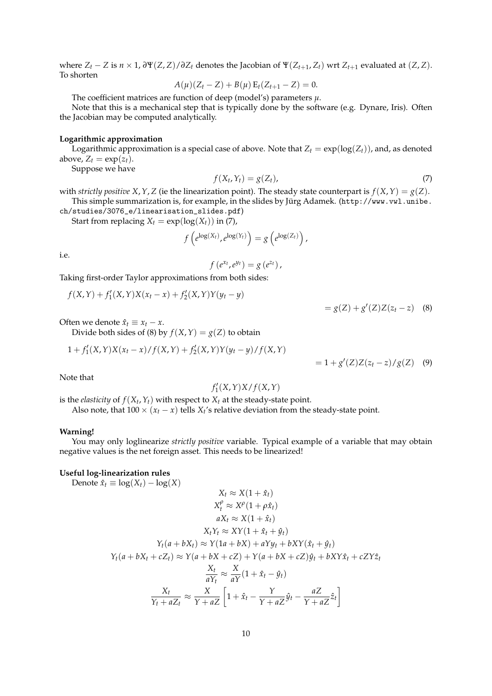where  $Z_t - Z$  is  $n \times 1$ ,  $\frac{\partial \Psi(Z, Z)}{\partial Z_t}$  denotes the Jacobian of  $\Psi(Z_{t+1}, Z_t)$  wrt  $Z_{t+1}$  evaluated at  $(Z, Z)$ . To shorten

$$
A(\mu)(Z_t - Z) + B(\mu) E_t(Z_{t+1} - Z) = 0.
$$

The coefficient matrices are function of deep (model's) parameters *µ*.

Note that this is a mechanical step that is typically done by the software (e.g. Dynare, Iris). Often the Jacobian may be computed analytically.

### **Logarithmic approximation**

Logarithmic approximation is a special case of above. Note that  $Z_t = \exp(\log(Z_t))$ , and, as denoted above,  $Z_t = \exp(z_t)$ .

Suppose we have

$$
f(X_t, Y_t) = g(Z_t), \tag{7}
$$

with *strictly positive X, Y, Z* (ie the linearization point). The steady state counterpart is  $f(X, Y) = g(Z)$ . This simple summarization is, for example, in the slides by Jürg Adamek. (http://www.vwl.unibe. ch/studies/3076\_e/linearisation\_slides.pdf)

Start from replacing  $X_t = \exp(\log(X_t))$  in (7),

$$
f\left(e^{\log(X_t)},e^{\log(Y_t)}\right)=g\left(e^{\log(Z_t)}\right),\,
$$

i.e.

$$
f(e^{x_t},e^{y_t})=g(e^{z_t}),
$$

Taking first-order Taylor approximations from both sides:

$$
f(X,Y) + f'_1(X,Y)X(x_t - x) + f'_2(X,Y)Y(y_t - y)
$$

$$
= g(Z) + g'(Z)Z(z_t - z) \quad (8)
$$

Often we denote  $\hat{x}_t \equiv x_t - x$ .

Divide both sides of (8) by  $f(X, Y) = g(Z)$  to obtain

$$
1 + f'_{1}(X,Y)X(x_{t} - x)/f(X,Y) + f'_{2}(X,Y)Y(y_{t} - y)/f(X,Y)
$$

 $= 1 + g'(Z)Z(z_t - z)/g(Z)$  (9)

Note that

# $f'_1(X, Y)X/f(X, Y)$

is the *elasticity* of  $f(X_t, Y_t)$  with respect to  $X_t$  at the steady-state point.

Also note, that  $100 \times (x_t - x)$  tells  $X_t$ 's relative deviation from the steady-state point.

### **Warning!**

You may only loglinearize *strictly positive* variable. Typical example of a variable that may obtain negative values is the net foreign asset. This needs to be linearized!

### **Useful log-linearization rules**

Denote 
$$
\hat{x}_t \equiv \log(X_t) - \log(X)
$$
  
\n
$$
X_t \approx X(1 + \hat{x}_t)
$$
\n
$$
X_t^{\rho} \approx X^{\rho}(1 + \rho \hat{x}_t)
$$
\n
$$
aX_t \approx X(1 + \hat{x}_t)
$$
\n
$$
X_t Y_t \approx XY(1 + \hat{x}_t + \hat{y}_t)
$$
\n
$$
Y_t(a + bX_t) \approx Y(1a + bX) + aYy_t + bXY(\hat{x}_t + \hat{y}_t)
$$
\n
$$
Y_t(a + bX_t + cZ_t) \approx Y(a + bX + cZ) + Y(a + bX + cZ)\hat{y}_t + bXY\hat{x}_t + cZY\hat{z}_t
$$
\n
$$
\frac{X_t}{aY_t} \approx \frac{X}{aY}(1 + \hat{x}_t - \hat{y}_t)
$$
\n
$$
\frac{X_t}{Y_t + aZ_t} \approx \frac{X}{Y + aZ} \left[1 + \hat{x}_t - \frac{Y}{Y + aZ}\hat{y}_t - \frac{aZ}{Y + aZ}\hat{z}_t\right]
$$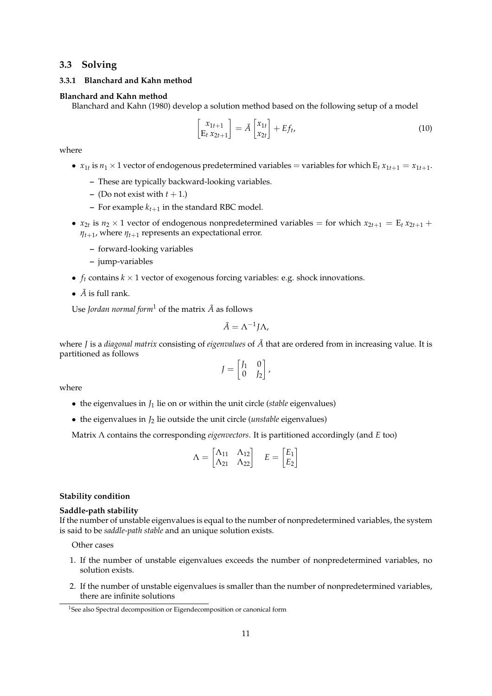### **3.3 Solving**

### **3.3.1 Blanchard and Kahn method**

### **Blanchard and Kahn method**

Blanchard and Kahn (1980) develop a solution method based on the following setup of a model

$$
\begin{bmatrix} x_{1t+1} \\ E_t x_{2t+1} \end{bmatrix} = \tilde{A} \begin{bmatrix} x_{1t} \\ x_{2t} \end{bmatrix} + Ef_t,
$$
\n(10)

where

- $x_{1t}$  is  $n_1 \times 1$  vector of endogenous predetermined variables = variables for which  $E_t x_{1t+1} = x_{1t+1}$ .
	- **–** These are typically backward-looking variables.
	- **–** (Do not exist with  $t + 1$ .)
	- **–** For example  $k_{t+1}$  in the standard RBC model.
- $x_{2t}$  is  $n_2 \times 1$  vector of endogenous nonpredetermined variables = for which  $x_{2t+1} = E_t x_{2t+1} + E_t x_{2t+1}$  $\eta_{t+1}$ , where  $\eta_{t+1}$  represents an expectational error.
	- **–** forward-looking variables
	- **–** jump-variables
- $f_t$  contains  $k \times 1$  vector of exogenous forcing variables: e.g. shock innovations.
- $\tilde{A}$  is full rank.

Use *Jordan normal form*<sup>1</sup> of the matrix  $\tilde{A}$  as follows

$$
\tilde{A}=\Lambda^{-1}J\Lambda,
$$

where *J* is a *diagonal matrix* consisting of *eigenvalues* of  $\tilde{A}$  that are ordered from in increasing value. It is partitioned as follows

$$
J = \begin{bmatrix} J_1 & 0 \\ 0 & J_2 \end{bmatrix},
$$

where

- the eigenvalues in *J*<sup>1</sup> lie on or within the unit circle (*stable* eigenvalues)
- the eigenvalues in *J*<sup>2</sup> lie outside the unit circle (*unstable* eigenvalues)

Matrix Λ contains the corresponding *eigenvectors*. It is partitioned accordingly (and *E* too)

$$
\Lambda = \begin{bmatrix} \Lambda_{11} & \Lambda_{12} \\ \Lambda_{21} & \Lambda_{22} \end{bmatrix} \quad E = \begin{bmatrix} E_1 \\ E_2 \end{bmatrix}
$$

### **Stability condition**

### **Saddle-path stability**

If the number of unstable eigenvalues is equal to the number of nonpredetermined variables, the system is said to be *saddle-path stable* and an unique solution exists.

Other cases

- 1. If the number of unstable eigenvalues exceeds the number of nonpredetermined variables, no solution exists.
- 2. If the number of unstable eigenvalues is smaller than the number of nonpredetermined variables, there are infinite solutions

<sup>&</sup>lt;sup>1</sup>See also Spectral decomposition or Eigendecomposition or canonical form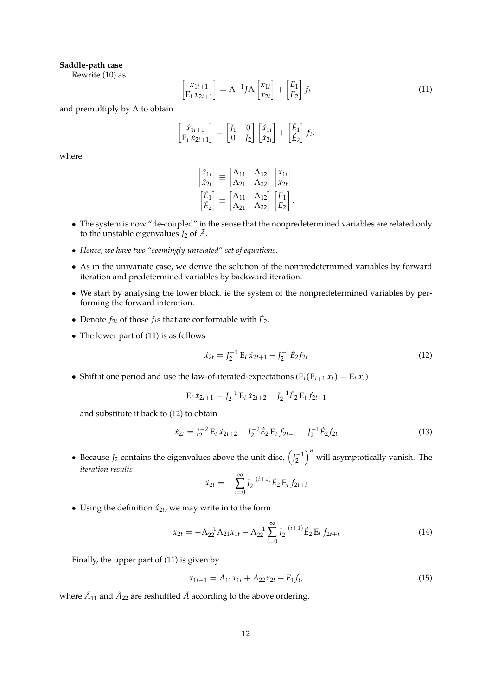### **Saddle-path case**

Rewrite (10) as

$$
\begin{bmatrix} x_{1t+1} \\ E_t x_{2t+1} \end{bmatrix} = \Lambda^{-1} J \Lambda \begin{bmatrix} x_{1t} \\ x_{2t} \end{bmatrix} + \begin{bmatrix} E_1 \\ E_2 \end{bmatrix} f_t \tag{11}
$$

and premultiply by  $\Lambda$  to obtain

$$
\begin{bmatrix} \acute{x}_{1t+1} \\ E_t \acute{x}_{2t+1} \end{bmatrix} = \begin{bmatrix} J_1 & 0 \\ 0 & J_2 \end{bmatrix} \begin{bmatrix} \acute{x}_{1t} \\ \acute{x}_{2t} \end{bmatrix} + \begin{bmatrix} \acute{E}_1 \\ \acute{E}_2 \end{bmatrix} f_t,
$$

where

|                                                                                   |  | $\begin{bmatrix} \acute{x}_{1t} \\ \acute{x}_{2t} \end{bmatrix} \equiv \begin{bmatrix} \Lambda_{11} & \Lambda_{12} \\ \Lambda_{21} & \Lambda_{22} \end{bmatrix} \begin{bmatrix} x_{1t} \\ x_{2t} \end{bmatrix}$ |  |
|-----------------------------------------------------------------------------------|--|-----------------------------------------------------------------------------------------------------------------------------------------------------------------------------------------------------------------|--|
| $\left[\begin{matrix} \acute{E}_{1} \\ \acute{E}_{2} \end{matrix} \right] \equiv$ |  | $\begin{bmatrix} \Lambda_{11} & \Lambda_{12} \\ \Lambda_{21} & \Lambda_{22} \end{bmatrix} \begin{bmatrix} E_1 \\ E_2 \end{bmatrix}.$                                                                            |  |

- The system is now "de-coupled" in the sense that the nonpredetermined variables are related only to the unstable eigenvalues  $J_2$  of  $\ddot{A}$ .
- *Hence, we have two "seemingly unrelated" set of equations.*
- As in the univariate case, we derive the solution of the nonpredetermined variables by forward iteration and predetermined variables by backward iteration.
- We start by analysing the lower block, ie the system of the nonpredetermined variables by performing the forward interation.
- Denote  $f_{2t}$  of those  $f_t$ s that are conformable with  $\hat{E}_2$ .
- The lower part of (11) is as follows

$$
\acute{x}_{2t} = J_2^{-1} E_t \, \acute{x}_{2t+1} - J_2^{-1} \acute{E}_2 f_{2t} \tag{12}
$$

• Shift it one period and use the law-of-iterated-expectations  $(E_t(E_{t+1} x_t) = E_t x_t)$ 

$$
E_t \, \acute{x}_{2t+1} = J_2^{-1} \, E_t \, \acute{x}_{2t+2} - J_2^{-1} \acute{E}_2 \, E_t \, f_{2t+1}
$$

and substitute it back to (12) to obtain

$$
\acute{x}_{2t} = J_2^{-2} E_t \, \acute{x}_{2t+2} - J_2^{-2} \acute{E}_2 E_t \, f_{2t+1} - J_2^{-1} \acute{E}_2 f_{2t} \tag{13}
$$

• Because  $J_2$  contains the eigenvalues above the unit disc,  $\left(J_2^{-1}\right)^n$  will asymptotically vanish. The *iteration results*

$$
\acute{x}_{2t} = -\sum_{i=0}^{\infty} J_2^{-(i+1)} \acute{E}_2 \, \mathrm{E}_t \, f_{2t+i}
$$

• Using the definition  $\dot{x}_{2t}$ , we may write in to the form

$$
x_{2t} = -\Lambda_{22}^{-1} \Lambda_{21} x_{1t} - \Lambda_{22}^{-1} \sum_{i=0}^{\infty} J_2^{-(i+1)} \hat{E}_2 E_t f_{2t+i}
$$
(14)

Finally, the upper part of (11) is given by

$$
x_{1t+1} = \tilde{A}_{11}x_{1t} + \tilde{A}_{22}x_{2t} + E_1f_t, \tag{15}
$$

where  $\tilde{A}_{11}$  and  $\tilde{A}_{22}$  are reshuffled  $\tilde{A}$  according to the above ordering.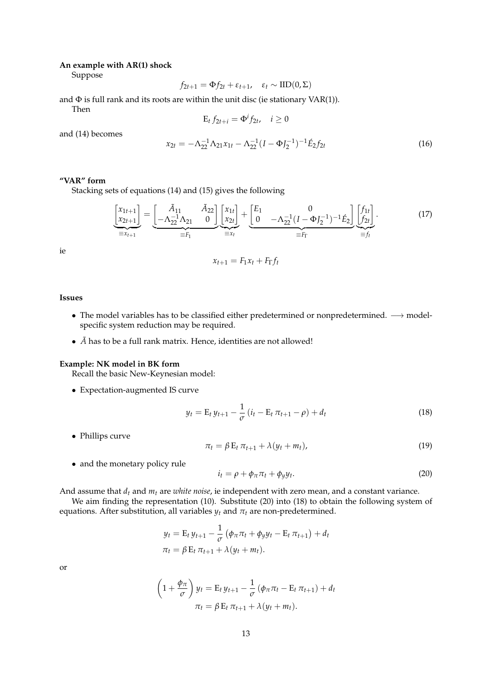### **An example with AR(1) shock**

Suppose

$$
f_{2t+1} = \Phi f_{2t} + \varepsilon_{t+1}, \quad \varepsilon_t \sim \text{IID}(0, \Sigma)
$$

and  $\Phi$  is full rank and its roots are within the unit disc (ie stationary VAR(1)). Then

$$
E_t f_{2t+i} = \Phi^i f_{2t}, \quad i \ge 0
$$

and (14) becomes

$$
x_{2t} = -\Lambda_{22}^{-1} \Lambda_{21} x_{1t} - \Lambda_{22}^{-1} (I - \Phi J_2^{-1})^{-1} \mathring{E}_2 f_{2t}
$$
\n(16)

### **"VAR" form**

Stacking sets of equations (14) and (15) gives the following

$$
\underbrace{\begin{bmatrix} x_{1t+1} \\ x_{2t+1} \end{bmatrix}}_{\equiv x_{t+1}} = \underbrace{\begin{bmatrix} \tilde{A}_{11} & \tilde{A}_{22} \\ -\Lambda_{22}^{-1} \Lambda_{21} & 0 \end{bmatrix}}_{\equiv F_1} \underbrace{\begin{bmatrix} x_{1t} \\ x_{2t} \end{bmatrix}}_{\equiv x_t} + \underbrace{\begin{bmatrix} E_1 & 0 \\ 0 & -\Lambda_{22}^{-1} (I - \Phi J_2^{-1})^{-1} \hat{E}_2 \end{bmatrix}}_{\equiv F_{\Gamma}} \underbrace{\begin{bmatrix} f_{1t} \\ f_{2t} \end{bmatrix}}_{\equiv f_t}.
$$
 (17)

ie

$$
x_{t+1} = F_1 x_t + F_\Gamma f_t
$$

### **Issues**

- The model variables has to be classified either predetermined or nonpredetermined. −→ modelspecific system reduction may be required.
- $\bullet$   $\tilde{A}$  has to be a full rank matrix. Hence, identities are not allowed!

#### **Example: NK model in BK form**

Recall the basic New-Keynesian model:

• Expectation-augmented IS curve

$$
y_t = \mathcal{E}_t y_{t+1} - \frac{1}{\sigma} (i_t - \mathcal{E}_t \pi_{t+1} - \rho) + d_t
$$
 (18)

• Phillips curve

$$
\pi_t = \beta E_t \, \pi_{t+1} + \lambda (y_t + m_t), \tag{19}
$$

• and the monetary policy rule

$$
i_t = \rho + \phi_\pi \pi_t + \phi_y y_t. \tag{20}
$$

And assume that *d<sup>t</sup>* and *m<sup>t</sup>* are *white noise*, ie independent with zero mean, and a constant variance.

We aim finding the representation (10). Substitute (20) into (18) to obtain the following system of equations. After substitution, all variables  $y_t$  and  $\pi_t$  are non-predetermined.

$$
y_{t} = E_{t} y_{t+1} - \frac{1}{\sigma} (\phi_{\pi} \pi_{t} + \phi_{y} y_{t} - E_{t} \pi_{t+1}) + d_{t}
$$
  

$$
\pi_{t} = \beta E_{t} \pi_{t+1} + \lambda (y_{t} + m_{t}).
$$

or

$$
\left(1+\frac{\phi_{\pi}}{\sigma}\right)y_t = \mathbf{E}_t y_{t+1} - \frac{1}{\sigma}(\phi_{\pi}\pi_t - \mathbf{E}_t \pi_{t+1}) + d_t
$$

$$
\pi_t = \beta \mathbf{E}_t \pi_{t+1} + \lambda(y_t + m_t).
$$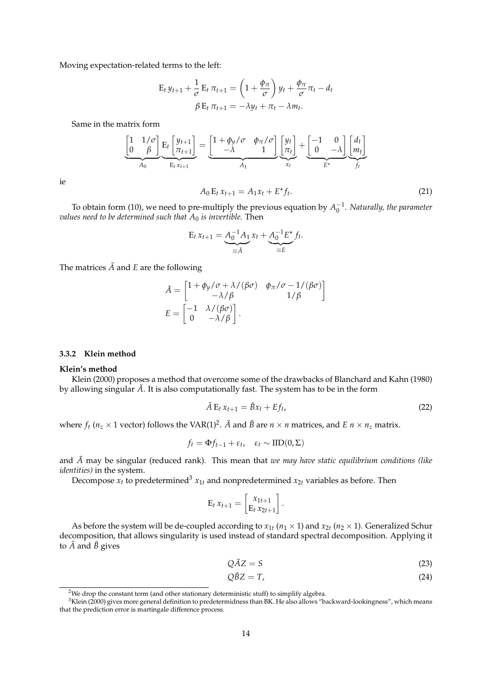Moving expectation-related terms to the left:

$$
E_t y_{t+1} + \frac{1}{\sigma} E_t \pi_{t+1} = \left(1 + \frac{\phi_{\pi}}{\sigma}\right) y_t + \frac{\phi_{\pi}}{\sigma} \pi_t - d_t
$$

$$
\beta E_t \pi_{t+1} = -\lambda y_t + \pi_t - \lambda m_t.
$$

Same in the matrix form

$$
\underbrace{\begin{bmatrix} 1 & 1/\sigma \\ 0 & \beta \end{bmatrix}}_{A_0} \underbrace{E_t \begin{bmatrix} y_{t+1} \\ \pi_{t+1} \end{bmatrix}}_{E_t x_{t+1}} = \underbrace{\begin{bmatrix} 1 + \phi_y/\sigma & \phi_\pi/\sigma \\ -\lambda & 1 \end{bmatrix}}_{A_1} \underbrace{\begin{bmatrix} y_t \\ \pi_t \end{bmatrix}}_{x_t} + \underbrace{\begin{bmatrix} -1 & 0 \\ 0 & -\lambda \end{bmatrix}}_{E^*} \underbrace{\begin{bmatrix} d_t \\ m_t \end{bmatrix}}_{f_t}
$$

ie

$$
A_0 \mathbf{E}_t \, x_{t+1} = A_1 x_t + E^\star f_t. \tag{21}
$$

To obtain form (10), we need to pre-multiply the previous equation by  $A_0^{-1}$ . *Naturally, the parameter values need to be determined such that*  $A_0$  *is invertible.* Then

$$
E_t x_{t+1} = \underbrace{A_0^{-1} A_1}_{\equiv \tilde{A}} x_t + \underbrace{A_0^{-1} E^{\star}}_{\equiv E} f_t.
$$

The matrices  $\tilde{A}$  and  $E$  are the following

$$
\tilde{A} = \begin{bmatrix}\n1 + \phi_y / \sigma + \lambda / (\beta \sigma) & \phi_\pi / \sigma - 1 / (\beta \sigma) \\
-\lambda / \beta & 1 / \beta\n\end{bmatrix}
$$
\n
$$
E = \begin{bmatrix}\n-1 & \lambda / (\beta \sigma) \\
0 & -\lambda / \beta\n\end{bmatrix}.
$$

### **3.3.2 Klein method**

#### **Klein's method**

Klein (2000) proposes a method that overcome some of the drawbacks of Blanchard and Kahn (1980) by allowing singular  $\tilde{A}$ . It is also computationally fast. The system has to be in the form

$$
\tilde{A} E_t x_{t+1} = \tilde{B} x_t + E f_t, \tag{22}
$$

where  $f_t$  ( $n_z \times 1$  vector) follows the VAR(1)<sup>2</sup>.  $\tilde{A}$  and  $\tilde{B}$  are  $n \times n$  matrices, and  $E n \times n_z$  matrix.

$$
f_t = \Phi f_{t-1} + \varepsilon_t, \quad \varepsilon_t \sim \text{IID}(0, \Sigma)
$$

and *A*˜ may be singular (reduced rank). This mean that *we may have static equilibrium conditions (like identities)* in the system.

Decompose  $x_t$  to predetermined<sup>3</sup>  $x_{1t}$  and nonpredetermined  $x_{2t}$  variables as before. Then

$$
E_t x_{t+1} = \begin{bmatrix} x_{1t+1} \\ E_t x_{2t+1} \end{bmatrix}.
$$

As before the system will be de-coupled according to  $x_{1t}$  ( $n_1 \times 1$ ) and  $x_{2t}$  ( $n_2 \times 1$ ). Generalized Schur decomposition, that allows singularity is used instead of standard spectral decomposition. Applying it to  $\tilde{A}$  and  $\tilde{B}$  gives

$$
Q\tilde{A}Z = S \tag{23}
$$

$$
Q\tilde{B}Z = T,\t\t(24)
$$

<sup>&</sup>lt;sup>2</sup>We drop the constant term (and other stationary deterministic stuff) to simplify algebra.

 $3$ Klein (2000) gives more general definition to predetermidness than BK. He also allows "backward-lookingness", which means that the prediction error is martingale difference process.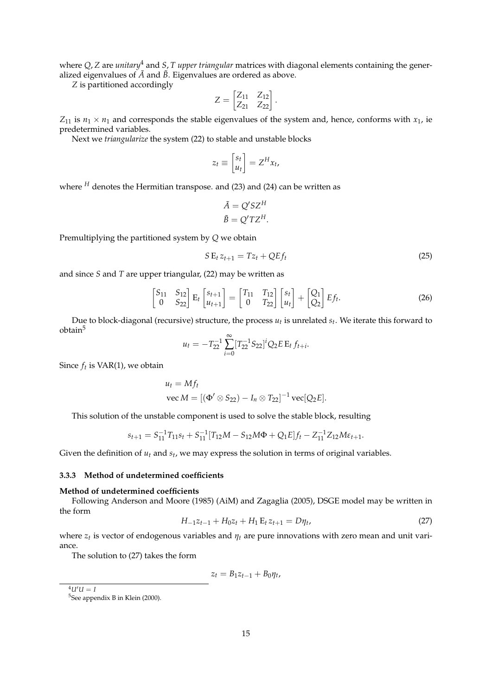where *Q*, *Z* are *unitary*<sup>4</sup> and *S*, *T upper triangular* matrices with diagonal elements containing the generalized eigenvalues of  $\tilde{A}$  and  $\tilde{B}$ . Eigenvalues are ordered as above.

*Z* is partitioned accordingly

$$
Z=\begin{bmatrix} Z_{11} & Z_{12} \\ Z_{21} & Z_{22} \end{bmatrix}.
$$

 $Z_{11}$  is  $n_1 \times n_1$  and corresponds the stable eigenvalues of the system and, hence, conforms with  $x_1$ , ie predetermined variables.

Next we *triangularize* the system (22) to stable and unstable blocks

$$
z_t \equiv \begin{bmatrix} s_t \\ u_t \end{bmatrix} = Z^H x_t,
$$

where  $^H$  denotes the Hermitian transpose. and (23) and (24) can be written as

$$
\tilde{A} = Q'SZ^H
$$

$$
\tilde{B} = Q'TZ^H.
$$

Premultiplying the partitioned system by *Q* we obtain

$$
SE_t z_{t+1} = Tz_t + QEf_t \tag{25}
$$

and since *S* and *T* are upper triangular, (22) may be written as

$$
\begin{bmatrix} S_{11} & S_{12} \\ 0 & S_{22} \end{bmatrix} \mathbf{E}_t \begin{bmatrix} s_{t+1} \\ u_{t+1} \end{bmatrix} = \begin{bmatrix} T_{11} & T_{12} \\ 0 & T_{22} \end{bmatrix} \begin{bmatrix} s_t \\ u_t \end{bmatrix} + \begin{bmatrix} Q_1 \\ Q_2 \end{bmatrix} E f_t. \tag{26}
$$

Due to block-diagonal (recursive) structure, the process *u<sup>t</sup>* is unrelated *s<sup>t</sup>* . We iterate this forward to obtain<sup>5</sup>

$$
u_t = -T_{22}^{-1} \sum_{i=0}^{\infty} [T_{22}^{-1} S_{22}]^i Q_2 E E_t f_{t+i}.
$$

Since *f<sup>t</sup>* is VAR(1), we obtain

$$
u_t = Mf_t
$$
  
vec  $M = [(\Phi' \otimes S_{22}) - I_n \otimes T_{22}]^{-1}$ vec[ $Q_2E$ ].

This solution of the unstable component is used to solve the stable block, resulting

$$
s_{t+1} = S_{11}^{-1}T_{11}s_t + S_{11}^{-1}[T_{12}M - S_{12}M\Phi + Q_1E]f_t - Z_{11}^{-1}Z_{12}M\varepsilon_{t+1}.
$$

Given the definition of *u<sup>t</sup>* and *s<sup>t</sup>* , we may express the solution in terms of original variables.

### **3.3.3 Method of undetermined coefficients**

#### **Method of undetermined coefficients**

Following Anderson and Moore (1985) (AiM) and Zagaglia (2005), DSGE model may be written in the form

$$
H_{-1}z_{t-1} + H_0z_t + H_1 \mathbf{E}_t z_{t+1} = D\eta_t, \tag{27}
$$

where *z<sup>t</sup>* is vector of endogenous variables and *ηt* are pure innovations with zero mean and unit variance.

The solution to (27) takes the form

$$
z_t = B_1 z_{t-1} + B_0 \eta_t,
$$

 $^{4}U^{\prime}U = I$ 

<sup>&</sup>lt;sup>5</sup>See appendix B in Klein (2000).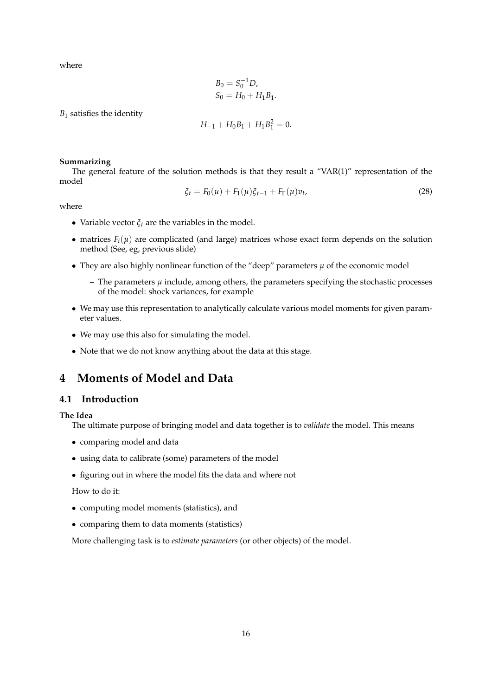where

$$
B_0 = S_0^{-1} D,
$$
  
\n
$$
S_0 = H_0 + H_1 B_1.
$$

*B*<sup>1</sup> satisfies the identity

$$
H_{-1} + H_0 B_1 + H_1 B_1^2 = 0.
$$

### **Summarizing**

The general feature of the solution methods is that they result a "VAR(1)" representation of the model

$$
\xi_t = F_0(\mu) + F_1(\mu)\xi_{t-1} + F_\Gamma(\mu)v_t,\tag{28}
$$

where

- Variable vector  $\xi_t$  are the variables in the model.
- matrices  $F_i(\mu)$  are complicated (and large) matrices whose exact form depends on the solution method (See, eg, previous slide)
- They are also highly nonlinear function of the "deep" parameters *µ* of the economic model
	- $-$  The parameters  $\mu$  include, among others, the parameters specifying the stochastic processes of the model: shock variances, for example
- We may use this representation to analytically calculate various model moments for given parameter values.
- We may use this also for simulating the model.
- Note that we do not know anything about the data at this stage.

# **4 Moments of Model and Data**

### **4.1 Introduction**

**The Idea**

The ultimate purpose of bringing model and data together is to *validate* the model. This means

- comparing model and data
- using data to calibrate (some) parameters of the model
- figuring out in where the model fits the data and where not

### How to do it:

- computing model moments (statistics), and
- comparing them to data moments (statistics)

More challenging task is to *estimate parameters* (or other objects) of the model.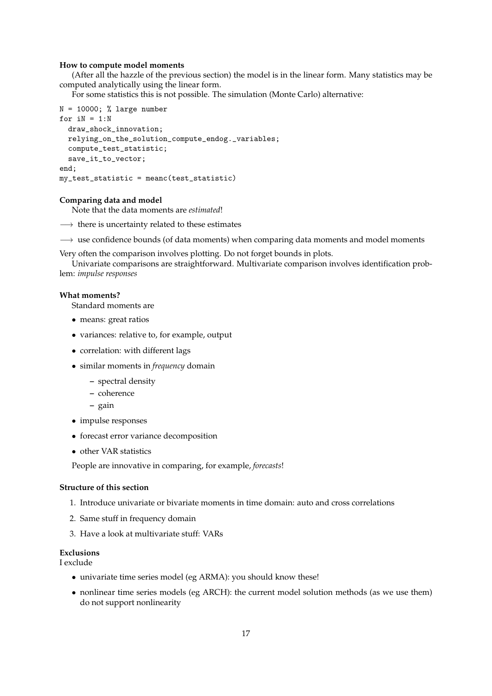### **How to compute model moments**

(After all the hazzle of the previous section) the model is in the linear form. Many statistics may be computed analytically using the linear form.

For some statistics this is not possible. The simulation (Monte Carlo) alternative:

```
N = 10000; % large number
for iN = 1:Ndraw_shock_innovation;
 relying_on_the_solution_compute_endog._variables;
 compute_test_statistic;
 save_it_to_vector;
end;
my_test_statistic = meanc(test_statistic)
```
### **Comparing data and model**

Note that the data moments are *estimated*!

- $\rightarrow$  there is uncertainty related to these estimates
- $\rightarrow$  use confidence bounds (of data moments) when comparing data moments and model moments

Very often the comparison involves plotting. Do not forget bounds in plots.

Univariate comparisons are straightforward. Multivariate comparison involves identification problem: *impulse responses*

### **What moments?**

Standard moments are

- means: great ratios
- variances: relative to, for example, output
- correlation: with different lags
- similar moments in *frequency* domain
	- **–** spectral density
	- **–** coherence
	- **–** gain
- impulse responses
- forecast error variance decomposition
- other VAR statistics

People are innovative in comparing, for example, *forecasts*!

### **Structure of this section**

- 1. Introduce univariate or bivariate moments in time domain: auto and cross correlations
- 2. Same stuff in frequency domain
- 3. Have a look at multivariate stuff: VARs

### **Exclusions**

I exclude

- univariate time series model (eg ARMA): you should know these!
- nonlinear time series models (eg ARCH): the current model solution methods (as we use them) do not support nonlinearity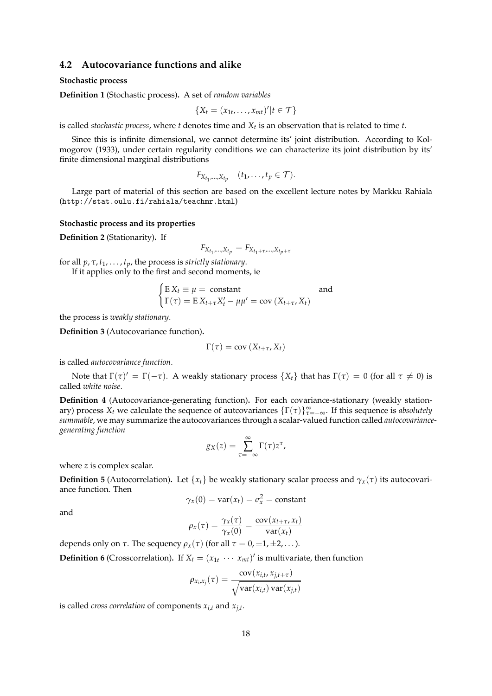### **4.2 Autocovariance functions and alike**

### **Stochastic process**

**Definition 1** (Stochastic process)**.** A set of *random variables*

$$
\{X_t=(x_{1t},\ldots,x_{mt})'|t\in\mathcal{T}\}
$$

is called *stochastic process*, where *t* denotes time and *X<sup>t</sup>* is an observation that is related to time *t*.

Since this is infinite dimensional, we cannot determine its' joint distribution. According to Kolmogorov (1933), under certain regularity conditions we can characterize its joint distribution by its' finite dimensional marginal distributions

$$
F_{X_{t_1},\ldots,X_{t_p}} \quad (t_1,\ldots,t_p\in\mathcal{T}).
$$

Large part of material of this section are based on the excellent lecture notes by Markku Rahiala (http://stat.oulu.fi/rahiala/teachmr.html)

### **Stochastic process and its properties**

**Definition 2** (Stationarity)**.** If

$$
F_{X_{t_1},...,X_{t_p}} = F_{X_{t_1+\tau},...,X_{t_p+\tau}}
$$

for all *p*, *τ*, *t*1, . . . , *tp*, the process is *strictly stationary*.

If it applies only to the first and second moments, ie

$$
\begin{cases} E X_t \equiv \mu = \text{constant} & \text{and} \\ \Gamma(\tau) = E X_{t+\tau} X_t' - \mu \mu' = \text{cov}(X_{t+\tau}, X_t) \end{cases}
$$

the process is *weakly stationary*.

**Definition 3** (Autocovariance function)**.**

$$
\Gamma(\tau) = \text{cov}\left(X_{t+\tau}, X_t\right)
$$

is called *autocovariance function*.

Note that  $\Gamma(\tau)' = \Gamma(-\tau)$ . A weakly stationary process  $\{X_t\}$  that has  $\Gamma(\tau) = 0$  (for all  $\tau \neq 0$ ) is called *white noise*.

**Definition 4** (Autocovariance-generating function)**.** For each covariance-stationary (weakly stationary) process  $X_t$  we calculate the sequence of autcovariances  $\{\Gamma(\tau)\}_{\tau=-\infty}^{\infty}$ . If this sequence is *absolutely summable*, we may summarize the autocovariances through a scalar-valued function called *autocovariancegenerating function*

$$
g_X(z) = \sum_{\tau = -\infty}^{\infty} \Gamma(\tau) z^{\tau},
$$

where *z* is complex scalar.

**Definition 5** (Autocorrelation). Let  $\{x_t\}$  be weakly stationary scalar process and  $\gamma_x(\tau)$  its autocovariance function. Then

$$
\gamma_x(0) = \text{var}(x_t) = \sigma_x^2 = \text{constant}
$$

and

$$
\rho_x(\tau) = \frac{\gamma_x(\tau)}{\gamma_x(0)} = \frac{\text{cov}(x_{t+\tau}, x_t)}{\text{var}(x_t)}
$$

depends only on  $\tau$ . The sequency  $\rho_x(\tau)$  (for all  $\tau = 0, \pm 1, \pm 2, \ldots$ ).

**Definition 6** (Crosscorrelation). If  $X_t = (x_{1t} \cdots x_{mt})'$  is multivariate, then function

$$
\rho_{x_i,x_j}(\tau) = \frac{\text{cov}(x_{i,t}, x_{j,t+\tau})}{\sqrt{\text{var}(x_{i,t})\text{var}(x_{j,t})}}
$$

is called *cross correlation* of components *xi*,*<sup>t</sup>* and *xj*,*<sup>t</sup>* .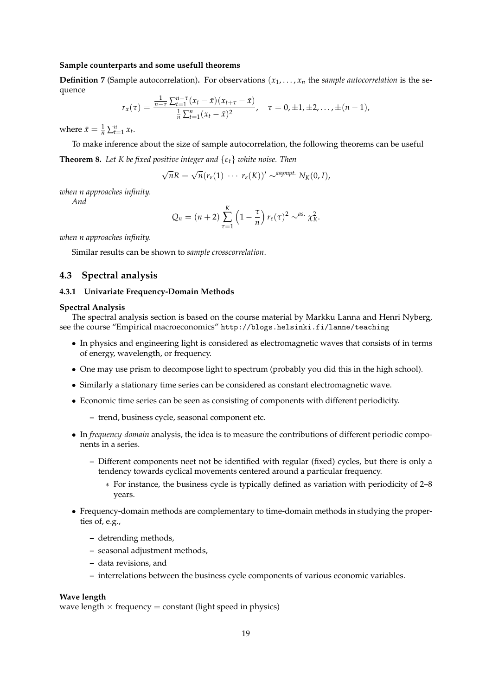#### **Sample counterparts and some usefull theorems**

**Definition 7** (Sample autocorrelation). For observations  $(x_1, \ldots, x_n)$  the *sample autocorrelation* is the sequence

$$
r_{x}(\tau)=\frac{\frac{1}{n-\tau}\sum_{t=1}^{n-\tau}(x_{t}-\bar{x})(x_{t+\tau}-\bar{x})}{\frac{1}{n}\sum_{t=1}^{n}(x_{t}-\bar{x})^{2}},\quad \tau=0,\pm 1,\pm 2,\ldots,\pm (n-1),
$$

where  $\bar{x} = \frac{1}{n} \sum_{t=1}^{n} x_t$ .

To make inference about the size of sample autocorrelation, the following theorems can be useful

**Theorem 8.** *Let K be fixed positive integer and* {*εt*} *white noise. Then*

$$
\sqrt{n}R = \sqrt{n}(r_{\varepsilon}(1) \cdots r_{\varepsilon}(K))' \sim^{asympt.} N_K(0,I),
$$

*when n approaches infinity.*

*And*

$$
Q_n = (n+2) \sum_{\tau=1}^K \left(1 - \frac{\tau}{n}\right) r_{\varepsilon}(\tau)^2 \sim^{as.} \chi_K^2.
$$

*when n approaches infinity.*

Similar results can be shown to *sample crosscorrelation*.

### **4.3 Spectral analysis**

### **4.3.1 Univariate Frequency-Domain Methods**

#### **Spectral Analysis**

The spectral analysis section is based on the course material by Markku Lanna and Henri Nyberg, see the course "Empirical macroeconomics" http://blogs.helsinki.fi/lanne/teaching

- In physics and engineering light is considered as electromagnetic waves that consists of in terms of energy, wavelength, or frequency.
- One may use prism to decompose light to spectrum (probably you did this in the high school).
- Similarly a stationary time series can be considered as constant electromagnetic wave.
- Economic time series can be seen as consisting of components with different periodicity.
	- **–** trend, business cycle, seasonal component etc.
- In *frequency-domain* analysis, the idea is to measure the contributions of different periodic components in a series.
	- **–** Different components neet not be identified with regular (fixed) cycles, but there is only a tendency towards cyclical movements centered around a particular frequency.
		- ∗ For instance, the business cycle is typically defined as variation with periodicity of 2–8 years.
- Frequency-domain methods are complementary to time-domain methods in studying the properties of, e.g.,
	- **–** detrending methods,
	- **–** seasonal adjustment methods,
	- **–** data revisions, and
	- **–** interrelations between the business cycle components of various economic variables.

### **Wave length**

wave length  $\times$  frequency  $=$  constant (light speed in physics)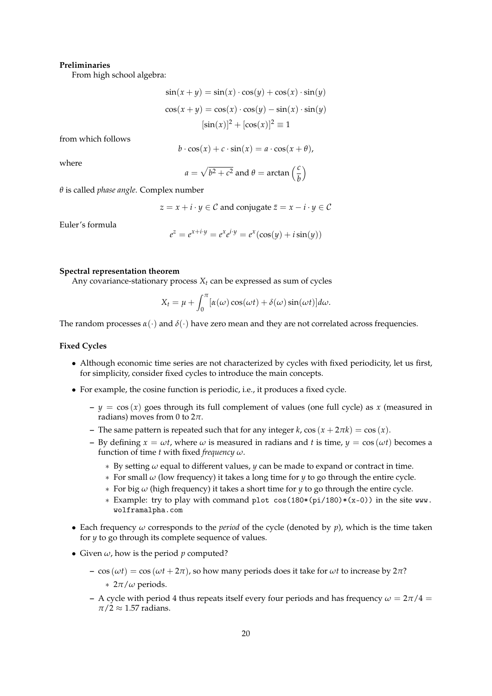### **Preliminaries**

From high school algebra:

$$
\sin(x + y) = \sin(x) \cdot \cos(y) + \cos(x) \cdot \sin(y)
$$

$$
\cos(x + y) = \cos(x) \cdot \cos(y) - \sin(x) \cdot \sin(y)
$$

$$
[\sin(x)]^2 + [\cos(x)]^2 \equiv 1
$$

from which follows

$$
b \cdot \cos(x) + c \cdot \sin(x) = a \cdot \cos(x + \theta),
$$

where

$$
a = \sqrt{b^2 + c^2}
$$
 and  $\theta = \arctan\left(\frac{c}{b}\right)$ 

*θ* is called *phase angle*. Complex number

$$
z = x + i \cdot y \in \mathcal{C}
$$
 and conjugate  $\overline{z} = x - i \cdot y \in \mathcal{C}$ 

Euler's formula

$$
e^{z} = e^{x+i \cdot y} = e^{x}e^{i \cdot y} = e^{x}(\cos(y) + i\sin(y))
$$

#### **Spectral representation theorem**

Any covariance-stationary process  $X_t$  can be expressed as sum of cycles

$$
X_t = \mu + \int_0^{\pi} [\alpha(\omega)\cos(\omega t) + \delta(\omega)\sin(\omega t)]d\omega.
$$

The random processes  $\alpha(\cdot)$  and  $\delta(\cdot)$  have zero mean and they are not correlated across frequencies.

### **Fixed Cycles**

- Although economic time series are not characterized by cycles with fixed periodicity, let us first, for simplicity, consider fixed cycles to introduce the main concepts.
- For example, the cosine function is periodic, i.e., it produces a fixed cycle.
	- $-y = cos(x)$  goes through its full complement of values (one full cycle) as *x* (measured in radians) moves from 0 to 2*π*.
	- **–** The same pattern is repeated such that for any integer *k*,  $\cos(x + 2\pi k) = \cos(x)$ .
	- **–** By defining  $x = \omega t$ , where  $\omega$  is measured in radians and t is time,  $y = \cos(\omega t)$  becomes a function of time *t* with fixed *frequency ω*.
		- ∗ By setting *ω* equal to different values, *y* can be made to expand or contract in time.
		- ∗ For small *ω* (low frequency) it takes a long time for *y* to go through the entire cycle.
		- ∗ For big *ω* (high frequency) it takes a short time for *y* to go through the entire cycle.
		- ∗ Example: try to play with command plot cos(180\*(pi/180)\*(x-0)) in the site www. wolframalpha.com
- Each frequency *ω* corresponds to the *period* of the cycle (denoted by *p*), which is the time taken for *y* to go through its complete sequence of values.
- Given  $\omega$ , how is the period  $p$  computed?
	- **–** cos (*ωt*) = cos (*ωt* + 2*π*), so how many periods does it take for *ωt* to increase by 2*π*? ∗ 2*π*/*ω* periods.
	- **–** A cycle with period 4 thus repeats itself every four periods and has frequency  $\omega = 2\pi/4 =$  $\pi/2 \approx 1.57$  radians.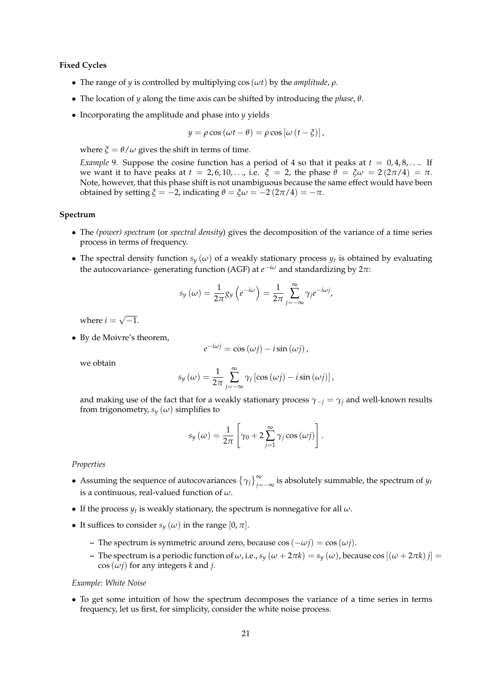### **Fixed Cycles**

- The range of *y* is controlled by multiplying  $cos(\omega t)$  by the *amplitude*,  $\rho$ .
- The location of *y* along the time axis can be shifted by introducing the *phase*, *θ*.
- Incorporating the amplitude and phase into *y* yields

$$
y = \rho \cos (\omega t - \theta) = \rho \cos [\omega (t - \xi)],
$$

where  $\xi = \theta/\omega$  gives the shift in terms of time.

*Example* 9. Suppose the cosine function has a period of 4 so that it peaks at  $t = 0, 4, 8, \ldots$  If we want it to have peaks at  $t = 2, 6, 10, \ldots$ , i.e.  $\xi = 2$ , the phase  $\theta = \xi \omega = 2(2\pi/4) = \pi$ . Note, however, that this phase shift is not unambiguous because the same effect would have been obtained by setting *ξ* = −2, indicating *θ* = *ξω* = −2 (2*π*/4) = −*π*.

### **Spectrum**

- The *(power) spectrum* (or *spectral density*) gives the decomposition of the variance of a time series process in terms of frequency.
- The spectral density function  $s_y(\omega)$  of a weakly stationary process  $y_t$  is obtained by evaluating the autocovariance- generating function (AGF) at *e* <sup>−</sup>*i<sup>ω</sup>* and standardizing by 2*π*:

$$
s_{y}(\omega) = \frac{1}{2\pi} g_{y} \left( e^{-i\omega} \right) = \frac{1}{2\pi} \sum_{j=-\infty}^{\infty} \gamma_{j} e^{-i\omega j},
$$

where  $i =$ √  $-1.$ 

• By de Moivre's theorem,

$$
e^{-i\omega j} = \cos{(\omega j)} - i\sin{(\omega j)}\,
$$

we obtain

$$
s_{y}(\omega) = \frac{1}{2\pi} \sum_{j=-\infty}^{\infty} \gamma_{j} \left[ \cos{(\omega j)} - i \sin{(\omega j)} \right],
$$

and making use of the fact that for a weakly stationary process  $\gamma_{-i} = \gamma_i$  and well-known results from trigonometry,  $s_y(\omega)$  simplifies to

$$
s_{y}(\omega) = \frac{1}{2\pi} \left[ \gamma_0 + 2 \sum_{j=1}^{\infty} \gamma_j \cos{(\omega j)} \right].
$$

*Properties*

- Assuming the sequence of autocovariances  $\{\gamma_j\}_{j=-\infty}^{\infty}$  is absolutely summable, the spectrum of  $y_t$ is a continuous, real-valued function of *ω*.
- If the process  $y_t$  is weakly stationary, the spectrum is nonnegative for all  $\omega$ .
- It suffices to consider  $s_y(\omega)$  in the range  $[0, \pi]$ .
	- **–** The spectrum is symmetric around zero, because cos (−*ωj*) = cos (*ωj*).
	- **–** The spectrum is a periodic function of *ω*, i.e., *s<sup>y</sup>* (*ω* + 2*πk*) = *s<sup>y</sup>* (*ω*), because cos [(*ω* + 2*πk*) *j*] =  $\cos(\omega j)$  for any integers *k* and *j*.

*Example: White Noise*

• To get some intuition of how the spectrum decomposes the variance of a time series in terms frequency, let us first, for simplicity, consider the white noise process.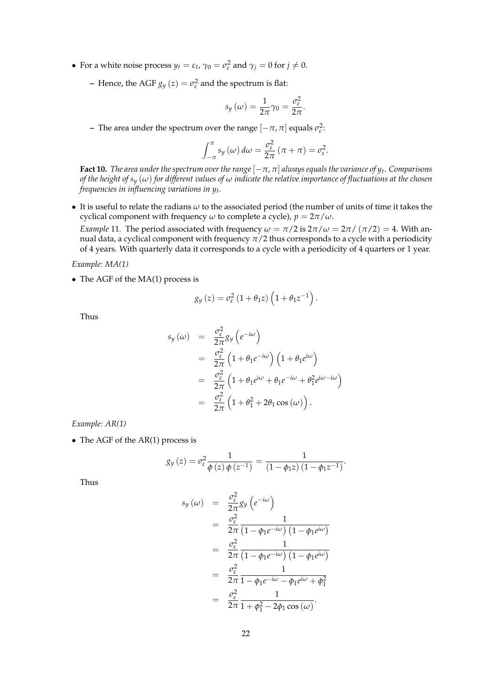- For a white noise process  $y_t = \varepsilon_t$ ,  $\gamma_0 = \sigma_\varepsilon^2$  and  $\gamma_j = 0$  for  $j \neq 0$ .
	- **–** Hence, the AGF  $g_y(z) = \sigma_{\varepsilon}^2$  and the spectrum is flat:

$$
s_y(\omega) = \frac{1}{2\pi}\gamma_0 = \frac{\sigma_{\varepsilon}^2}{2\pi}.
$$

**–** The area under the spectrum over the range  $[-\pi, \pi]$  equals  $\sigma_{\varepsilon}^2$ :

$$
\int_{-\pi}^{\pi} s_y(\omega) d\omega = \frac{\sigma_{\varepsilon}^2}{2\pi} (\pi + \pi) = \sigma_{\varepsilon}^2.
$$

**Fact 10.** *The area under the spectrum over the range* [−*π*, *π*] *always equals the variance of y<sup>t</sup> . Comparisons of the height of s<sup>y</sup>* (*ω*) *for different values of ω indicate the relative importance of fluctuations at the chosen frequencies in influencing variations in y<sup>t</sup> .*

• It is useful to relate the radians *ω* to the associated period (the number of units of time it takes the cyclical component with frequency  $\omega$  to complete a cycle),  $p = 2\pi/\omega$ .

*Example* 11. The period associated with frequency  $\omega = \pi/2$  is  $2\pi/\omega = 2\pi/( \pi/2) = 4$ . With annual data, a cyclical component with frequency  $\pi/2$  thus corresponds to a cycle with a periodicity of 4 years. With quarterly data it corresponds to a cycle with a periodicity of 4 quarters or 1 year.

*Example: MA(1)*

• The AGF of the MA(1) process is

$$
g_y(z) = \sigma_{\varepsilon}^2 (1 + \theta_1 z) \left( 1 + \theta_1 z^{-1} \right).
$$

Thus

$$
s_y(\omega) = \frac{\sigma_{\varepsilon}^2}{2\pi} g_y \left( e^{-i\omega} \right)
$$
  
=  $\frac{\sigma_{\varepsilon}^2}{2\pi} \left( 1 + \theta_1 e^{-i\omega} \right) \left( 1 + \theta_1 e^{i\omega} \right)$   
=  $\frac{\sigma_{\varepsilon}^2}{2\pi} \left( 1 + \theta_1 e^{i\omega} + \theta_1 e^{-i\omega} + \theta_1^2 e^{i\omega - i\omega} \right)$   
=  $\frac{\sigma_{\varepsilon}^2}{2\pi} \left( 1 + \theta_1^2 + 2\theta_1 \cos(\omega) \right).$ 

*Example: AR(1)*

• The AGF of the AR(1) process is

$$
g_y(z) = \sigma_\varepsilon^2 \frac{1}{\phi(z)\,\phi(z^{-1})} = \frac{1}{(1-\phi_1 z)\,(1-\phi_1 z^{-1})}.
$$

Thus

$$
s_y(\omega) = \frac{\sigma_{\varepsilon}^2}{2\pi} g_y \left( e^{-i\omega} \right)
$$
  
= 
$$
\frac{\sigma_{\varepsilon}^2}{2\pi} \frac{1}{\left( 1 - \phi_1 e^{-i\omega} \right) \left( 1 - \phi_1 e^{i\omega} \right)}
$$
  
= 
$$
\frac{\sigma_{\varepsilon}^2}{2\pi} \frac{1}{\left( 1 - \phi_1 e^{-i\omega} \right) \left( 1 - \phi_1 e^{i\omega} \right)}
$$
  
= 
$$
\frac{\sigma_{\varepsilon}^2}{2\pi} \frac{1}{1 - \phi_1 e^{-i\omega} - \phi_1 e^{i\omega} + \phi_1^2}
$$
  
= 
$$
\frac{\sigma_{\varepsilon}^2}{2\pi} \frac{1}{1 + \phi_1^2 - 2\phi_1 \cos(\omega)}.
$$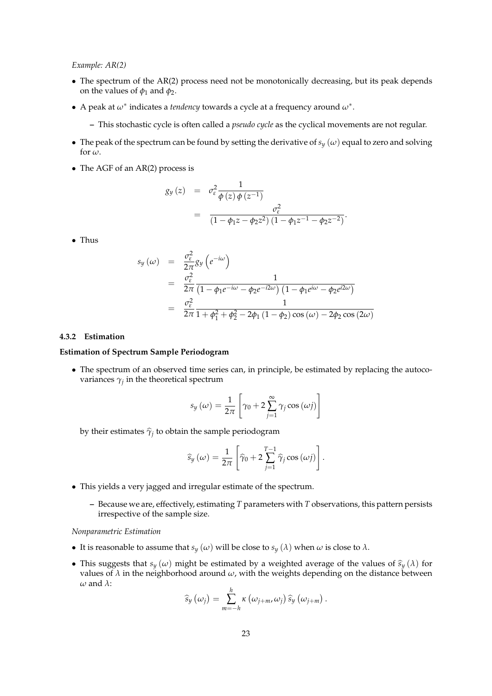*Example: AR(2)*

- The spectrum of the AR(2) process need not be monotonically decreasing, but its peak depends on the values of  $\phi_1$  and  $\phi_2$ .
- A peak at *ω*<sup>∗</sup> indicates a *tendency* towards a cycle at a frequency around *ω*<sup>∗</sup> .
	- **–** This stochastic cycle is often called a *pseudo cycle* as the cyclical movements are not regular.
- The peak of the spectrum can be found by setting the derivative of  $s_y(\omega)$  equal to zero and solving for  $\omega$ .
- The AGF of an AR(2) process is

$$
g_y(z) = \sigma_{\varepsilon}^2 \frac{1}{\phi(z) \phi(z^{-1})}
$$
  
= 
$$
\frac{\sigma_{\varepsilon}^2}{(1 - \phi_1 z - \phi_2 z^2) (1 - \phi_1 z^{-1} - \phi_2 z^{-2})}.
$$

• Thus

$$
s_y(\omega) = \frac{\sigma_{\varepsilon}^2}{2\pi} g_y \left( e^{-i\omega} \right)
$$
  
=  $\frac{\sigma_{\varepsilon}^2}{2\pi} \frac{1}{\left( 1 - \phi_1 e^{-i\omega} - \phi_2 e^{-i2\omega} \right) \left( 1 - \phi_1 e^{i\omega} - \phi_2 e^{i2\omega} \right)}$   
=  $\frac{\sigma_{\varepsilon}^2}{2\pi} \frac{1}{1 + \phi_1^2 + \phi_2^2 - 2\phi_1 \left( 1 - \phi_2 \right) \cos(\omega) - 2\phi_2 \cos(2\omega)}$ 

#### **4.3.2 Estimation**

### **Estimation of Spectrum Sample Periodogram**

• The spectrum of an observed time series can, in principle, be estimated by replacing the autocovariances  $\gamma_j$  in the theoretical spectrum

$$
s_{y}(\omega) = \frac{1}{2\pi} \left[ \gamma_0 + 2 \sum_{j=1}^{\infty} \gamma_j \cos{(\omega j)} \right]
$$

by their estimates  $\widehat{\gamma}_j$  to obtain the sample periodogram

$$
\widehat{s}_{y}(\omega) = \frac{1}{2\pi} \left[ \widehat{\gamma}_{0} + 2 \sum_{j=1}^{T-1} \widehat{\gamma}_{j} \cos (\omega j) \right].
$$

- This yields a very jagged and irregular estimate of the spectrum.
	- **–** Because we are, effectively, estimating *T* parameters with *T* observations, this pattern persists irrespective of the sample size.

#### *Nonparametric Estimation*

- It is reasonable to assume that  $s_y(\omega)$  will be close to  $s_y(\lambda)$  when  $\omega$  is close to  $\lambda$ .
- This suggests that  $s_y(\omega)$  might be estimated by a weighted average of the values of  $\hat{s}_y(\lambda)$  for values of  $\lambda$  in the neighborhood around  $\omega$ , with the weights depending on the distance between *ω* and *λ*:

$$
\widehat{s}_{y}\left(\omega_{j}\right)=\sum_{m=-h}^{h}\kappa\left(\omega_{j+m},\omega_{j}\right)\widehat{s}_{y}\left(\omega_{j+m}\right).
$$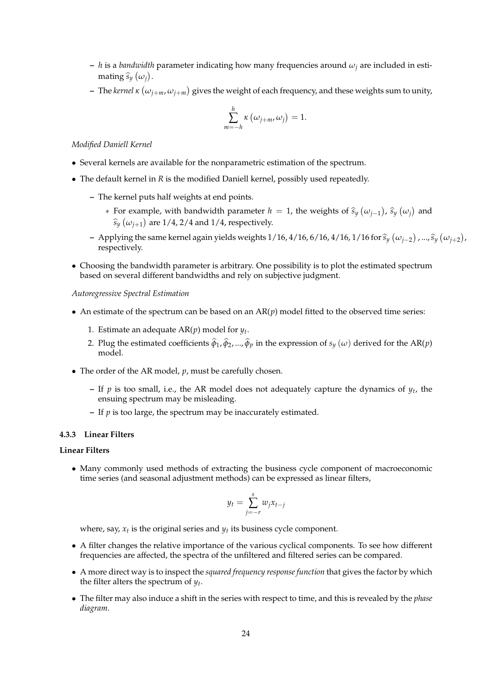- **–** *h* is a *bandwidth* parameter indicating how many frequencies around *ω<sup>j</sup>* are included in estimating  $\widehat{s}_y \left( \omega_j \right)$ .
- $-$  The *kernel*  $\kappa$   $(\omega_{j+m}, \omega_{j+m})$  gives the weight of each frequency, and these weights sum to unity,

$$
\sum_{m=-h}^{h} \kappa \left( \omega_{j+m}, \omega_j \right) = 1.
$$

*Modified Daniell Kernel*

- Several kernels are available for the nonparametric estimation of the spectrum.
- The default kernel in *R* is the modified Daniell kernel, possibly used repeatedly.
	- **–** The kernel puts half weights at end points.
		- ∗ For example, with bandwidth parameter *h* = 1, the weights of  $\hat{s}_y(\omega_{j-1})$ ,  $\hat{s}_y(\omega_j)$  and  $\hat{\hat{s}}_y(\omega_{j-1})$ ,  $\hat{s}_y(\omega_j)$  and  $\widehat{s}_y(\omega_{j+1})$  are 1/4, 2/4 and 1/4, respectively.
	- **−** Applying the same kernel again yields weights 1/16, 4/16, 6/16, 4/16, 1/16 for  $\hat{s}_y$  ( $\omega_{j-2}$ ), ...,  $\hat{s}_y$  ( $\omega_{j+2}$ ), respectively. respectively.
- Choosing the bandwidth parameter is arbitrary. One possibility is to plot the estimated spectrum based on several different bandwidths and rely on subjective judgment.

### *Autoregressive Spectral Estimation*

- An estimate of the spectrum can be based on an  $AR(p)$  model fitted to the observed time series:
	- 1. Estimate an adequate  $AR(p)$  model for  $y_t$ .
	- 2. Plug the estimated coefficients  $\hat{\varphi}_1$ ,  $\hat{\varphi}_2$ , ...,  $\hat{\varphi}_p$  in the expression of  $s_y(\omega)$  derived for the AR(*p*) model.
- The order of the AR model, *p*, must be carefully chosen.
	- **–** If *p* is too small, i.e., the AR model does not adequately capture the dynamics of *y<sup>t</sup>* , the ensuing spectrum may be misleading.
	- **–** If *p* is too large, the spectrum may be inaccurately estimated.

### **4.3.3 Linear Filters**

### **Linear Filters**

• Many commonly used methods of extracting the business cycle component of macroeconomic time series (and seasonal adjustment methods) can be expressed as linear filters,

$$
y_t = \sum_{j=-r}^s w_j x_{t-j}
$$

where, say,  $x_t$  is the original series and  $y_t$  its business cycle component.

- A filter changes the relative importance of the various cyclical components. To see how different frequencies are affected, the spectra of the unfiltered and filtered series can be compared.
- A more direct way is to inspect the *squared frequency response function* that gives the factor by which the filter alters the spectrum of *y<sup>t</sup>* .
- The filter may also induce a shift in the series with respect to time, and this is revealed by the *phase diagram*.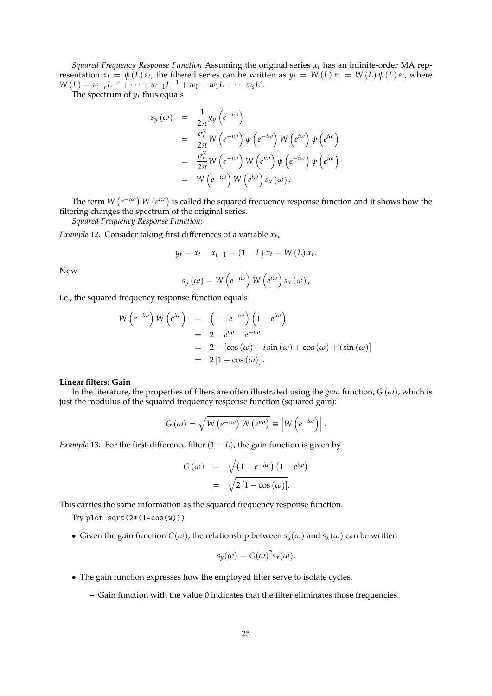*Squared Frequency Response Function* Assuming the original series  $x_t$  has an infinite-order MA representation  $x_t = \psi(L) \varepsilon_t$ , the filtered series can be written as  $y_t = W(L) x_t = W(L) \psi(L) \varepsilon_t$ , where  $W(L) = w_{-r}L^{-r} + \cdots + w_{-1}L^{-1} + w_0 + w_1L + \cdots w_sL^s.$ 

The spectrum of  $y_t$  thus equals

$$
s_{y}(\omega) = \frac{1}{2\pi}g_{y}(e^{-i\omega})
$$
  
\n
$$
= \frac{\sigma_{\varepsilon}^{2}}{2\pi}W(e^{-i\omega})\psi(e^{-i\omega})W(e^{i\omega})\psi(e^{i\omega})
$$
  
\n
$$
= \frac{\sigma_{\varepsilon}^{2}}{2\pi}W(e^{-i\omega})W(e^{i\omega})\psi(e^{-i\omega})\psi(e^{i\omega})
$$
  
\n
$$
= W(e^{-i\omega})W(e^{i\omega})s_{x}(\omega).
$$

The term  $W(e^{-i\omega})$   $W(e^{i\omega})$  is called the squared frequency response function and it shows how the filtering changes the spectrum of the original series.

*Squared Frequency Response Function:*

*Example* 12*.* Consider taking first differences of a variable *x<sup>t</sup>* ,

$$
y_t = x_t - x_{t-1} = (1 - L) x_t = W(L) x_t.
$$

Now

$$
s_{y}(\omega) = W\left(e^{-i\omega}\right)W\left(e^{i\omega}\right)s_{x}(\omega),
$$

i.e., the squared frequency response function equals

$$
W(e^{-i\omega}) W(e^{i\omega}) = (1 - e^{-i\omega}) (1 - e^{i\omega})
$$
  
= 2 - e^{i\omega} - e^{-i\omega}  
= 2 - [\cos(\omega) - i \sin(\omega) + \cos(\omega) + i \sin(\omega)]  
= 2 [1 - \cos(\omega)].

#### **Linear filters: Gain**

In the literature, the properties of filters are often illustrated using the *gain* function,  $G(\omega)$ , which is just the modulus of the squared frequency response function (squared gain):

$$
G(\omega) = \sqrt{W(e^{-i\omega}) W(e^{i\omega})} \equiv |W(e^{-i\omega})|.
$$

*Example* 13. For the first-difference filter  $(1 - L)$ , the gain function is given by

$$
G(\omega) = \sqrt{\left(1 - e^{-i\omega}\right)\left(1 - e^{i\omega}\right)}
$$
  
=  $\sqrt{2\left[1 - \cos(\omega)\right]}$ .

This carries the same information as the squared frequency response function.

Try plot  $sqrt(2*(1-cos(w)))$ 

• Given the gain function  $G(\omega)$ , the relationship between  $s_y(\omega)$  and  $s_x(\omega)$  can be written

$$
s_y(\omega) = G(\omega)^2 s_x(\omega).
$$

- The gain function expresses how the employed filter serve to isolate cycles.
	- **–** Gain function with the value 0 indicates that the filter eliminates those frequencies.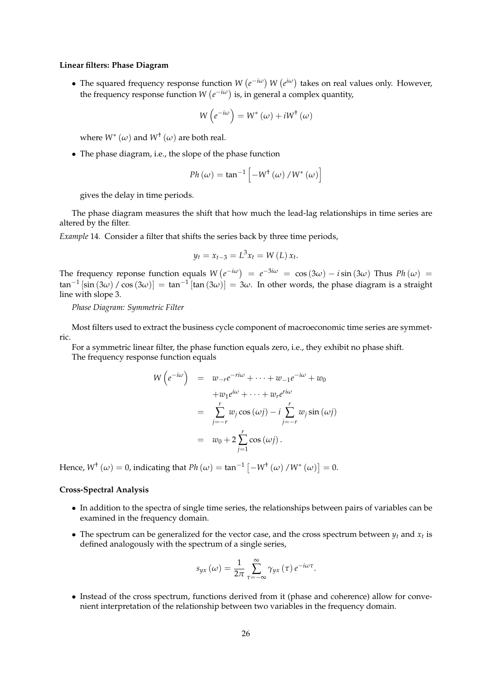### **Linear filters: Phase Diagram**

• The squared frequency response function  $W(e^{-i\omega})$   $W(e^{i\omega})$  takes on real values only. However, the frequency response function  $W(e^{-i\omega})$  is, in general a complex quantity,

$$
W\left(e^{-i\omega}\right) = W^*\left(\omega\right) + iW^{\dagger}\left(\omega\right)
$$

where  $W^{*}\left(\omega\right)$  and  $W^{\dagger}\left(\omega\right)$  are both real.

• The phase diagram, i.e., the slope of the phase function

$$
Ph\left(\omega\right) = \tan^{-1}\left[-W^{\dagger}\left(\omega\right)/W^*\left(\omega\right)\right]
$$

gives the delay in time periods.

The phase diagram measures the shift that how much the lead-lag relationships in time series are altered by the filter.

*Example* 14*.* Consider a filter that shifts the series back by three time periods,

$$
y_t = x_{t-3} = L^3 x_t = W(L) x_t.
$$

The frequency reponse function equals  $W(e^{-i\omega}) = e^{-3i\omega} = \cos(3\omega) - i\sin(3\omega)$  Thus  $Ph(\omega) =$  $\tan^{-1}$  [sin  $(3\omega)$  /  $\cos(3\omega)$ ] =  $\tan^{-1}$  [tan  $(3\omega)$ ] =  $3\omega$ . In other words, the phase diagram is a straight line with slope 3.

*Phase Diagram: Symmetric Filter*

Most filters used to extract the business cycle component of macroeconomic time series are symmetric.

For a symmetric linear filter, the phase function equals zero, i.e., they exhibit no phase shift. The frequency response function equals

$$
W\left(e^{-i\omega}\right) = w_{-r}e^{-ri\omega} + \dots + w_{-1}e^{-i\omega} + w_0
$$
  
+ $w_1e^{i\omega} + \dots + w_re^{ri\omega}$   
=  $\sum_{j=-r}^{r} w_j \cos{(\omega j)} - i \sum_{j=-r}^{r} w_j \sin{(\omega j)}$   
=  $w_0 + 2 \sum_{j=1}^{r} \cos{(\omega j)}$ .

Hence,  $W^{\dagger}(\omega) = 0$ , indicating that  $Ph(\omega) = \tan^{-1}\left[-W^{\dagger}(\omega)/W^*(\omega)\right] = 0$ .

### **Cross-Spectral Analysis**

- In addition to the spectra of single time series, the relationships between pairs of variables can be examined in the frequency domain.
- The spectrum can be generalized for the vector case, and the cross spectrum between  $y_t$  and  $x_t$  is defined analogously with the spectrum of a single series,

$$
s_{yx}(\omega) = \frac{1}{2\pi} \sum_{\tau=-\infty}^{\infty} \gamma_{yx}(\tau) e^{-i\omega\tau}.
$$

• Instead of the cross spectrum, functions derived from it (phase and coherence) allow for convenient interpretation of the relationship between two variables in the frequency domain.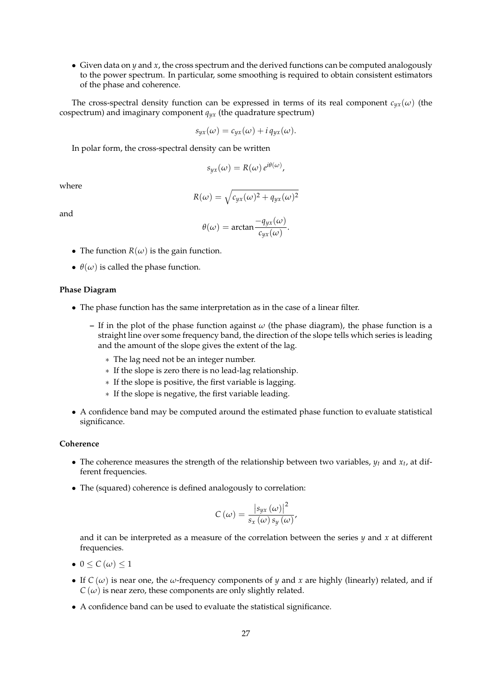• Given data on *y* and *x*, the cross spectrum and the derived functions can be computed analogously to the power spectrum. In particular, some smoothing is required to obtain consistent estimators of the phase and coherence.

The cross-spectral density function can be expressed in terms of its real component  $c_{yx}(\omega)$  (the cospectrum) and imaginary component  $q_{yx}$  (the quadrature spectrum)

$$
s_{yx}(\omega) = c_{yx}(\omega) + i q_{yx}(\omega).
$$

In polar form, the cross-spectral density can be written

$$
s_{yx}(\omega) = R(\omega) e^{i\theta(\omega)},
$$

where

$$
R(\omega) = \sqrt{c_{yx}(\omega)^2 + q_{yx}(\omega)^2}
$$

and

$$
\theta(\omega) = \arctan \frac{-q_{yx}(\omega)}{c_{yx}(\omega)}.
$$

- The function  $R(\omega)$  is the gain function.
- $\theta(\omega)$  is called the phase function.

### **Phase Diagram**

- The phase function has the same interpretation as in the case of a linear filter.
	- **–** If in the plot of the phase function against *ω* (the phase diagram), the phase function is a straight line over some frequency band, the direction of the slope tells which series is leading and the amount of the slope gives the extent of the lag.
		- ∗ The lag need not be an integer number.
		- ∗ If the slope is zero there is no lead-lag relationship.
		- ∗ If the slope is positive, the first variable is lagging.
		- ∗ If the slope is negative, the first variable leading.
- A confidence band may be computed around the estimated phase function to evaluate statistical significance.

### **Coherence**

- The coherence measures the strength of the relationship between two variables,  $y_t$  and  $x_t$ , at different frequencies.
- The (squared) coherence is defined analogously to correlation:

$$
C(\omega) = \frac{|s_{yx}(\omega)|^2}{s_x(\omega)s_y(\omega)},
$$

and it can be interpreted as a measure of the correlation between the series *y* and *x* at different frequencies.

- $0 \leq C(\omega) \leq 1$
- If  $C(\omega)$  is near one, the  $\omega$ -frequency components of *y* and *x* are highly (linearly) related, and if  $C(\omega)$  is near zero, these components are only slightly related.
- A confidence band can be used to evaluate the statistical significance.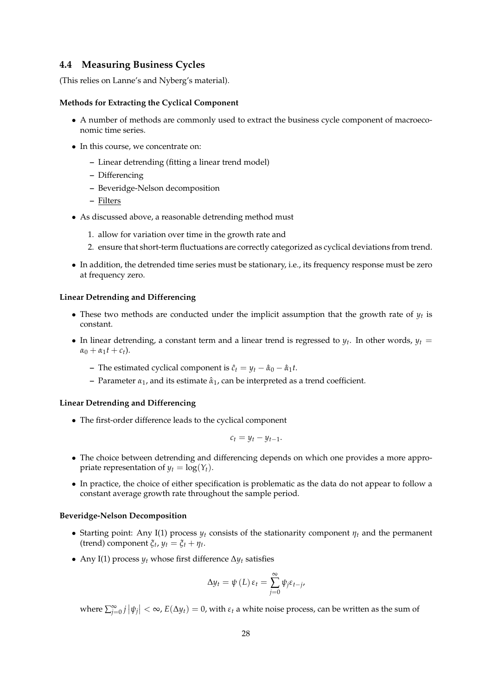### **4.4 Measuring Business Cycles**

(This relies on Lanne's and Nyberg's material).

### **Methods for Extracting the Cyclical Component**

- A number of methods are commonly used to extract the business cycle component of macroeconomic time series.
- In this course, we concentrate on:
	- **–** Linear detrending (fitting a linear trend model)
	- **–** Differencing
	- **–** Beveridge-Nelson decomposition
	- **–** Filters
- As discussed above, a reasonable detrending method must
	- 1. allow for variation over time in the growth rate and
	- 2. ensure that short-term fluctuations are correctly categorized as cyclical deviations from trend.
- In addition, the detrended time series must be stationary, i.e., its frequency response must be zero at frequency zero.

### **Linear Detrending and Differencing**

- These two methods are conducted under the implicit assumption that the growth rate of  $y_t$  is constant.
- In linear detrending, a constant term and a linear trend is regressed to  $y_t$ . In other words,  $y_t =$  $\alpha_0 + \alpha_1 t + c_t$ .
	- **–** The estimated cyclical component is  $\hat{c}_t = y_t \hat{\alpha}_0 \hat{\alpha}_1 t$ .
	- **–** Parameter *α*1, and its estimate *α*ˆ <sup>1</sup>, can be interpreted as a trend coefficient.

### **Linear Detrending and Differencing**

• The first-order difference leads to the cyclical component

$$
c_t = y_t - y_{t-1}.
$$

- The choice between detrending and differencing depends on which one provides a more appropriate representation of  $y_t = \log(Y_t)$ .
- In practice, the choice of either specification is problematic as the data do not appear to follow a constant average growth rate throughout the sample period.

### **Beveridge-Nelson Decomposition**

- Starting point: Any I(1) process  $y_t$  consists of the stationarity component  $\eta_t$  and the permanent (trend) component  $\xi_t$ ,  $y_t = \xi_t + \eta_t$ .
- Any I(1) process *y<sup>t</sup>* whose first difference ∆*y<sup>t</sup>* satisfies

$$
\Delta y_t = \psi(L) \, \varepsilon_t = \sum_{j=0}^{\infty} \psi_j \varepsilon_{t-j},
$$

 $\sum_{j=0}^{\infty} j |\psi_j| < \infty$ ,  $E(\Delta y_t) = 0$ , with  $\varepsilon_t$  a white noise process, can be written as the sum of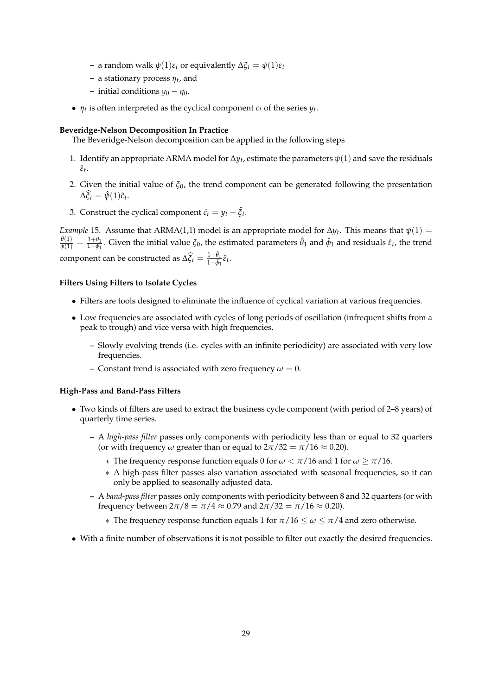- **−** a random walk  $\psi(1)\varepsilon_t$  or equivalently  $\Delta \xi_t = \psi(1)\varepsilon_t$
- **–** a stationary process *η<sup>t</sup>* , and
- **–** initial conditions *y*<sup>0</sup> − *η*0.
- $\eta_t$  is often interpreted as the cyclical component  $c_t$  of the series  $y_t$ .

### **Beveridge-Nelson Decomposition In Practice**

The Beveridge-Nelson decomposition can be applied in the following steps

- 1. Identify an appropriate ARMA model for  $\Delta y_t$ , estimate the parameters  $\psi(1)$  and save the residuals *ε*ˆ*t* .
- 2. Given the initial value of *ξ*0, the trend component can be generated following the presentation  $\Delta \widehat{\xi}_t = \hat{\psi}(1)\widehat{\varepsilon}_t.$
- 3. Construct the cyclical component  $\hat{c}_t = y_t \hat{\xi}_t$ .

*Example* 15. Assume that ARMA(1,1) model is an appropriate model for  $\Delta y_t$ . This means that  $\psi(1)$  =  $\frac{\theta(1)}{\phi(1)} = \frac{1+\theta_1}{1-\phi_1}$  $\frac{1+θ_1}{1-φ_1}$ . Given the initial value *ξ*<sub>0</sub>, the estimated parameters  $\hat{θ}_1$  and  $\hat{φ}_1$  and residuals  $\hat{ε}_t$ , the trend  $\text{component can be constructed as } \Delta \widehat{\xi}_t = \frac{1+\hat{\theta}_1}{1-\hat{\phi}_1}$  $\frac{1+\sigma_1}{1-\hat{\phi}_1}\hat{\varepsilon}_t$ .

#### **Filters Using Filters to Isolate Cycles**

- Filters are tools designed to eliminate the influence of cyclical variation at various frequencies.
- Low frequencies are associated with cycles of long periods of oscillation (infrequent shifts from a peak to trough) and vice versa with high frequencies.
	- **–** Slowly evolving trends (i.e. cycles with an infinite periodicity) are associated with very low frequencies.
	- **–** Constant trend is associated with zero frequency  $\omega = 0$ .

### **High-Pass and Band-Pass Filters**

- Two kinds of filters are used to extract the business cycle component (with period of 2–8 years) of quarterly time series.
	- **–** A *high-pass filter* passes only components with periodicity less than or equal to 32 quarters (or with frequency  $\omega$  greater than or equal to  $2\pi/32 = \pi/16 \approx 0.20$ ).
		- ∗ The frequency response function equals 0 for *ω* < *π*/16 and 1 for *ω* ≥ *π*/16.
		- ∗ A high-pass filter passes also variation associated with seasonal frequencies, so it can only be applied to seasonally adjusted data.
	- **–** A *band-pass filter* passes only components with periodicity between 8 and 32 quarters (or with frequency between  $2\pi/8 = \pi/4 \approx 0.79$  and  $2\pi/32 = \pi/16 \approx 0.20$ .
		- ∗ The frequency response function equals 1 for *π*/16 ≤ *ω* ≤ *π*/4 and zero otherwise.
- With a finite number of observations it is not possible to filter out exactly the desired frequencies.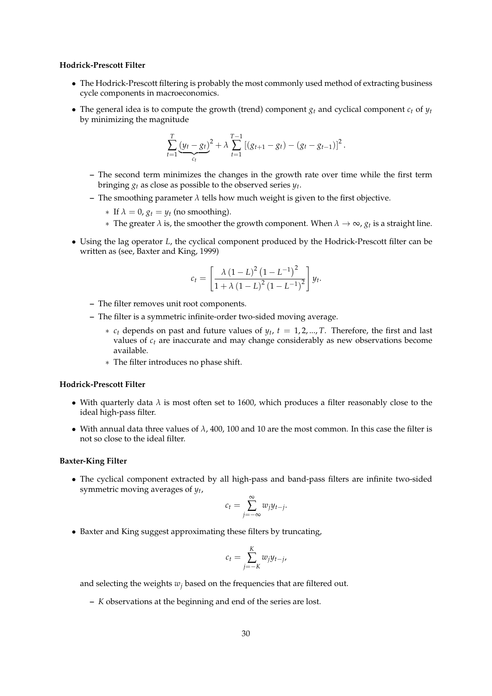#### **Hodrick-Prescott Filter**

- The Hodrick-Prescott filtering is probably the most commonly used method of extracting business cycle components in macroeconomics.
- The general idea is to compute the growth (trend) component  $g_t$  and cyclical component  $c_t$  of  $y_t$ by minimizing the magnitude

$$
\sum_{t=1}^T \underbrace{(y_t - g_t)}_{c_t}^2 + \lambda \sum_{t=1}^{T-1} \left[ (g_{t+1} - g_t) - (g_t - g_{t-1}) \right]^2.
$$

- **–** The second term minimizes the changes in the growth rate over time while the first term bringing  $g_t$  as close as possible to the observed series  $y_t$ .
- **–** The smoothing parameter *λ* tells how much weight is given to the first objective.
	- $*$  If  $\lambda = 0$ ,  $g_t = y_t$  (no smoothing).
	- ∗ The greater *λ* is, the smoother the growth component. When *λ* → ∞, *g<sup>t</sup>* is a straight line.
- Using the lag operator *L*, the cyclical component produced by the Hodrick-Prescott filter can be written as (see, Baxter and King, 1999)

$$
c_{t} = \left[\frac{\lambda (1 - L)^{2} (1 - L^{-1})^{2}}{1 + \lambda (1 - L)^{2} (1 - L^{-1})^{2}}\right] y_{t}.
$$

- **–** The filter removes unit root components.
- **–** The filter is a symmetric infinite-order two-sided moving average.
	- $*$  *c<sub>t</sub>* depends on past and future values of  $y_t$ ,  $t = 1, 2, ..., T$ . Therefore, the first and last values of *c<sup>t</sup>* are inaccurate and may change considerably as new observations become available.
	- ∗ The filter introduces no phase shift.

#### **Hodrick-Prescott Filter**

- With quarterly data  $\lambda$  is most often set to 1600, which produces a filter reasonably close to the ideal high-pass filter.
- With annual data three values of  $\lambda$ , 400, 100 and 10 are the most common. In this case the filter is not so close to the ideal filter.

#### **Baxter-King Filter**

• The cyclical component extracted by all high-pass and band-pass filters are infinite two-sided symmetric moving averages of *y<sup>t</sup>* ,

$$
c_t = \sum_{j=-\infty}^{\infty} w_j y_{t-j}.
$$

• Baxter and King suggest approximating these filters by truncating,

$$
c_t = \sum_{j=-K}^{K} w_j y_{t-j},
$$

and selecting the weights  $w_i$  based on the frequencies that are filtered out.

**–** *K* observations at the beginning and end of the series are lost.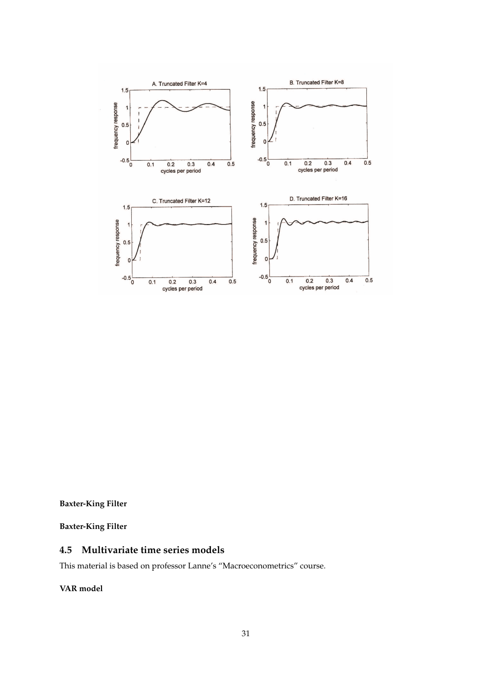

**Baxter-King Filter**

**Baxter-King Filter**

# **4.5 Multivariate time series models**

This material is based on professor Lanne's "Macroeconometrics" course.

**VAR model**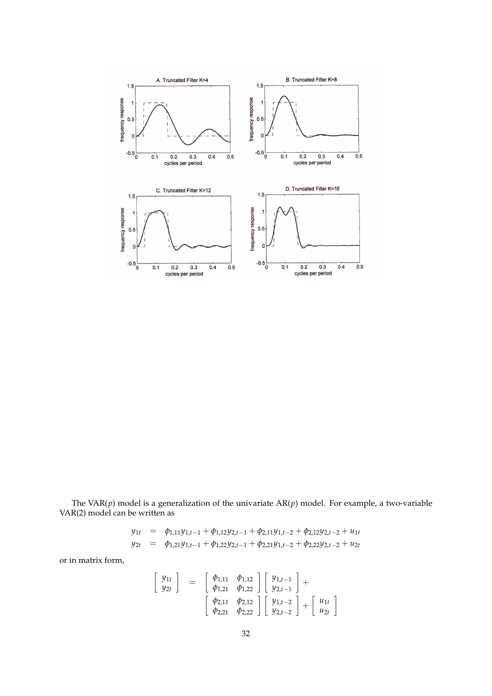

The VAR(*p*) model is a generalization of the univariate AR(*p*) model. For example, a two-variable VAR(2) model can be written as

$$
y_{1t} = \phi_{1,11}y_{1,t-1} + \phi_{1,12}y_{2,t-1} + \phi_{2,11}y_{1,t-2} + \phi_{2,12}y_{2,t-2} + u_{1t}
$$
  
\n
$$
y_{2t} = \phi_{1,21}y_{1,t-1} + \phi_{1,22}y_{2,t-1} + \phi_{2,21}y_{1,t-2} + \phi_{2,22}y_{2,t-2} + u_{2t}
$$

or in matrix form,

$$
\begin{bmatrix}\ny_{1t} \\
y_{2t}\n\end{bmatrix} = \begin{bmatrix}\n\phi_{1,11} & \phi_{1,12} \\
\phi_{1,21} & \phi_{1,22}\n\end{bmatrix} \begin{bmatrix}\ny_{1,t-1} \\
y_{2,t-1}\n\end{bmatrix} + \begin{bmatrix}\n\phi_{2,11} & \phi_{2,12} \\
\phi_{2,21} & \phi_{2,22}\n\end{bmatrix} \begin{bmatrix}\ny_{1,t-2} \\
y_{2,t-2}\n\end{bmatrix} + \begin{bmatrix}\nu_{1t} \\
u_{2t}\n\end{bmatrix}
$$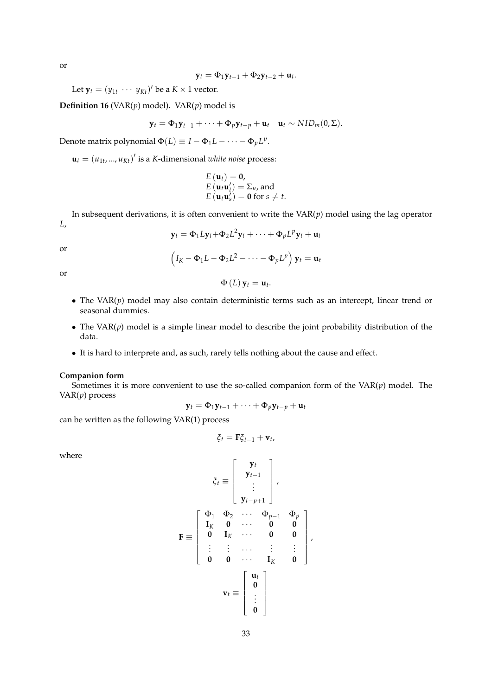or

$$
\mathbf{y}_t = \Phi_1 \mathbf{y}_{t-1} + \Phi_2 \mathbf{y}_{t-2} + \mathbf{u}_t.
$$

Let  $\mathbf{y}_t = (y_{1t} \cdots y_{Kt})'$  be a  $K \times 1$  vector.

**Definition 16** (VAR $(p)$  model). VAR $(p)$  model is

$$
\mathbf{y}_t = \Phi_1 \mathbf{y}_{t-1} + \cdots + \Phi_p \mathbf{y}_{t-p} + \mathbf{u}_t \quad \mathbf{u}_t \sim NID_m(0, \Sigma).
$$

Denote matrix polynomial  $\Phi(L) \equiv I - \Phi_1 L - \cdots - \Phi_p L^p$ .

 $\mathbf{u}_t = (u_{1t}, ..., u_{Kt})'$  is a *K*-dimensional *white noise* process:

$$
E(\mathbf{u}_t) = \mathbf{0},
$$
  
\n
$$
E(\mathbf{u}_t \mathbf{u}'_t) = \Sigma_u
$$
, and  
\n
$$
E(\mathbf{u}_t \mathbf{u}'_s) = \mathbf{0} \text{ for } s \neq t.
$$

In subsequent derivations, it is often convenient to write the VAR(*p*) model using the lag operator *L*,

or

$$
\mathbf{y}_t = \Phi_1 L \mathbf{y}_t + \Phi_2 L^2 \mathbf{y}_t + \cdots + \Phi_p L^p \mathbf{y}_t + \mathbf{u}_t
$$

or

$$
(I_K - \Phi_1 L - \Phi_2 L^2 - \dots - \Phi_p L^p) \mathbf{y}_t = \mathbf{u}_t
$$
  

$$
\Phi(L) \mathbf{y}_t = \mathbf{u}_t.
$$

- The VAR(*p*) model may also contain deterministic terms such as an intercept, linear trend or seasonal dummies.
- The VAR(*p*) model is a simple linear model to describe the joint probability distribution of the data.
- It is hard to interprete and, as such, rarely tells nothing about the cause and effect.

#### **Companion form**

Sometimes it is more convenient to use the so-called companion form of the  $VAR(p)$  model. The VAR(*p*) process

$$
\mathbf{y}_t = \Phi_1 \mathbf{y}_{t-1} + \cdots + \Phi_p \mathbf{y}_{t-p} + \mathbf{u}_t
$$

can be written as the following VAR(1) process

$$
\xi_t = \mathbf{F}\xi_{t-1} + \mathbf{v}_t,
$$

where

$$
\xi_t \equiv \begin{bmatrix} \mathbf{y}_t \\ \mathbf{y}_{t-1} \\ \vdots \\ \mathbf{y}_{t-p+1} \end{bmatrix},
$$

$$
\mathbf{F} \equiv \begin{bmatrix} \Phi_1 & \Phi_2 & \cdots & \Phi_{p-1} & \Phi_p \\ \mathbf{I}_K & \mathbf{0} & \cdots & \mathbf{0} & \mathbf{0} \\ \mathbf{0} & \mathbf{I}_K & \cdots & \mathbf{0} & \mathbf{0} \\ \vdots & \vdots & \cdots & \vdots & \vdots \\ \mathbf{0} & \mathbf{0} & \cdots & \mathbf{I}_K & \mathbf{0} \end{bmatrix},
$$

$$
\mathbf{v}_t \equiv \begin{bmatrix} \mathbf{u}_t \\ \mathbf{0} \\ \vdots \\ \mathbf{0} \end{bmatrix}
$$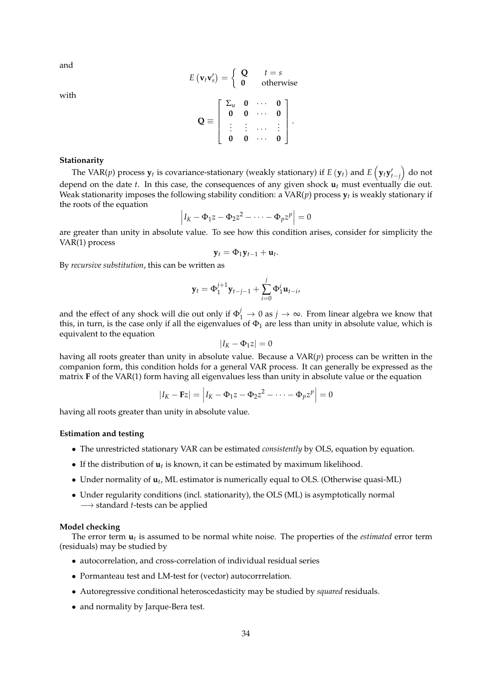and

$$
E(\mathbf{v}_t \mathbf{v}'_s) = \left\{ \begin{array}{ll} \mathbf{Q} & t = s \\ \mathbf{0} & \text{otherwise} \end{array} \right.
$$

with

|                                     |   | $\sum_u$ 0<br>0 0 | 0<br>$\overline{0}$ |  |
|-------------------------------------|---|-------------------|---------------------|--|
| $\mathbf{r} \rightarrow \mathbf{r}$ | 0 |                   |                     |  |

### **Stationarity**

The VAR( $p$ ) process  $\mathbf{y}_t$  is covariance-stationary (weakly stationary) if  $E\left(\mathbf{y}_t\right)$  and  $E\left(\mathbf{y}_t\mathbf{y}'_{t-j}\right)$  do not depend on the date *t*. In this case, the consequences of any given shock **u***<sup>t</sup>* must eventually die out. Weak stationarity imposes the following stability condition: a VAR(*p*) process **y***<sup>t</sup>* is weakly stationary if the roots of the equation

$$
\left|I_K - \Phi_1 z - \Phi_2 z^2 - \cdots - \Phi_p z^p\right| = 0
$$

are greater than unity in absolute value. To see how this condition arises, consider for simplicity the VAR(1) process

$$
\mathbf{y}_t = \Phi_1 \mathbf{y}_{t-1} + \mathbf{u}_t.
$$

By *recursive substitution*, this can be written as

$$
\mathbf{y}_t = \Phi_1^{j+1} \mathbf{y}_{t-j-1} + \sum_{i=0}^j \Phi_1^i \mathbf{u}_{t-i},
$$

and the effect of any shock will die out only if  $\Phi_1^j \to 0$  as  $j \to \infty$ . From linear algebra we know that this, in turn, is the case only if all the eigenvalues of  $\Phi_1$  are less than unity in absolute value, which is equivalent to the equation

$$
|I_K - \Phi_1 z| = 0
$$

having all roots greater than unity in absolute value. Because a VAR(*p*) process can be written in the companion form, this condition holds for a general VAR process. It can generally be expressed as the matrix **F** of the VAR(1) form having all eigenvalues less than unity in absolute value or the equation

$$
|I_K - \mathbf{F}z| = |I_K - \Phi_1 z - \Phi_2 z^2 - \dots - \Phi_p z^p| = 0
$$

having all roots greater than unity in absolute value.

#### **Estimation and testing**

- The unrestricted stationary VAR can be estimated *consistently* by OLS, equation by equation.
- If the distribution of **u***<sup>t</sup>* is known, it can be estimated by maximum likelihood.
- Under normality of **u***<sup>t</sup>* , ML estimator is numerically equal to OLS. (Otherwise quasi-ML)
- Under regularity conditions (incl. stationarity), the OLS (ML) is asymptotically normal −→ standard *t*-tests can be applied

#### **Model checking**

The error term **u***t* is assumed to be normal white noise. The properties of the *estimated* error term (residuals) may be studied by

- autocorrelation, and cross-correlation of individual residual series
- Pormanteau test and LM-test for (vector) autocorrrelation.
- Autoregressive conditional heteroscedasticity may be studied by *squared* residuals.
- and normality by Jarque-Bera test.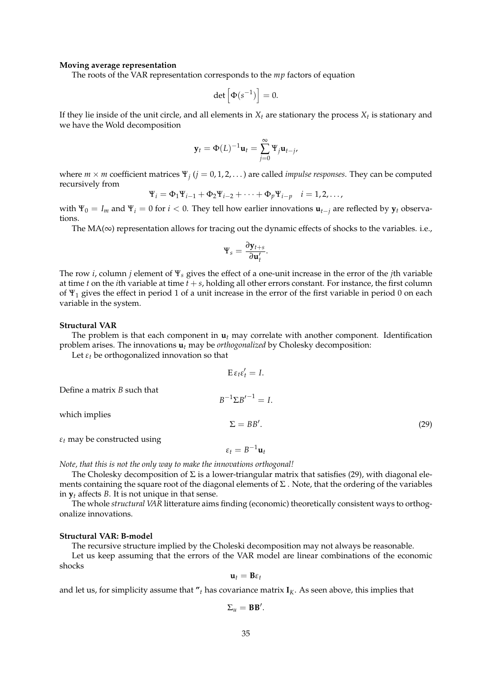#### **Moving average representation**

The roots of the VAR representation corresponds to the *mp* factors of equation

$$
\det\left[\Phi(s^{-1})\right] = 0.
$$

If they lie inside of the unit circle, and all elements in  $X_t$  are stationary the process  $X_t$  is stationary and we have the Wold decomposition

$$
\mathbf{y}_t = \Phi(L)^{-1} \mathbf{u}_t = \sum_{j=0}^{\infty} \Psi_j \mathbf{u}_{t-j},
$$

where  $m \times m$  coefficient matrices  $\Psi_j$  ( $j = 0, 1, 2, \ldots$ ) are called *impulse responses*. They can be computed recursively from

$$
\Psi_i = \Phi_1 \Psi_{i-1} + \Phi_2 \Psi_{i-2} + \dots + \Phi_p \Psi_{i-p} \quad i = 1, 2, \dots,
$$

with  $\Psi_0 = I_m$  and  $\Psi_i = 0$  for  $i < 0$ . They tell how earlier innovations  $\mathbf{u}_{t-j}$  are reflected by  $\mathbf{y}_t$  observations.

The  $MA(\infty)$  representation allows for tracing out the dynamic effects of shocks to the variables. i.e.,

$$
\Psi_s = \frac{\partial \mathbf{y}_{t+s}}{\partial \mathbf{u}'_t}.
$$

The row *i*, column *j* element of Ψ*<sup>s</sup>* gives the effect of a one-unit increase in the error of the *j*th variable at time *t* on the *i*th variable at time *t* + *s*, holding all other errors constant. For instance, the first column of Ψ<sup>1</sup> gives the effect in period 1 of a unit increase in the error of the first variable in period 0 on each variable in the system.

### **Structural VAR**

The problem is that each component in  $\mathbf{u}_t$  may correlate with another component. Identification problem arises. The innovations **u***<sup>t</sup>* may be *orthogonalized* by Cholesky decomposition:

 $\overline{\phantom{0}}$ 

Let  $\varepsilon_t$  be orthogonalized innovation so that

$$
E \varepsilon_t \varepsilon'_t = I.
$$
  
Define a matrix *B* such that  

$$
B^{-1} \Sigma B'^{-1} = I.
$$
  
which implies  

$$
\Sigma = BB'.
$$
  
(29)  

$$
\varepsilon_t
$$
 may be constructed using  

$$
\varepsilon_t = B^{-1} \mathbf{u}_t
$$

*Note, that this is not the only way to make the innovations orthogonal!*

The Cholesky decomposition of  $\Sigma$  is a lower-triangular matrix that satisfies (29), with diagonal elements containing the square root of the diagonal elements of  $\Sigma$ . Note, that the ordering of the variables in  $y_t$  affects *B*. It is not unique in that sense.

The whole *structural VAR* litterature aims finding (economic) theoretically consistent ways to orthogonalize innovations.

#### **Structural VAR: B-model**

The recursive structure implied by the Choleski decomposition may not always be reasonable.

Let us keep assuming that the errors of the VAR model are linear combinations of the economic shocks

 $u_t = B\varepsilon_t$ 

and let us, for simplicity assume that  $r_t$  has covariance matrix  $I_K$ . As seen above, this implies that

$$
\Sigma_u = \mathbf{B} \mathbf{B}'.
$$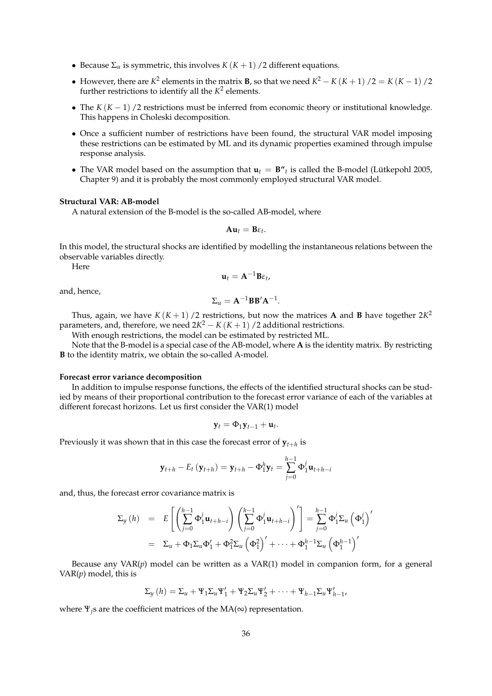- Because  $\Sigma_u$  is symmetric, this involves  $K(K+1)/2$  different equations.
- However, there are  $K^2$  elements in the matrix **B**, so that we need  $K^2 K(K+1)/2 = K(K-1)/2$ further restrictions to identify all the  $K^2$  elements.
- The *K* (*K* − 1) /2 restrictions must be inferred from economic theory or institutional knowledge. This happens in Choleski decomposition.
- Once a sufficient number of restrictions have been found, the structural VAR model imposing these restrictions can be estimated by ML and its dynamic properties examined through impulse response analysis.
- The VAR model based on the assumption that  $\mathbf{u}_t = \mathbf{B''}_t$  is called the B-model (Lütkepohl 2005, Chapter 9) and it is probably the most commonly employed structural VAR model.

#### **Structural VAR: AB-model**

A natural extension of the B-model is the so-called AB-model, where

$$
Au_t=B\varepsilon_t.
$$

In this model, the structural shocks are identified by modelling the instantaneous relations between the observable variables directly.

Here

$$
\mathbf{u}_t = \mathbf{A}^{-1} \mathbf{B} \varepsilon_t,
$$

and, hence,

$$
\Sigma_u = \mathbf{A}^{-1} \mathbf{B} \mathbf{B}' \mathbf{A}^{-1}.
$$

Thus, again, we have  $K(K + 1)$  /2 restrictions, but now the matrices **A** and **B** have together  $2K^2$ parameters, and, therefore, we need  $2K^2 - K(K+1)$  /2 additional restrictions.

With enough restrictions, the model can be estimated by restricted ML.

Note that the B-model is a special case of the AB-model, where **A** is the identity matrix. By restricting **B** to the identity matrix, we obtain the so-called A-model.

#### **Forecast error variance decomposition**

In addition to impulse response functions, the effects of the identified structural shocks can be studied by means of their proportional contribution to the forecast error variance of each of the variables at different forecast horizons. Let us first consider the VAR(1) model

$$
\mathbf{y}_t = \Phi_1 \mathbf{y}_{t-1} + \mathbf{u}_t.
$$

Previously it was shown that in this case the forecast error of  $\mathbf{y}_{t+h}$  is

$$
\mathbf{y}_{t+h} - E_t \left( \mathbf{y}_{t+h} \right) = \mathbf{y}_{t+h} - \Phi_1^h \mathbf{y}_t = \sum_{j=0}^{h-1} \Phi_1^j \mathbf{u}_{t+h-j}
$$

and, thus, the forecast error covariance matrix is

$$
\Sigma_{y}(h) = E\left[\left(\sum_{j=0}^{h-1} \Phi_{1}^{j} \mathbf{u}_{t+h-j}\right) \left(\sum_{j=0}^{h-1} \Phi_{1}^{j} \mathbf{u}_{t+h-j}\right)' \right] = \sum_{j=0}^{h-1} \Phi_{1}^{j} \Sigma_{u} \left(\Phi_{1}^{j}\right)'
$$
  
=  $\Sigma_{u} + \Phi_{1} \Sigma_{u} \Phi_{1}' + \Phi_{1}^{2} \Sigma_{u} \left(\Phi_{1}^{2}\right)' + \cdots + \Phi_{1}^{h-1} \Sigma_{u} \left(\Phi_{1}^{h-1}\right)'$ 

Because any VAR(*p*) model can be written as a VAR(1) model in companion form, for a general VAR $(p)$  model, this is

$$
\Sigma_y(h) = \Sigma_u + \Psi_1 \Sigma_u \Psi_1' + \Psi_2 \Sigma_u \Psi_2' + \cdots + \Psi_{h-1} \Sigma_u \Psi_{h-1}'.
$$

where Ψ*j*s are the coefficient matrices of the MA(∞) representation.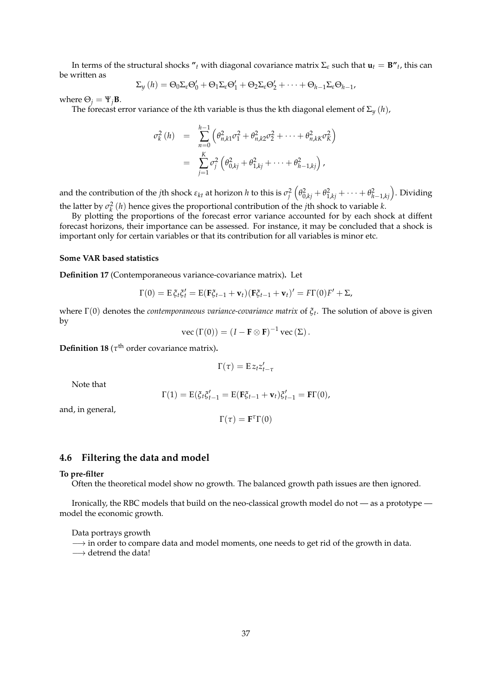In terms of the structural shocks  $''$ <sub>*t*</sub> with diagonal covariance matrix  $\Sigma$ <sub>*ε*</sub> such that  $\mathbf{u}_t = \mathbf{B}''$ <sub>*t*</sub>, this can be written as

$$
\Sigma_{y}(h) = \Theta_{0}\Sigma_{\varepsilon}\Theta'_{0} + \Theta_{1}\Sigma_{\varepsilon}\Theta'_{1} + \Theta_{2}\Sigma_{\varepsilon}\Theta'_{2} + \cdots + \Theta_{h-1}\Sigma_{\varepsilon}\Theta_{h-1},
$$

where  $\Theta_i = \Psi_j \mathbf{B}$ .

The forecast error variance of the *k*th variable is thus the kth diagonal element of  $\Sigma_y(h)$ ,

$$
\sigma_k^2(h) = \sum_{n=0}^{h-1} \left( \theta_{n,k1}^2 \sigma_1^2 + \theta_{n,k2}^2 \sigma_2^2 + \dots + \theta_{n,kK}^2 \sigma_K^2 \right)
$$
  
= 
$$
\sum_{j=1}^K \sigma_j^2 \left( \theta_{0,kj}^2 + \theta_{1,kj}^2 + \dots + \theta_{h-1,kj}^2 \right),
$$

and the contribution of the *j*th shock  $\varepsilon_{kt}$  at horizon *h* to this is  $\sigma_j^2\left(\theta_{0,kj}^2 + \theta_{1,kj}^2 + \cdots + \theta_{h-1,kj}^2\right)$ . Dividing the latter by  $\sigma_k^2(h)$  hence gives the proportional contribution of the *j*th shock to variable *k*.

By plotting the proportions of the forecast error variance accounted for by each shock at diffent forecast horizons, their importance can be assessed. For instance, it may be concluded that a shock is important only for certain variables or that its contribution for all variables is minor etc.

### **Some VAR based statistics**

**Definition 17** (Contemporaneous variance-covariance matrix)**.** Let

$$
\Gamma(0) = \mathrm{E} \,\xi_t \xi_t' = \mathrm{E}(\mathbf{F}\xi_{t-1} + \mathbf{v}_t)(\mathbf{F}\xi_{t-1} + \mathbf{v}_t)' = F\Gamma(0)F' + \Sigma,
$$

where Γ(0) denotes the *contemporaneous variance-covariance matrix* of *ξ<sup>t</sup>* . The solution of above is given by

$$
\text{vec}\left(\Gamma(0)\right) = (I - \mathbf{F} \otimes \mathbf{F})^{-1} \text{vec}\left(\Sigma\right).
$$

**Definition 18** ( $\tau$ <sup>th</sup> order covariance matrix).

$$
\Gamma(\tau)=E\,z_t z'_{t-\tau}
$$

Note that

$$
\Gamma(1) = \mathrm{E}(\xi_t \xi'_{t-1} = \mathrm{E}(\mathbf{F}\xi_{t-1} + \mathbf{v}_t)\xi'_{t-1} = \mathbf{F}\Gamma(0),
$$

and, in general,

$$
\Gamma(\tau) = \mathbf{F}^\tau \Gamma(0)
$$

### **4.6 Filtering the data and model**

#### **To pre-filter**

Often the theoretical model show no growth. The balanced growth path issues are then ignored.

Ironically, the RBC models that build on the neo-classical growth model do not — as a prototype model the economic growth.

Data portrays growth

 $\rightarrow$  in order to compare data and model moments, one needs to get rid of the growth in data.

→ detrend the data!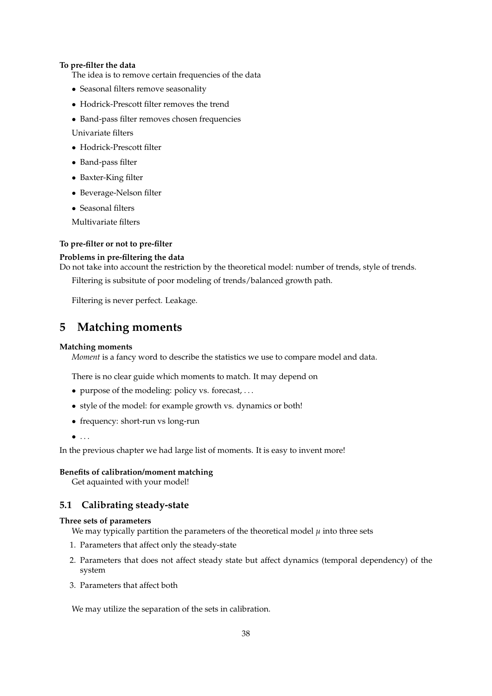### **To pre-filter the data**

The idea is to remove certain frequencies of the data

- Seasonal filters remove seasonality
- Hodrick-Prescott filter removes the trend
- Band-pass filter removes chosen frequencies

Univariate filters

- Hodrick-Prescott filter
- Band-pass filter
- Baxter-King filter
- Beverage-Nelson filter
- Seasonal filters

Multivariate filters

### **To pre-filter or not to pre-filter**

### **Problems in pre-filtering the data**

Do not take into account the restriction by the theoretical model: number of trends, style of trends. Filtering is subsitute of poor modeling of trends/balanced growth path.

Filtering is never perfect. Leakage.

## **5 Matching moments**

### **Matching moments**

*Moment* is a fancy word to describe the statistics we use to compare model and data.

There is no clear guide which moments to match. It may depend on

- purpose of the modeling: policy vs. forecast, . . .
- style of the model: for example growth vs. dynamics or both!
- frequency: short-run vs long-run
- $\bullet$  . . .

In the previous chapter we had large list of moments. It is easy to invent more!

### **Benefits of calibration/moment matching**

Get aquainted with your model!

### **5.1 Calibrating steady-state**

### **Three sets of parameters**

We may typically partition the parameters of the theoretical model  $\mu$  into three sets

- 1. Parameters that affect only the steady-state
- 2. Parameters that does not affect steady state but affect dynamics (temporal dependency) of the system
- 3. Parameters that affect both

We may utilize the separation of the sets in calibration.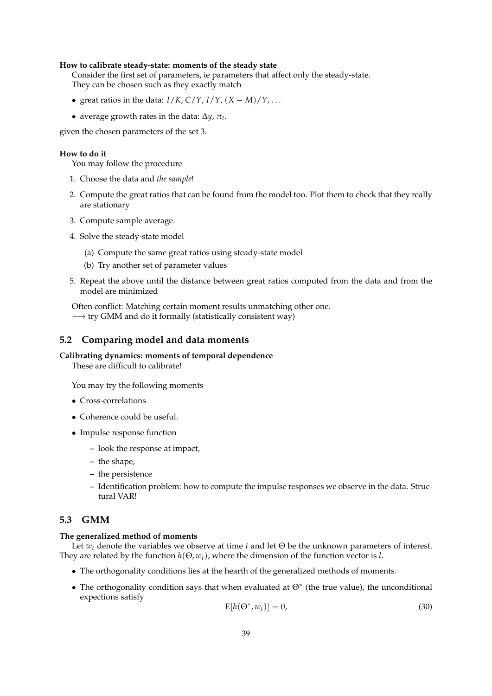### **How to calibrate steady-state: moments of the steady state**

Consider the first set of parameters, ie parameters that affect only the steady-state. They can be chosen such as they exactly match

- great ratios in the data: *I*/*K*, *C*/*Y*, *I*/*Y*, (*X* − *M*)/*Y*, . . .
- average growth rates in the data: ∆*y*, *π<sup>t</sup>* .

given the chosen parameters of the set 3.

### **How to do it**

You may follow the procedure

- 1. Choose the data and *the sample*!
- 2. Compute the great ratios that can be found from the model too. Plot them to check that they really are stationary
- 3. Compute sample average.
- 4. Solve the steady-state model
	- (a) Compute the same great ratios using steady-state model
	- (b) Try another set of parameter values
- 5. Repeat the above until the distance between great ratios computed from the data and from the model are minimized

Often conflict: Matching certain moment results unmatching other one. → try GMM and do it formally (statistically consistent way)

### **5.2 Comparing model and data moments**

### **Calibrating dynamics: moments of temporal dependence**

These are difficult to calibrate!

You may try the following moments

- Cross-correlations
- Coherence could be useful.
- Impulse response function
	- **–** look the response at impact,
	- **–** the shape,
	- **–** the persistence
	- **–** Identification problem: how to compute the impulse responses we observe in the data. Structural VAR!

### **5.3 GMM**

#### **The generalized method of moments**

Let *w<sup>t</sup>* denote the variables we observe at time *t* and let Θ be the unknown parameters of interest. They are related by the function *h*(Θ, *wt*), where the dimension of the function vector is *l*.

- The orthogonality conditions lies at the hearth of the generalized methods of moments.
- The orthogonality condition says that when evaluated at  $\Theta^*$  (the true value), the unconditional expections satisfy

$$
E[h(\Theta^*, w_t)] = 0,\t\t(30)
$$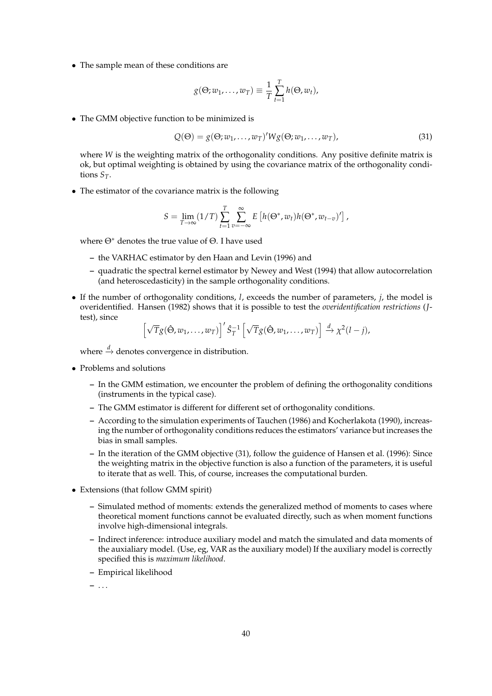• The sample mean of these conditions are

$$
g(\Theta; w_1, \dots, w_T) \equiv \frac{1}{T} \sum_{t=1}^T h(\Theta, w_t),
$$

• The GMM objective function to be minimized is

$$
Q(\Theta) = g(\Theta; w_1, \dots, w_T)' W g(\Theta; w_1, \dots, w_T), \tag{31}
$$

where *W* is the weighting matrix of the orthogonality conditions. Any positive definite matrix is ok, but optimal weighting is obtained by using the covariance matrix of the orthogonality conditions  $S_T$ .

• The estimator of the covariance matrix is the following

$$
S = \lim_{T \to \infty} (1/T) \sum_{t=1}^{T} \sum_{v=-\infty}^{\infty} E\left[h(\Theta^*, w_t)h(\Theta^*, w_{t-v})'\right],
$$

where Θ<sup>∗</sup> denotes the true value of Θ. I have used

- **–** the VARHAC estimator by den Haan and Levin (1996) and
- **–** quadratic the spectral kernel estimator by Newey and West (1994) that allow autocorrelation (and heteroscedasticity) in the sample orthogonality conditions.
- If the number of orthogonality conditions, *l*, exceeds the number of parameters, *j*, the model is overidentified. Hansen (1982) shows that it is possible to test the *overidentification restrictions* (*J*test), since

$$
\left[\sqrt{T}g(\hat{\Theta}, w_1, \ldots, w_T)\right]' \hat{S}_T^{-1} \left[\sqrt{T}g(\hat{\Theta}, w_1, \ldots, w_T)\right] \xrightarrow{d} \chi^2(l-j),
$$

where  $\stackrel{d}{\to}$  denotes convergence in distribution.

- Problems and solutions
	- **–** In the GMM estimation, we encounter the problem of defining the orthogonality conditions (instruments in the typical case).
	- **–** The GMM estimator is different for different set of orthogonality conditions.
	- **–** According to the simulation experiments of Tauchen (1986) and Kocherlakota (1990), increasing the number of orthogonality conditions reduces the estimators' variance but increases the bias in small samples.
	- **–** In the iteration of the GMM objective (31), follow the guidence of Hansen et al. (1996): Since the weighting matrix in the objective function is also a function of the parameters, it is useful to iterate that as well. This, of course, increases the computational burden.
- Extensions (that follow GMM spirit)
	- **–** Simulated method of moments: extends the generalized method of moments to cases where theoretical moment functions cannot be evaluated directly, such as when moment functions involve high-dimensional integrals.
	- **–** Indirect inference: introduce auxiliary model and match the simulated and data moments of the auxialiary model. (Use, eg, VAR as the auxiliary model) If the auxiliary model is correctly specified this is *maximum likelihood*.
	- **–** Empirical likelihood

**–** . . .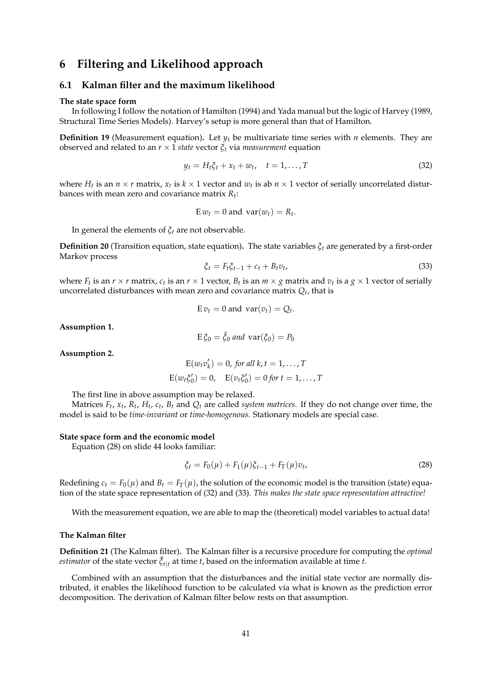## **6 Filtering and Likelihood approach**

### **6.1 Kalman filter and the maximum likelihood**

#### **The state space form**

In following I follow the notation of Hamilton (1994) and Yada manual but the logic of Harvey (1989, Structural Time Series Models). Harvey's setup is more general than that of Hamilton.

**Definition 19** (Measurement equation)**.** Let *y<sup>t</sup>* be multivariate time series with *n* elements. They are observed and related to an  $r \times 1$  *state* vector  $\xi_t$  via *measurement* equation

$$
y_t = H_t \xi_t + x_t + w_t, \quad t = 1, \dots, T
$$
\n
$$
(32)
$$

where  $H_t$  is an  $n \times r$  matrix,  $x_t$  is  $k \times 1$  vector and  $w_t$  is ab  $n \times 1$  vector of serially uncorrelated disturbances with mean zero and covariance matrix *R<sup>t</sup>* :

$$
E w_t = 0 \text{ and } var(w_t) = R_t.
$$

In general the elements of *ξt* are not observable.

**Definition 20** (Transition equation, state equation). The state variables  $\xi_t$  are generated by a first-order Markov process

$$
\xi_t = F_t \xi_{t-1} + c_t + B_t v_t,\tag{33}
$$

where  $F_t$  is an  $r \times r$  matrix,  $c_t$  is an  $r \times 1$  vector,  $B_t$  is an  $m \times g$  matrix and  $v_t$  is a  $g \times 1$  vector of serially uncorrelated disturbances with mean zero and covariance matrix *Q<sup>t</sup>* , that is

$$
E v_t = 0 \text{ and } var(v_t) = Q_t.
$$

**Assumption 1.**

$$
E \xi_0 = \hat{\xi}_0 \text{ and } \text{var}(\xi_0) = P_0
$$

**Assumption 2.**

$$
E(w_t v'_k) = 0, \text{ for all } k, t = 1, \dots, T
$$
  

$$
E(w_t \xi'_0) = 0, \quad E(v_t \xi'_0) = 0 \text{ for } t = 1, \dots, T
$$

The first line in above assumption may be relaxed.

Matrices  $F_t$ ,  $x_t$ ,  $R_t$ ,  $H_t$ ,  $c_t$ ,  $B_t$  and  $Q_t$  are called *system matrices*. If they do not change over time, the model is said to be *time-invariant* or *time-homogenous*. Stationary models are special case.

#### **State space form and the economic model**

Equation (28) on slide 44 looks familiar:

$$
\xi_t = F_0(\mu) + F_1(\mu)\xi_{t-1} + F_\Gamma(\mu)v_t,\tag{28}
$$

Redefining  $c_t = F_0(\mu)$  and  $B_t = F_\Gamma(\mu)$ , the solution of the economic model is the transition (state) equation of the state space representation of (32) and (33). *This makes the state space representation attractive!*

With the measurement equation, we are able to map the (theoretical) model variables to actual data!

#### **The Kalman filter**

**Definition 21** (The Kalman filter)**.** The Kalman filter is a recursive procedure for computing the *optimal estimator* of the state vector  $\hat{\xi}_{t|t}$  at time *t*, based on the information available at time *t*.

Combined with an assumption that the disturbances and the initial state vector are normally distributed, it enables the likelihood function to be calculated via what is known as the prediction error decomposition. The derivation of Kalman filter below rests on that assumption.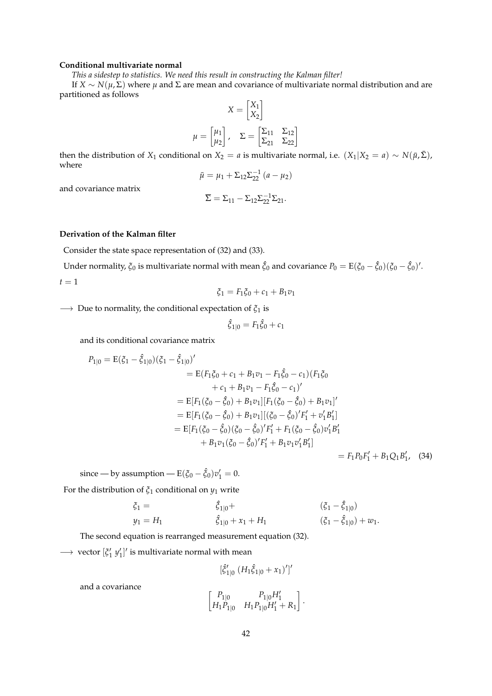#### **Conditional multivariate normal**

*This a sidestep to statistics. We need this result in constructing the Kalman filter!*

If *X* ∼ *N*(*µ*, Σ) where *µ* and Σ are mean and covariance of multivariate normal distribution and are partitioned as follows

$$
X = \begin{bmatrix} X_1 \\ X_2 \end{bmatrix}
$$

$$
\mu = \begin{bmatrix} \mu_1 \\ \mu_2 \end{bmatrix}, \quad \Sigma = \begin{bmatrix} \Sigma_{11} & \Sigma_{12} \\ \Sigma_{21} & \Sigma_{22} \end{bmatrix}
$$

then the distribution of *X*<sub>1</sub> conditional on *X*<sub>2</sub> = *a* is multivariate normal, i.e.  $(X_1|X_2 = a) \sim N(\bar{\mu}, \bar{\Sigma})$ , where

$$
\bar{\mu} = \mu_1 + \Sigma_{12} \Sigma_{22}^{-1} (a - \mu_2)
$$

and covariance matrix

$$
\overline{\Sigma}=\Sigma_{11}-\Sigma_{12}\Sigma_{22}^{-1}\Sigma_{21}.
$$

### **Derivation of the Kalman filter**

Consider the state space representation of (32) and (33).

Under normality,  $\xi_0$  is multivariate normal with mean  $\hat{\xi}_0$  and covariance  $P_0=\text{E}(\xi_0-\hat{\xi}_0)(\xi_0-\hat{\xi}_0)'$ .

 $t = 1$ 

$$
\xi_1 = F_1 \xi_0 + c_1 + B_1 v_1
$$

−→ Due to normality, the conditional expectation of *ξ*<sup>1</sup> is

$$
\hat{\xi}_{1|0} = F_1 \hat{\xi}_0 + c_1
$$

and its conditional covariance matrix

$$
P_{1|0} = E(\xi_1 - \hat{\xi}_{1|0})(\xi_1 - \hat{\xi}_{1|0})'
$$
  
\n
$$
= E(F_1\xi_0 + c_1 + B_1v_1 - F_1\hat{\xi}_0 - c_1)(F_1\xi_0
$$
  
\n
$$
+ c_1 + B_1v_1 - F_1\hat{\xi}_0 - c_1)'
$$
  
\n
$$
= E[F_1(\xi_0 - \hat{\xi}_0) + B_1v_1][F_1(\xi_0 - \hat{\xi}_0) + B_1v_1]'
$$
  
\n
$$
= E[F_1(\xi_0 - \hat{\xi}_0) + B_1v_1][((\xi_0 - \hat{\xi}_0)')F'_1 + v'_1B'_1]
$$
  
\n
$$
= E[F_1(\xi_0 - \hat{\xi}_0)(\xi_0 - \hat{\xi}_0')'F'_1 + F_1(\xi_0 - \hat{\xi}_0)v'_1B'_1
$$
  
\n
$$
+ B_1v_1(\xi_0 - \hat{\xi}_0')F'_1 + B_1v_1v'_1B'_1]
$$
  
\n
$$
= F_1P_0F'_1 + B_1Q_1B'_1,
$$
 (34)

since — by assumption —  $E(\xi_0 - \hat{\xi}_0)v'_1 = 0$ .

For the distribution of  $\xi_1$  conditional on  $y_1$  write

$$
\begin{aligned}\n\xi_1 &= \qquad \qquad \hat{\xi}_{1|0} + \\
y_1 &= H_1 & \qquad \hat{\xi}_{1|0} + x_1 + H_1 & \qquad \qquad (\xi_1 - \hat{\xi}_{1|0}) + w_1.\n\end{aligned}
$$

The second equation is rearranged measurement equation (32).

 $\longrightarrow$  vector  $[\zeta'_1 \ y'_1]'$  is multivariate normal with mean

$$
[\hat{\xi}'_{1|0} (H_1 \hat{\xi}_{1|0} + x_1)']'
$$

and a covariance

$$
\begin{bmatrix} P_{1|0} & P_{1|0}H'_1 \ H_1P_{1|0} & H_1P_{1|0}H'_1 + R_1 \end{bmatrix}.
$$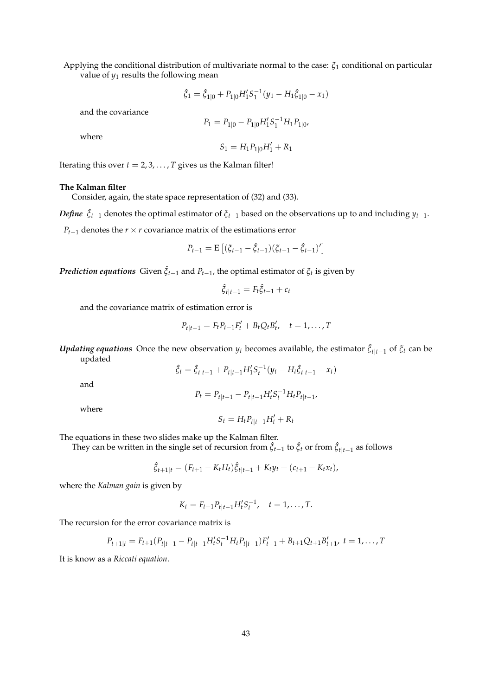Applying the conditional distribution of multivariate normal to the case: *ξ*<sup>1</sup> conditional on particular value of  $y_1$  results the following mean

$$
\hat{\xi}_1 = \hat{\xi}_{1|0} + P_{1|0} H_1' S_1^{-1} (y_1 - H_1 \hat{\xi}_{1|0} - x_1)
$$

and the covariance

$$
P_1 = P_{1|0} - P_{1|0}H'_1S_1^{-1}H_1P_{1|0},
$$

where

$$
S_1 = H_1 P_{1|0} H_1' + R_1
$$

Iterating this over  $t = 2, 3, \ldots, T$  gives us the Kalman filter!

#### **The Kalman filter**

Consider, again, the state space representation of (32) and (33).

*Define*  $\hat{\zeta}_{t-1}$  denotes the optimal estimator of  $\zeta_{t-1}$  based on the observations up to and including  $y_{t-1}$ .

*P*<sub>*t*−1</sub> denotes the *r*  $\times$  *r* covariance matrix of the estimations error

$$
P_{t-1} = \mathbf{E} \left[ (\xi_{t-1} - \hat{\xi}_{t-1}) (\xi_{t-1} - \hat{\xi}_{t-1})' \right]
$$

*Prediction equations* Given  $\hat{\zeta}_{t-1}$  and  $P_{t-1}$ , the optimal estimator of  $\zeta_t$  is given by

$$
\hat{\xi}_{t|t-1} = F_t \hat{\xi}_{t-1} + c_t
$$

and the covariance matrix of estimation error is

$$
P_{t|t-1} = F_t P_{t-1} F'_t + B_t Q_t B'_t, \quad t = 1, ..., T
$$

*Updating equations* Once the new observation  $y_t$  becomes available, the estimator  $\hat{\zeta}_{t|t-1}$  of  $\zeta_t$  can be updated

$$
\hat{\xi}_t = \hat{\xi}_{t|t-1} + P_{t|t-1} H_1' S_t^{-1} (y_t - H_t \hat{\xi}_{t|t-1} - x_t)
$$

and

$$
P_t = P_{t|t-1} - P_{t|t-1}H_t'S_t^{-1}H_tP_{t|t-1},
$$

where

$$
S_t = H_t P_{t|t-1} H'_t + R_t
$$

The equations in these two slides make up the Kalman filter.

They can be written in the single set of recursion from  $\hat{\xi}_{t-1}$  to  $\hat{\xi}_t$  or from  $\hat{\xi}_{t|t-1}$  as follows

$$
\hat{\xi}_{t+1|t} = (F_{t+1} - K_t H_t) \hat{\xi}_{t|t-1} + K_t y_t + (c_{t+1} - K_t x_t),
$$

where the *Kalman gain* is given by

$$
K_t = F_{t+1} P_{t|t-1} H_t' S_t^{-1}, \quad t = 1, \ldots, T.
$$

The recursion for the error covariance matrix is

$$
P_{t+1|t} = F_{t+1}(P_{t|t-1} - P_{t|t-1}H_t'S_t^{-1}H_tP_{t|t-1})F_{t+1}' + B_{t+1}Q_{t+1}B_{t+1}', \ t = 1, ..., T
$$

It is know as a *Riccati equation*.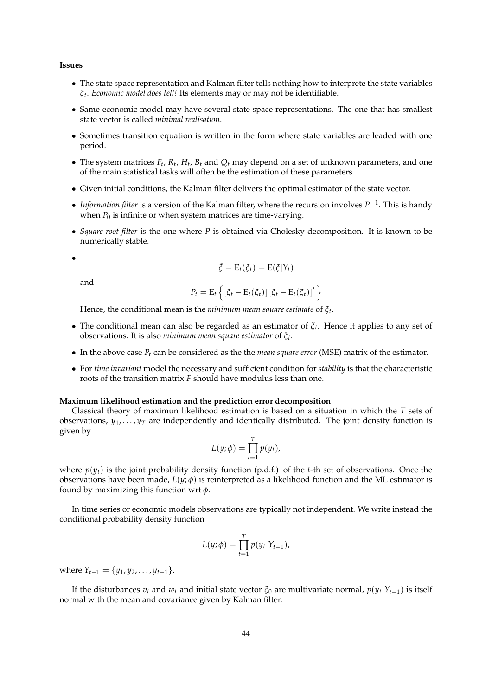#### **Issues**

- The state space representation and Kalman filter tells nothing how to interprete the state variables *ξt* . *Economic model does tell!* Its elements may or may not be identifiable.
- Same economic model may have several state space representations. The one that has smallest state vector is called *minimal realisation*.
- Sometimes transition equation is written in the form where state variables are leaded with one period.
- The system matrices  $F_t$ ,  $R_t$ ,  $H_t$ ,  $B_t$  and  $Q_t$  may depend on a set of unknown parameters, and one of the main statistical tasks will often be the estimation of these parameters.
- Given initial conditions, the Kalman filter delivers the optimal estimator of the state vector.
- *Information filter* is a version of the Kalman filter, where the recursion involves *P* −1 . This is handy when  $P_0$  is infinite or when system matrices are time-varying.
- *Square root filter* is the one where *P* is obtained via Cholesky decomposition. It is known to be numerically stable.

•

$$
\hat{\zeta} = \mathrm{E}_t(\zeta_t) = \mathrm{E}(\zeta|Y_t)
$$

and

$$
P_t = \mathrm{E}_t \left\{ \left[ \xi_t - \mathrm{E}_t(\xi_t) \right] \left[ \xi_t - \mathrm{E}_t(\xi_t) \right]' \right\}
$$

Hence, the conditional mean is the *minimum mean square estimate* of *ξ<sup>t</sup>* .

- The conditional mean can also be regarded as an estimator of *ξ<sup>t</sup>* . Hence it applies to any set of observations. It is also *minimum mean square estimator* of *ξ<sup>t</sup>* .
- In the above case *P<sup>t</sup>* can be considered as the the *mean square error* (MSE) matrix of the estimator.
- For *time invariant* model the necessary and sufficient condition for *stability* is that the characteristic roots of the transition matrix *F* should have modulus less than one.

#### **Maximum likelihood estimation and the prediction error decomposition**

Classical theory of maximun likelihood estimation is based on a situation in which the *T* sets of observations,  $y_1, \ldots, y_T$  are independently and identically distributed. The joint density function is given by

$$
L(y; \phi) = \prod_{t=1}^T p(y_t),
$$

where  $p(y_t)$  is the joint probability density function (p.d.f.) of the *t*-th set of observations. Once the observations have been made,  $L(y; \phi)$  is reinterpreted as a likelihood function and the ML estimator is found by maximizing this function wrt *φ*.

In time series or economic models observations are typically not independent. We write instead the conditional probability density function

$$
L(y; \phi) = \prod_{t=1}^T p(y_t|Y_{t-1}),
$$

where  $Y_{t-1} = \{y_1, y_2, \ldots, y_{t-1}\}.$ 

If the disturbances  $v_t$  and  $w_t$  and initial state vector  $\xi_0$  are multivariate normal,  $p(y_t|Y_{t-1})$  is itself normal with the mean and covariance given by Kalman filter.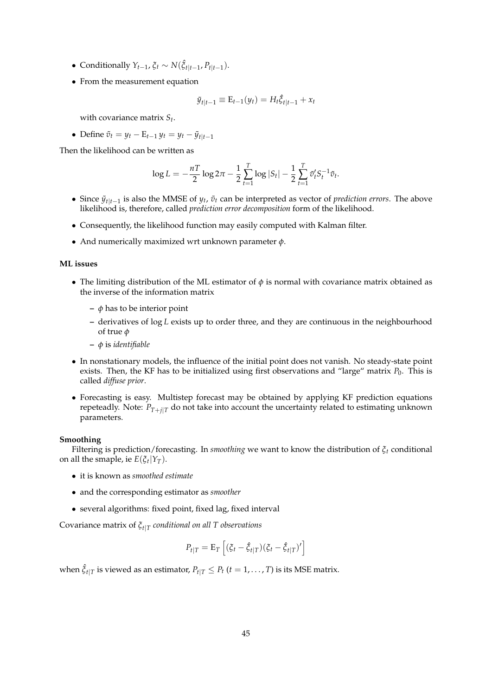- $\bullet$  Conditionally  $Y_{t-1}$ ,  $\xi_t \sim N(\hat{\xi}_{t|t-1}, P_{t|t-1})$ .
- From the measurement equation

$$
\tilde{y}_{t|t-1} \equiv E_{t-1}(y_t) = H_t \hat{\xi}_{t|t-1} + x_t
$$

with covariance matrix *S<sup>t</sup>* .

• Define  $\tilde{v}_t = y_t - \mathbf{E}_{t-1} y_t = y_t - \tilde{y}_{t|t-1}$ 

Then the likelihood can be written as

$$
\log L = -\frac{nT}{2} \log 2\pi - \frac{1}{2} \sum_{t=1}^{T} \log |S_t| - \frac{1}{2} \sum_{t=1}^{T} \tilde{v}_t^t S_t^{-1} \tilde{v}_t.
$$

- Since  $\tilde{y}_{t|t-1}$  is also the MMSE of  $y_t$ ,  $\tilde{v}_t$  can be interpreted as vector of *prediction errors*. The above likelihood is, therefore, called *prediction error decomposition* form of the likelihood.
- Consequently, the likelihood function may easily computed with Kalman filter.
- And numerically maximized wrt unknown parameter *φ*.

#### **ML issues**

- The limiting distribution of the ML estimator of  $\phi$  is normal with covariance matrix obtained as the inverse of the information matrix
	- **–** *φ* has to be interior point
	- **–** derivatives of log *L* exists up to order three, and they are continuous in the neighbourhood of true *φ*
	- **–** *φ* is *identifiable*
- In nonstationary models, the influence of the initial point does not vanish. No steady-state point exists. Then, the KF has to be initialized using first observations and "large" matrix  $P_0$ . This is called *diffuse prior*.
- Forecasting is easy. Multistep forecast may be obtained by applying KF prediction equations repeteadly. Note:  $P_{T+j|T}$  do not take into account the uncertainty related to estimating unknown parameters.

#### **Smoothing**

Filtering is prediction/forecasting. In *smoothing* we want to know the distribution of *ξ<sup>t</sup>* conditional on all the smaple, ie  $E(\xi_t|Y_T)$ .

- it is known as *smoothed estimate*
- and the corresponding estimator as *smoother*
- several algorithms: fixed point, fixed lag, fixed interval

Covariance matrix of *ξt*|*<sup>T</sup> conditional on all T observations*

$$
P_{t|T} = \mathbf{E}_T \left[ (\xi_t - \hat{\xi}_{t|T}) (\xi_t - \hat{\xi}_{t|T})' \right]
$$

when  $\hat{\xi}_{t|T}$  is viewed as an estimator,  $P_{t|T} \leq P_t$   $(t = 1, \ldots, T)$  is its MSE matrix.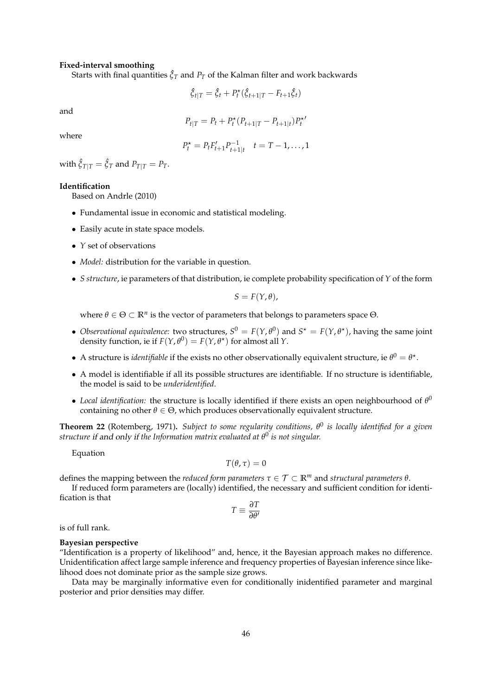#### **Fixed-interval smoothing**

Starts with final quantities  $\hat{\xi}_T$  and  $P_T$  of the Kalman filter and work backwards

$$
\hat{\xi}_{t|T} = \hat{\xi}_t + P_t^{\star}(\hat{\xi}_{t+1|T} - F_{t+1}\hat{\xi}_t)
$$

and

$$
P_{t|T} = P_t + P_t^{\star} (P_{t+1|T} - P_{t+1|t}) P_t^{\star}
$$

where

$$
P_t^* = P_t F_{t+1}' P_{t+1|t}^{-1} \quad t = T - 1, \dots, 1
$$

with  $\hat{\xi}_{T|T} = \hat{\xi}_T$  and  $P_{T|T} = P_T$ .

### **Identification**

Based on Andrle (2010)

- Fundamental issue in economic and statistical modeling.
- Easily acute in state space models.
- *Y* set of observations
- *Model:* distribution for the variable in question.
- *S structure*, ie parameters of that distribution, ie complete probability specification of *Y* of the form

$$
S=F(Y,\theta),
$$

where  $\theta \in \Theta \subset \mathbb{R}^n$  is the vector of parameters that belongs to parameters space  $\Theta$ .

- *Observational equivalence:* two structures,  $S^0 = F(Y, \theta^0)$  and  $S^* = F(Y, \theta^*)$ , having the same joint density function, ie if  $F(Y, \theta^0) = F(Y, \theta^*)$  for almost all *Y*.
- A structure is *identifiable* if the exists no other observationally equivalent structure, ie  $\theta^0 = \theta^*$ .
- A model is identifiable if all its possible structures are identifiable. If no structure is identifiable, the model is said to be *underidentified*.
- *Local identification*: the structure is locally identified if there exists an open neighbourhood of  $\theta^0$ containing no other  $\theta \in \Theta$ , which produces observationally equivalent structure.

**Theorem 22** (Rotemberg, 1971)**.** *Subject to some regularity conditions, θ* 0 *is locally identified for a given structure* if and only if *the Information matrix evaluated at θ* 0 *is not singular.*

Equation

$$
T(\theta,\tau)=0
$$

defines the mapping between the *reduced form parameters*  $\tau \in \mathcal{T} \subset \mathbb{R}^m$  and *structural parameters*  $\theta$ .

If reduced form parameters are (locally) identified, the necessary and sufficient condition for identification is that

$$
T \equiv \frac{\partial T}{\partial \theta'}
$$

is of full rank.

### **Bayesian perspective**

"Identification is a property of likelihood" and, hence, it the Bayesian approach makes no difference. Unidentification affect large sample inference and frequency properties of Bayesian inference since likelihood does not dominate prior as the sample size grows.

Data may be marginally informative even for conditionally inidentified parameter and marginal posterior and prior densities may differ.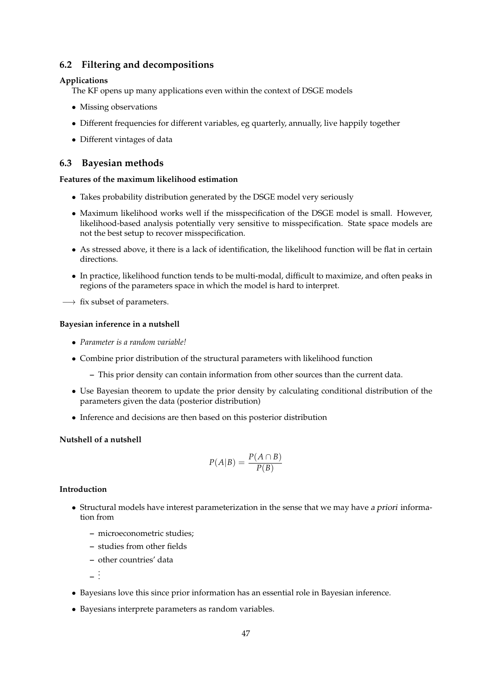### **6.2 Filtering and decompositions**

### **Applications**

The KF opens up many applications even within the context of DSGE models

- Missing observations
- Different frequencies for different variables, eg quarterly, annually, live happily together
- Different vintages of data

### **6.3 Bayesian methods**

### **Features of the maximum likelihood estimation**

- Takes probability distribution generated by the DSGE model very seriously
- Maximum likelihood works well if the misspecification of the DSGE model is small. However, likelihood-based analysis potentially very sensitive to misspecification. State space models are not the best setup to recover misspecification.
- As stressed above, it there is a lack of identification, the likelihood function will be flat in certain directions.
- In practice, likelihood function tends to be multi-modal, difficult to maximize, and often peaks in regions of the parameters space in which the model is hard to interpret.
- $\longrightarrow$  fix subset of parameters.

### **Bayesian inference in a nutshell**

- *Parameter is a random variable!*
- Combine prior distribution of the structural parameters with likelihood function
	- **–** This prior density can contain information from other sources than the current data.
- Use Bayesian theorem to update the prior density by calculating conditional distribution of the parameters given the data (posterior distribution)
- Inference and decisions are then based on this posterior distribution

### **Nutshell of a nutshell**

$$
P(A|B) = \frac{P(A \cap B)}{P(B)}
$$

### **Introduction**

- Structural models have interest parameterization in the sense that we may have a priori information from
	- **–** microeconometric studies;
	- **–** studies from other fields
	- **–** other countries' data

**–** . . .

- Bayesians love this since prior information has an essential role in Bayesian inference.
- Bayesians interprete parameters as random variables.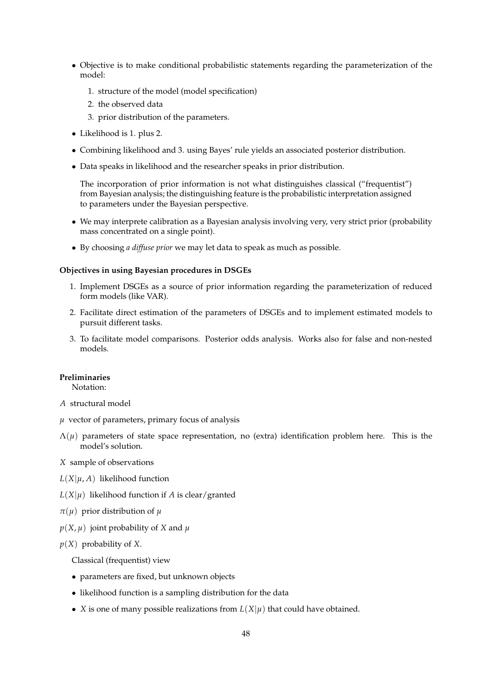- Objective is to make conditional probabilistic statements regarding the parameterization of the model:
	- 1. structure of the model (model specification)
	- 2. the observed data
	- 3. prior distribution of the parameters.
- Likelihood is 1. plus 2.
- Combining likelihood and 3. using Bayes' rule yields an associated posterior distribution.
- Data speaks in likelihood and the researcher speaks in prior distribution.

The incorporation of prior information is not what distinguishes classical ("frequentist") from Bayesian analysis; the distinguishing feature is the probabilistic interpretation assigned to parameters under the Bayesian perspective.

- We may interprete calibration as a Bayesian analysis involving very, very strict prior (probability mass concentrated on a single point).
- By choosing *a diffuse prior* we may let data to speak as much as possible.

### **Objectives in using Bayesian procedures in DSGEs**

- 1. Implement DSGEs as a source of prior information regarding the parameterization of reduced form models (like VAR).
- 2. Facilitate direct estimation of the parameters of DSGEs and to implement estimated models to pursuit different tasks.
- 3. To facilitate model comparisons. Posterior odds analysis. Works also for false and non-nested models.

### **Preliminaries**

Notation:

- *A* structural model
- $\mu$  vector of parameters, primary focus of analysis
- $\Lambda(\mu)$  parameters of state space representation, no (extra) identification problem here. This is the model's solution.
- *X* sample of observations
- $L(X|\mu, A)$  likelihood function
- $L(X|\mu)$  likelihood function if *A* is clear/granted
- $\pi(\mu)$  prior distribution of  $\mu$
- $p(X, \mu)$  joint probability of *X* and  $\mu$
- *p*(*X*) probability of *X*.

Classical (frequentist) view

- parameters are fixed, but unknown objects
- likelihood function is a sampling distribution for the data
- *X* is one of many possible realizations from  $L(X|\mu)$  that could have obtained.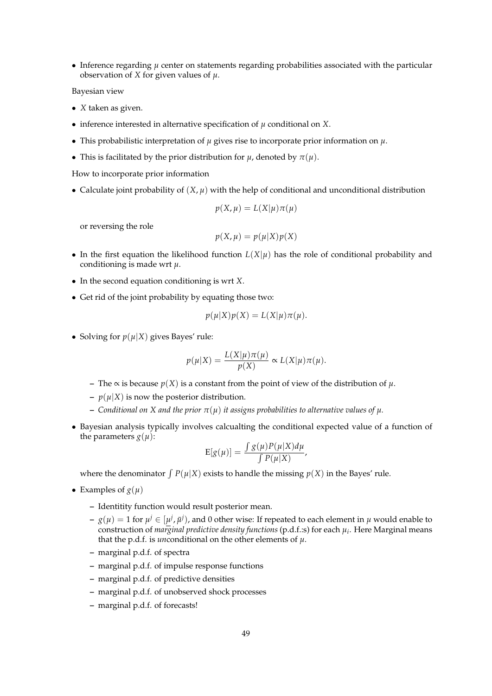• Inference regarding  $\mu$  center on statements regarding probabilities associated with the particular observation of *X* for given values of *µ*.

Bayesian view

- *X* taken as given.
- inference interested in alternative specification of  $\mu$  conditional on *X*.
- This probabilistic interpretation of *µ* gives rise to incorporate prior information on *µ*.
- This is facilitated by the prior distribution for  $\mu$ , denoted by  $\pi(\mu)$ .

How to incorporate prior information

• Calculate joint probability of  $(X, \mu)$  with the help of conditional and unconditional distribution

$$
p(X, \mu) = L(X|\mu)\pi(\mu)
$$

or reversing the role

$$
p(X, \mu) = p(\mu|X)p(X)
$$

- In the first equation the likelihood function  $L(X|\mu)$  has the role of conditional probability and conditioning is made wrt *µ*.
- In the second equation conditioning is wrt *X*.
- Get rid of the joint probability by equating those two:

$$
p(\mu|X)p(X) = L(X|\mu)\pi(\mu).
$$

• Solving for  $p(\mu|X)$  gives Bayes' rule:

$$
p(\mu|X) = \frac{L(X|\mu)\pi(\mu)}{p(X)} \propto L(X|\mu)\pi(\mu).
$$

- **–** The ∝ is because *p*(*X*) is a constant from the point of view of the distribution of *µ*.
- $-p(\mu|X)$  is now the posterior distribution.
- **–** *Conditional on X and the prior π*(*µ*) *it assigns probabilities to alternative values of µ.*
- Bayesian analysis typically involves calcualting the conditional expected value of a function of the parameters  $g(\mu)$ :

$$
E[g(\mu)] = \frac{\int g(\mu)P(\mu|X)d\mu}{\int P(\mu|X)},
$$

where the denominator  $\int P(\mu|X)$  exists to handle the missing  $p(X)$  in the Bayes' rule.

- Examples of  $g(\mu)$ 
	- **–** Identitity function would result posterior mean.
	- $g(\mu)=1$  for  $\mu^j\in[\mu^j,\bar\mu^j)$ , and 0 other wise: If repeated to each element in  $\mu$  would enable to construction of *marginal predictive density functions* (p.d.f.:s) for each *µ<sup>i</sup>* . Here Marginal means that the p.d.f. is *un*conditional on the other elements of *µ*.
	- **–** marginal p.d.f. of spectra
	- **–** marginal p.d.f. of impulse response functions
	- **–** marginal p.d.f. of predictive densities
	- **–** marginal p.d.f. of unobserved shock processes
	- **–** marginal p.d.f. of forecasts!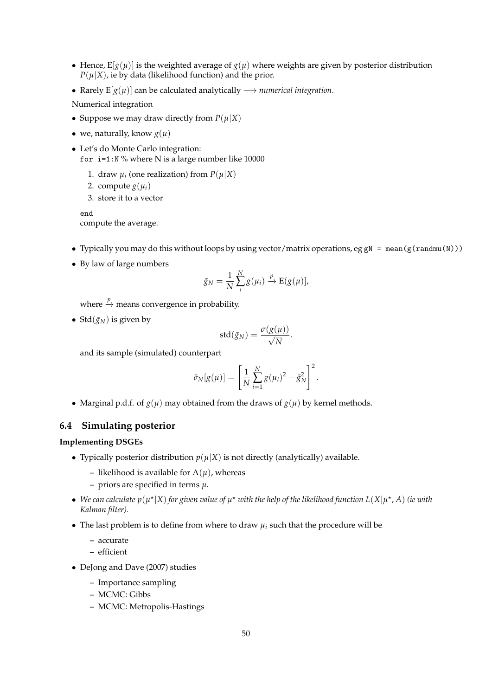- Hence,  $E[g(\mu)]$  is the weighted average of  $g(\mu)$  where weights are given by posterior distribution  $P(\mu|X)$ , ie by data (likelihood function) and the prior.
- Rarely  $E[g(\mu)]$  can be calculated analytically  $\longrightarrow$  *numerical integration*.
- Numerical integration
- Suppose we may draw directly from  $P(\mu|X)$
- we, naturally, know  $g(\mu)$
- Let's do Monte Carlo integration: for  $i=1:N$  % where N is a large number like 10000
	- 1. draw  $\mu_i$  (one realization) from  $P(\mu|X)$
	- 2. compute  $g(\mu_i)$
	- 3. store it to a vector

end compute the average.

- Typically you may do this without loops by using vector/matrix operations, eg gN = mean(g(randmu(N)))
- By law of large numbers

$$
\bar{g}_N = \frac{1}{N} \sum_{i}^{N} g(\mu_i) \xrightarrow{p} E(g(\mu)),
$$

where  $\stackrel{p}{\rightarrow}$  means convergence in probability.

• Std $(\bar{g}_N)$  is given by

$$
\text{std}(\bar{g}_N) = \frac{\sigma(g(\mu))}{\sqrt{N}}.
$$

and its sample (simulated) counterpart

$$
\bar{\sigma}_N[g(\mu)] = \left[\frac{1}{N} \sum_{i=1}^N g(\mu_i)^2 - \bar{g}_N^2\right]^2.
$$

• Marginal p.d.f. of  $g(u)$  may obtained from the draws of  $g(u)$  by kernel methods.

### **6.4 Simulating posterior**

### **Implementing DSGEs**

- Typically posterior distribution  $p(\mu|X)$  is not directly (analytically) available.
	- **–** likelihood is available for  $\Lambda(\mu)$ , whereas
	- **–** priors are specified in terms *µ*.
- We can calculate  $p(\mu^*|X)$  for given value of  $\mu^*$  with the help of the likelihood function  $L(X|\mu^*,A)$  (ie with *Kalman filter).*
- The last problem is to define from where to draw *µ<sup>i</sup>* such that the procedure will be
	- **–** accurate
	- **–** efficient
- DeJong and Dave (2007) studies
	- **–** Importance sampling
	- **–** MCMC: Gibbs
	- **–** MCMC: Metropolis-Hastings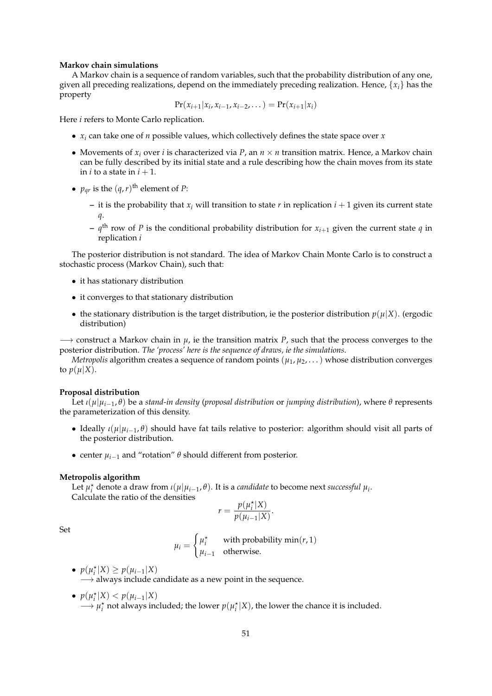#### **Markov chain simulations**

A Markov chain is a sequence of random variables, such that the probability distribution of any one, given all preceding realizations, depend on the immediately preceding realization. Hence, {*xi*} has the property

$$
\Pr(x_{i+1}|x_i, x_{i-1}, x_{i-2}, \dots) = \Pr(x_{i+1}|x_i)
$$

Here *i* refers to Monte Carlo replication.

- $x_i$  can take one of *n* possible values, which collectively defines the state space over  $x$
- Movements of  $x_i$  over *i* is characterized via  $P$ , an  $n \times n$  transition matrix. Hence, a Markov chain can be fully described by its initial state and a rule describing how the chain moves from its state in *i* to a state in  $i + 1$ .
- $p_{qr}$  is the  $(q, r)$ <sup>th</sup> element of *P*:
	- **–** it is the probability that *x<sup>i</sup>* will transition to state *r* in replication *i* + 1 given its current state *q*.
	- $\sim$   $q^{\text{th}}$  row of *P* is the conditional probability distribution for  $x_{i+1}$  given the current state  $q$  in replication *i*

The posterior distribution is not standard. The idea of Markov Chain Monte Carlo is to construct a stochastic process (Markov Chain), such that:

- it has stationary distribution
- it converges to that stationary distribution
- the stationary distribution is the target distribution, ie the posterior distribution  $p(\mu|X)$ . (ergodic distribution)

−→ construct a Markov chain in *µ*, ie the transition matrix *P*, such that the process converges to the posterior distribution. *The 'process' here is the sequence of draws, ie the simulations*.

*Metropolis* algorithm creates a sequence of random points  $(\mu_1, \mu_2, \dots)$  whose distribution converges to  $p(\mu|X)$ .

#### **Proposal distribution**

Let *ι*(*µ*|*µi*−<sup>1</sup> , *θ*) be a *stand-in density* (*proposal distribution* or *jumping distribution*), where *θ* represents the parameterization of this density.

- Ideally *ι*(*µ*|*µi*−<sup>1</sup> , *θ*) should have fat tails relative to posterior: algorithm should visit all parts of the posterior distribution.
- center *µi*−<sup>1</sup> and "rotation" *θ* should different from posterior.

### **Metropolis algorithm**

Let  $\mu_i^*$  denote a draw from  $\iota(\mu|\mu_{i-1}, \theta)$ . It is a *candidate* to become next *successful*  $\mu_i$ . Calculate the ratio of the densities

$$
r = \frac{p(\mu_i^*|X)}{p(\mu_{i-1}|X)}.
$$

Set

$$
\mu_i = \begin{cases} \mu_i^* & \text{with probability min}(r, 1) \\ \mu_{i-1} & \text{otherwise.} \end{cases}
$$

- $p(\mu_i^* | X) \geq p(\mu_{i-1} | X)$  $\rightarrow$  always include candidate as a new point in the sequence.
- $p(\mu_i^*|X) < p(\mu_{i-1}|X)$  $\longrightarrow \mu_i^*$  not always included; the lower  $p(\mu_i^*|X)$ , the lower the chance it is included.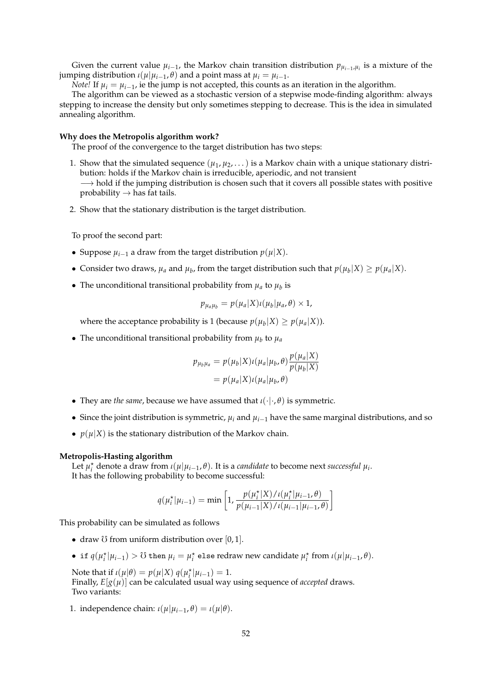Given the current value  $\mu_{i-1}$ , the Markov chain transition distribution  $p_{\mu_{i-1},\mu_i}$  is a mixture of the jumping distribution *ι*(*µ*|*µi*−<sup>1</sup> , *θ*) and a point mass at *µ<sup>i</sup>* = *µi*−<sup>1</sup> .

*Note!* If  $\mu_i = \mu_{i-1}$ , ie the jump is not accepted, this counts as an iteration in the algorithm.

The algorithm can be viewed as a stochastic version of a stepwise mode-finding algorithm: always stepping to increase the density but only sometimes stepping to decrease. This is the idea in simulated annealing algorithm.

### **Why does the Metropolis algorithm work?**

The proof of the convergence to the target distribution has two steps:

- 1. Show that the simulated sequence  $(\mu_1, \mu_2, ...)$  is a Markov chain with a unique stationary distribution: holds if the Markov chain is irreducible, aperiodic, and not transient  $\rightarrow$  hold if the jumping distribution is chosen such that it covers all possible states with positive probability  $\rightarrow$  has fat tails.
- 2. Show that the stationary distribution is the target distribution.

To proof the second part:

- Suppose  $\mu_{i-1}$  a draw from the target distribution  $p(\mu|X)$ .
- Consider two draws,  $\mu_a$  and  $\mu_b$ , from the target distribution such that  $p(\mu_b|X) \geq p(\mu_a|X)$ .
- The unconditional transitional probability from  $\mu_a$  to  $\mu_b$  is

$$
p_{\mu_a\mu_b}=p(\mu_a|X)\iota(\mu_b|\mu_a,\theta)\times 1,
$$

where the acceptance probability is 1 (because  $p(\mu_b|X) \geq p(\mu_a|X)$ ).

• The unconditional transitional probability from  $\mu_b$  to  $\mu_a$ 

$$
p_{\mu_b \mu_a} = p(\mu_b | X) \iota(\mu_a | \mu_b, \theta) \frac{p(\mu_a | X)}{p(\mu_b | X)}
$$
  
=  $p(\mu_a | X) \iota(\mu_a | \mu_b, \theta)$ 

- They are *the same*, because we have assumed that  $\iota(\cdot|\cdot,\theta)$  is symmetric.
- Since the joint distribution is symmetric,  $\mu_i$  and  $\mu_{i-1}$  have the same marginal distributions, and so
- $p(\mu|X)$  is the stationary distribution of the Markov chain.

### **Metropolis-Hasting algorithm**

Let  $\mu_i^*$  denote a draw from  $\iota(\mu|\mu_{i-1}, \theta)$ . It is a *candidate* to become next *successful*  $\mu_i$ . It has the following probability to become successful:

$$
q(\mu_i^*|\mu_{i-1}) = \min\left[1, \frac{p(\mu_i^*|X)/\iota(\mu_i^*|\mu_{i-1}, \theta)}{p(\mu_{i-1}|X)/\iota(\mu_{i-1}|\mu_{i-1}, \theta)}\right]
$$

This probability can be simulated as follows

- draw  $\ddot{\text{O}}$  from uniform distribution over [0, 1].
- $\bullet$  if  $q(\mu_i^* | \mu_{i-1}) > \text{U}$  then  $\mu_i = \mu_i^*$  else redraw new candidate  $\mu_i^*$  from *ι*( $\mu | \mu_{i-1}, \theta$ ).

Note that if  $\iota(\mu|\theta) = p(\mu|X) q(\mu_i^*|\mu_{i-1}) = 1.$ Finally,  $E[g(\mu)]$  can be calculated usual way using sequence of *accepted* draws. Two variants:

1. independence chain:  $\iota(\mu|\mu_{i-1}, \theta) = \iota(\mu|\theta)$ .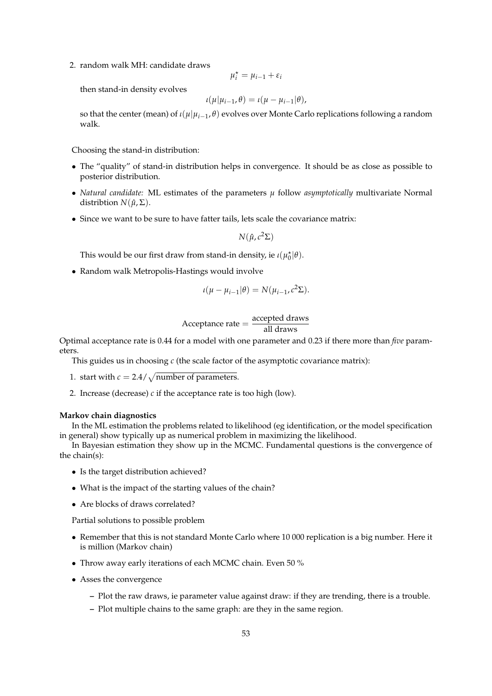2. random walk MH: candidate draws

$$
\mu_i^\star = \mu_{i-1} + \varepsilon_i
$$

then stand-in density evolves

$$
\iota(\mu|\mu_{i-1},\theta)=\iota(\mu-\mu_{i-1}|\theta),
$$

so that the center (mean) of *ι*(*µ*|*µi*−<sup>1</sup> , *θ*) evolves over Monte Carlo replications following a random walk.

Choosing the stand-in distribution:

- The "quality" of stand-in distribution helps in convergence. It should be as close as possible to posterior distribution.
- *Natural candidate:* ML estimates of the parameters *µ* follow *asymptotically* multivariate Normal distribtion  $N(\hat{\mu}, \Sigma)$ .
- Since we want to be sure to have fatter tails, lets scale the covariance matrix:

$$
N(\hat{\mu}, c^2\Sigma)
$$

This would be our first draw from stand-in density, ie  $\iota(\mu_0^{\star}|\theta)$ .

• Random walk Metropolis-Hastings would involve

$$
\iota(\mu - \mu_{i-1}|\theta) = N(\mu_{i-1}, c^2\Sigma).
$$

Acceptance rate = 
$$
\frac{\text{accepted draws}}{\text{all draws}}
$$

Optimal acceptance rate is 0.44 for a model with one parameter and 0.23 if there more than *five* parameters.

This guides us in choosing *c* (the scale factor of the asymptotic covariance matrix):

1. start with  $c = 2.4 / \sqrt{\text{number of parameters}}$ .

2. Increase (decrease) *c* if the acceptance rate is too high (low).

#### **Markov chain diagnostics**

In the ML estimation the problems related to likelihood (eg identification, or the model specification in general) show typically up as numerical problem in maximizing the likelihood.

In Bayesian estimation they show up in the MCMC. Fundamental questions is the convergence of the chain(s):

- Is the target distribution achieved?
- What is the impact of the starting values of the chain?
- Are blocks of draws correlated?

Partial solutions to possible problem

- Remember that this is not standard Monte Carlo where 10 000 replication is a big number. Here it is million (Markov chain)
- Throw away early iterations of each MCMC chain. Even 50 %
- Asses the convergence
	- **–** Plot the raw draws, ie parameter value against draw: if they are trending, there is a trouble.
	- **–** Plot multiple chains to the same graph: are they in the same region.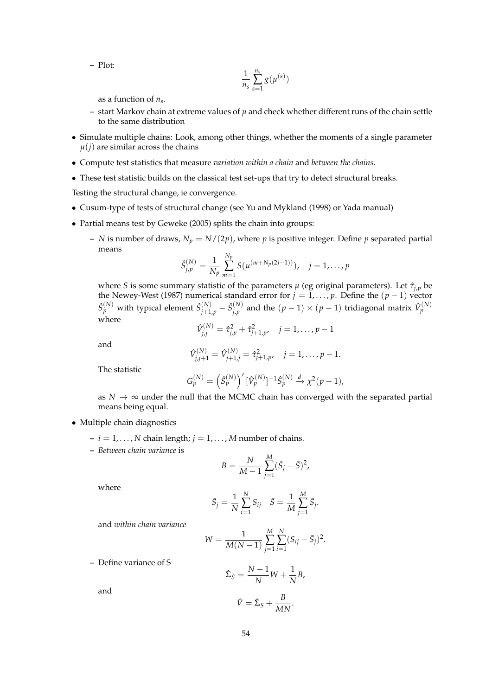**–** Plot:

$$
\frac{1}{n_s}\sum_{s=1}^{n_s}g(\mu^{(s)})
$$

as a function of *n<sup>s</sup>* .

- **–** start Markov chain at extreme values of *µ* and check whether different runs of the chain settle to the same distribution
- Simulate multiple chains: Look, among other things, whether the moments of a single parameter  $\mu(j)$  are similar across the chains
- Compute test statistics that measure *variation within a chain* and *between the chains*.
- These test statistic builds on the classical test set-ups that try to detect structural breaks.

Testing the structural change, ie convergence.

- Cusum-type of tests of structural change (see Yu and Mykland (1998) or Yada manual)
- Partial means test by Geweke (2005) splits the chain into groups:
	- **–** *N* is number of draws,  $N_p = N/(2p)$ , where *p* is positive integer. Define *p* separated partial means

$$
\hat{S}_{j,p}^{(N)} = \frac{1}{N_p} \sum_{m=1}^{N_p} S(\mu^{(m+N_p(2j-1))}), \quad j = 1, \ldots, p
$$

where *S* is some summary statistic of the parameters  $\mu$  (eg original parameters). Let  $\hat{\tau}_{i,p}$  be the Newey-West (1987) numerical standard error for *j* = 1, . . . , *p*. Define the (*p* − 1) vector  $\hat{S}_{p}^{(N)}$  with typical element  $\hat{S}_{j+1,p}^{(N)} - \hat{S}_{j,p}^{(N)}$  $j_{\mu}^{(N)}$  and the  $(p-1)\times (p-1)$  tridiagonal matrix  $\hat{V}_{p}^{(N)}$ where

and

$$
\hat{V}_{j,j}^{(N)} = \hat{\tau}_{j,p}^2 + \hat{\tau}_{j+1,p}^2, \quad j = 1, \dots, p-1
$$
  

$$
\hat{V}_{j,j+1}^{(N)} = \hat{V}_{j+1,j}^{(N)} = \hat{\tau}_{j+1,p}^2, \quad j = 1, \dots, p-1.
$$

The statistic

$$
G_p^{(N)} = \left(\hat{S}_p^{(N)}\right)' [\hat{V}_p^{(N)}]^{-1} \hat{S}_p^{(N)} \xrightarrow{d} \chi^2(p-1),
$$

as  $N \to \infty$  under the null that the MCMC chain has converged with the separated partial means being equal.

- Multiple chain diagnostics
	- $i = 1, \ldots, N$  chain length;  $j = 1, \ldots, M$  number of chains.
	- **–** *Between chain variance* is

$$
B = \frac{N}{M-1} \sum_{j=1}^{M} (\bar{S}_j - \bar{S})^2,
$$

where

$$
\bar{S}_j = \frac{1}{N} \sum_{i=1}^N S_{ij} \quad \bar{S} = \frac{1}{M} \sum_{j=1}^M \bar{S}_j.
$$

and *within chain variance*

$$
W = \frac{1}{M(N-1)} \sum_{j=1}^{M} \sum_{i=1}^{N} (S_{ij} - \bar{S}_j)^2.
$$

**–** Define variance of S

$$
\hat{\Sigma}_S = \frac{N-1}{N}W + \frac{1}{N}B,
$$

and

$$
\hat{V} = \hat{\Sigma}_S + \frac{B}{MN}.
$$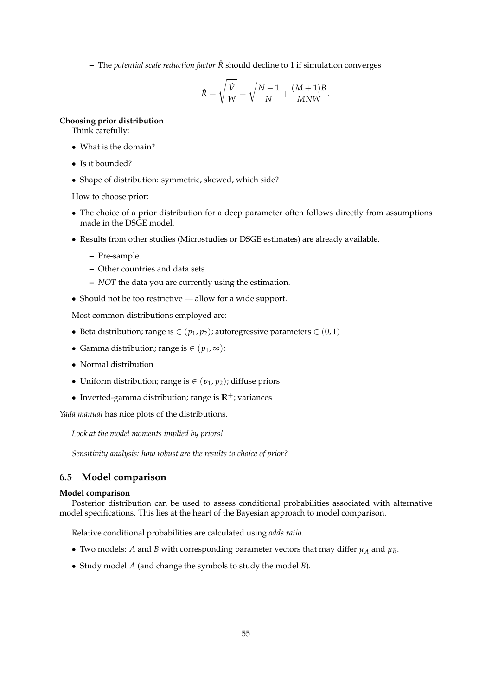**–** The *potential scale reduction factor R*ˆ should decline to 1 if simulation converges

$$
\hat{R} = \sqrt{\frac{\hat{V}}{W}} = \sqrt{\frac{N-1}{N} + \frac{(M+1)B}{MNW}}.
$$

### **Choosing prior distribution**

Think carefully:

- What is the domain?
- Is it bounded?
- Shape of distribution: symmetric, skewed, which side?

How to choose prior:

- The choice of a prior distribution for a deep parameter often follows directly from assumptions made in the DSGE model.
- Results from other studies (Microstudies or DSGE estimates) are already available.
	- **–** Pre-sample.
	- **–** Other countries and data sets
	- **–** *NOT* the data you are currently using the estimation.
- Should not be too restrictive allow for a wide support.

Most common distributions employed are:

- Beta distribution; range is  $\in (p_1, p_2)$ ; autoregressive parameters  $\in (0, 1)$
- Gamma distribution; range is  $\in (p_1, \infty)$ ;
- Normal distribution
- Uniform distribution; range is  $\in$   $(p_1, p_2)$ ; diffuse priors
- Inverted-gamma distribution; range is  $\mathbb{R}^+$ ; variances

*Yada manual* has nice plots of the distributions.

*Look at the model moments implied by priors!*

*Sensitivity analysis: how robust are the results to choice of prior?*

### **6.5 Model comparison**

#### **Model comparison**

Posterior distribution can be used to assess conditional probabilities associated with alternative model specifications. This lies at the heart of the Bayesian approach to model comparison.

Relative conditional probabilities are calculated using *odds ratio*.

- Two models: *A* and *B* with corresponding parameter vectors that may differ  $\mu_A$  and  $\mu_B$ .
- Study model *A* (and change the symbols to study the model *B*).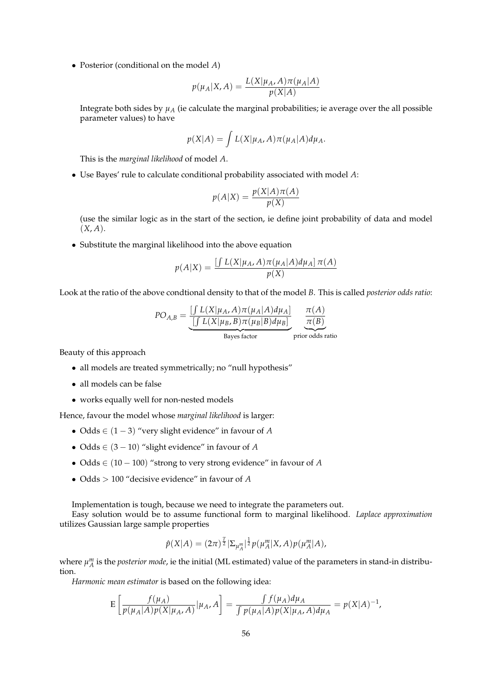• Posterior (conditional on the model *A*)

$$
p(\mu_A|X, A) = \frac{L(X|\mu_A, A)\pi(\mu_A|A)}{p(X|A)}
$$

Integrate both sides by  $\mu_A$  (ie calculate the marginal probabilities; ie average over the all possible parameter values) to have

$$
p(X|A) = \int L(X|\mu_A, A)\pi(\mu_A|A)d\mu_A.
$$

This is the *marginal likelihood* of model *A*.

• Use Bayes' rule to calculate conditional probability associated with model *A*:

$$
p(A|X) = \frac{p(X|A)\pi(A)}{p(X)}
$$

(use the similar logic as in the start of the section, ie define joint probability of data and model  $(X, A)$ .

• Substitute the marginal likelihood into the above equation

$$
p(A|X) = \frac{\left[\int L(X|\mu_A, A)\pi(\mu_A|A)d\mu_A\right]\pi(A)}{p(X)}
$$

Look at the ratio of the above condtional density to that of the model *B*. This is called *posterior odds ratio*:

$$
PO_{A,B} = \underbrace{\frac{\left[\int L(X|\mu_A, A)\pi(\mu_A|A)d\mu_A\right]}{\left[\int L(X|\mu_B, B)\pi(\mu_B|B)d\mu_B\right]}}_{\text{Bayes factor}} \underbrace{\frac{\pi(A)}{\pi(B)}}_{\text{prior odds ratio}}
$$

Beauty of this approach

- all models are treated symmetrically; no "null hypothesis"
- all models can be false
- works equally well for non-nested models

Hence, favour the model whose *marginal likelihood* is larger:

- Odds ∈ (1 − 3) "very slight evidence" in favour of *A*
- Odds ∈ (3 − 10) "slight evidence" in favour of *A*
- Odds ∈ (10 − 100) "strong to very strong evidence" in favour of *A*
- Odds > 100 "decisive evidence" in favour of *A*

Implementation is tough, because we need to integrate the parameters out.

Easy solution would be to assume functional form to marginal likelihood. *Laplace approximation* utilizes Gaussian large sample properties

$$
\hat{p}(X|A) = (2\pi)^{\frac{T}{2}} |\Sigma_{\mu_A^m}|^{\frac{1}{2}} p(\mu_A^m|X, A) p(\mu_A^m|A),
$$

where  $\mu_A^m$  is the *posterior mode*, ie the initial (ML estimated) value of the parameters in stand-in distribution.

*Harmonic mean estimator* is based on the following idea:

$$
\mathcal{E}\left[\frac{f(\mu_A)}{p(\mu_A|A)p(X|\mu_A,A)}|\mu_A,A\right] = \frac{\int f(\mu_A)d\mu_A}{\int p(\mu_A|A)p(X|\mu_A,A)d\mu_A} = p(X|A)^{-1},
$$